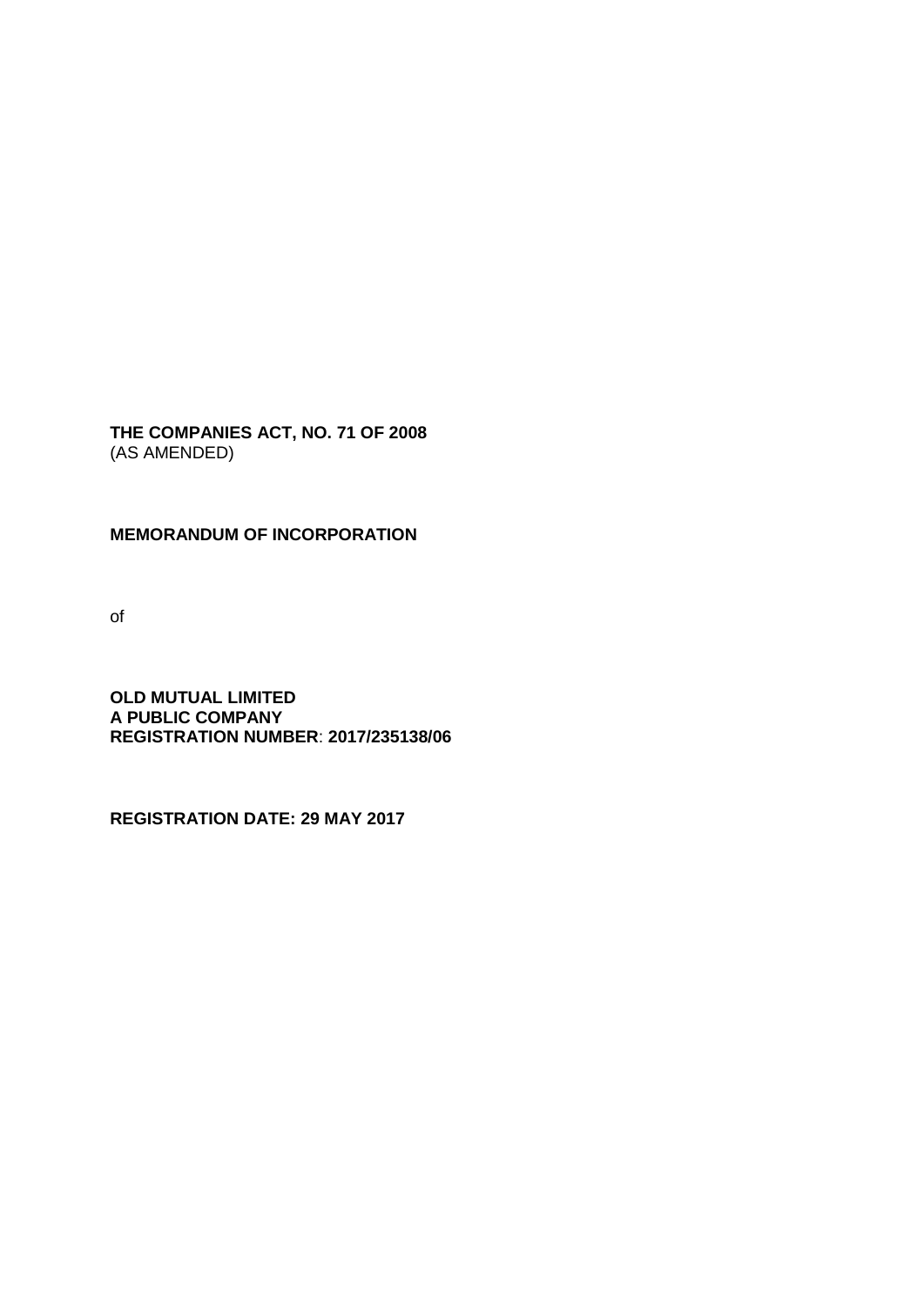# **THE COMPANIES ACT, NO. 71 OF 2008** (AS AMENDED)

#### **MEMORANDUM OF INCORPORATION**

of

**OLD MUTUAL LIMITED A PUBLIC COMPANY REGISTRATION NUMBER**: **2017/235138/06**

**REGISTRATION DATE: 29 MAY 2017**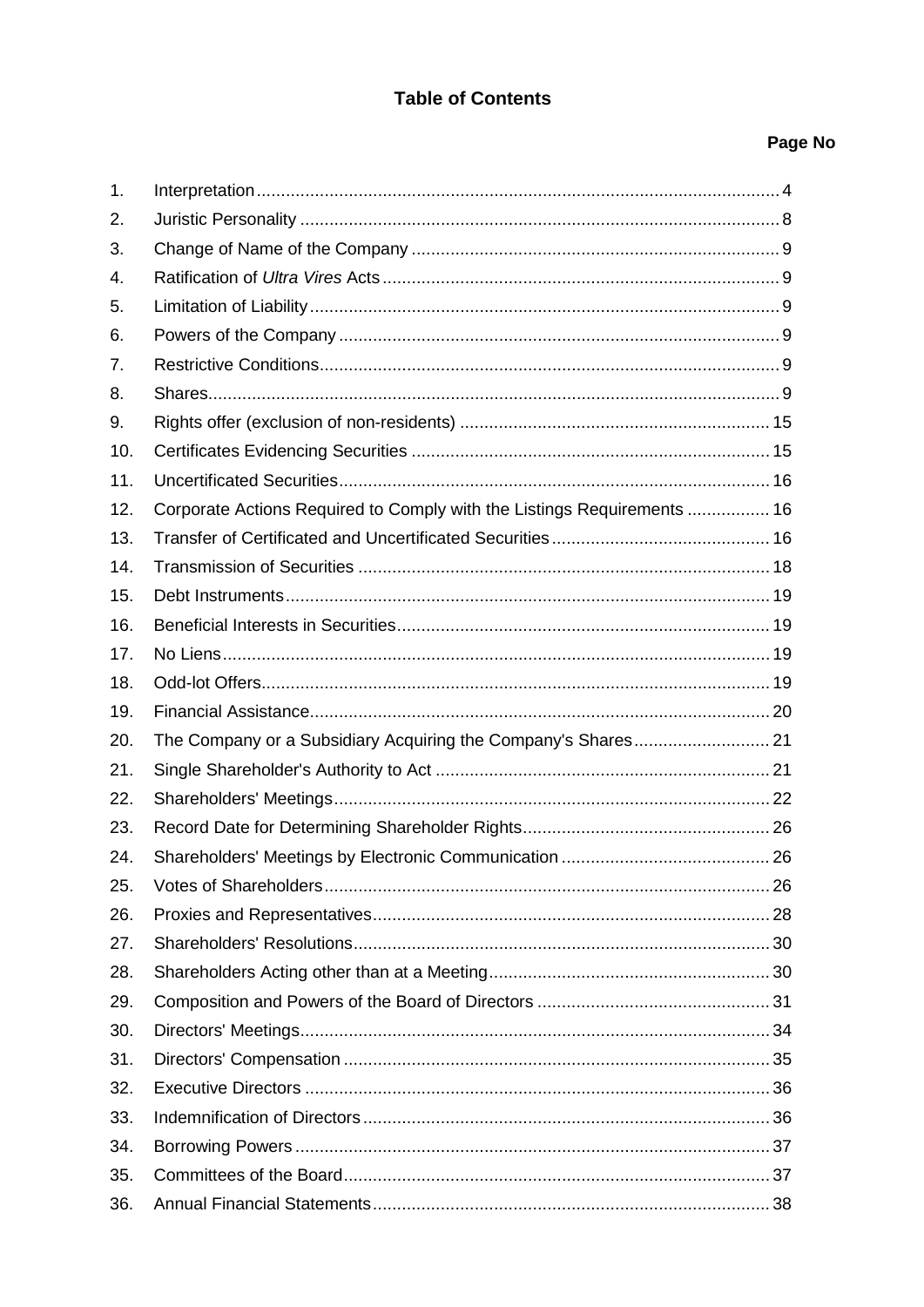# **Table of Contents**

# Page No

| 1.  |                                                                         |  |
|-----|-------------------------------------------------------------------------|--|
| 2.  |                                                                         |  |
| 3.  |                                                                         |  |
| 4.  |                                                                         |  |
| 5.  |                                                                         |  |
| 6.  |                                                                         |  |
| 7.  |                                                                         |  |
| 8.  |                                                                         |  |
| 9.  |                                                                         |  |
| 10. |                                                                         |  |
| 11. |                                                                         |  |
| 12. | Corporate Actions Required to Comply with the Listings Requirements  16 |  |
| 13. |                                                                         |  |
| 14. |                                                                         |  |
| 15. |                                                                         |  |
| 16. |                                                                         |  |
| 17. |                                                                         |  |
| 18. |                                                                         |  |
| 19. |                                                                         |  |
| 20. | The Company or a Subsidiary Acquiring the Company's Shares 21           |  |
| 21. |                                                                         |  |
| 22. |                                                                         |  |
| 23. |                                                                         |  |
| 24. |                                                                         |  |
| 25. |                                                                         |  |
| 26. |                                                                         |  |
| 27. |                                                                         |  |
| 28. |                                                                         |  |
| 29. |                                                                         |  |
| 30. |                                                                         |  |
| 31. |                                                                         |  |
| 32. |                                                                         |  |
| 33. |                                                                         |  |
| 34. |                                                                         |  |
| 35. |                                                                         |  |
| 36. |                                                                         |  |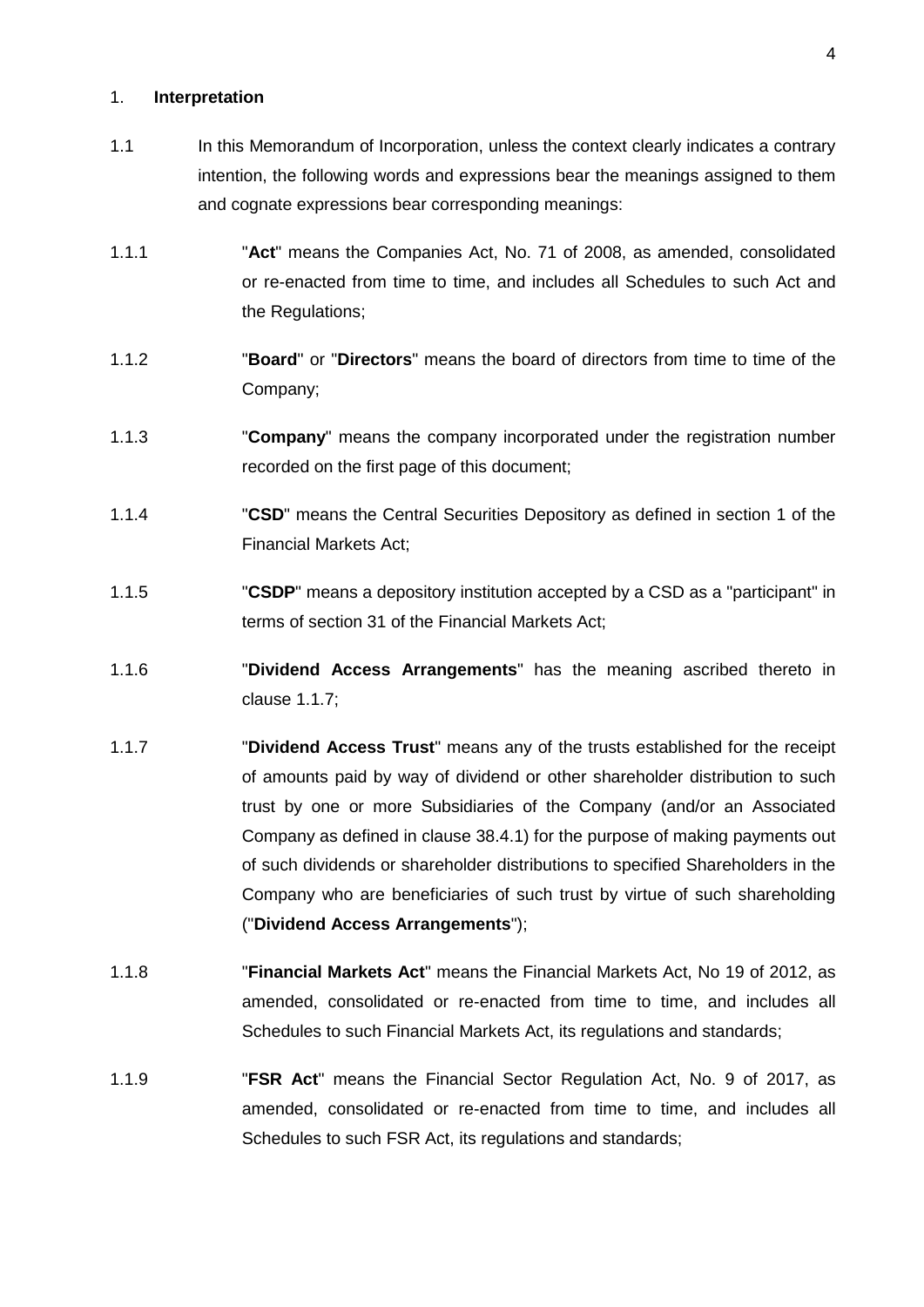#### <span id="page-3-0"></span>1. **Interpretation**

- 1.1 In this Memorandum of Incorporation, unless the context clearly indicates a contrary intention, the following words and expressions bear the meanings assigned to them and cognate expressions bear corresponding meanings:
- 1.1.1 "**Act**" means the Companies Act, No. 71 of 2008, as amended, consolidated or re-enacted from time to time, and includes all Schedules to such Act and the Regulations;
- 1.1.2 "**Board**" or "**Directors**" means the board of directors from time to time of the Company;
- 1.1.3 "**Company**" means the company incorporated under the registration number recorded on the first page of this document;
- 1.1.4 "**CSD**" means the Central Securities Depository as defined in section 1 of the Financial Markets Act;
- 1.1.5 "**CSDP**" means a depository institution accepted by a CSD as a "participant" in terms of section 31 of the Financial Markets Act;
- 1.1.6 "**Dividend Access Arrangements**" has the meaning ascribed thereto in clause [1.1.7;](#page-3-1)
- <span id="page-3-1"></span>1.1.7 "**Dividend Access Trust**" means any of the trusts established for the receipt of amounts paid by way of dividend or other shareholder distribution to such trust by one or more Subsidiaries of the Company (and/or an Associated Company as defined in clause [38.4.1\)](#page-41-0) for the purpose of making payments out of such dividends or shareholder distributions to specified Shareholders in the Company who are beneficiaries of such trust by virtue of such shareholding ("**Dividend Access Arrangements**");
- 1.1.8 "**Financial Markets Act**" means the Financial Markets Act, No 19 of 2012, as amended, consolidated or re-enacted from time to time, and includes all Schedules to such Financial Markets Act, its regulations and standards;
- 1.1.9 "**FSR Act**" means the Financial Sector Regulation Act, No. 9 of 2017, as amended, consolidated or re-enacted from time to time, and includes all Schedules to such FSR Act, its regulations and standards;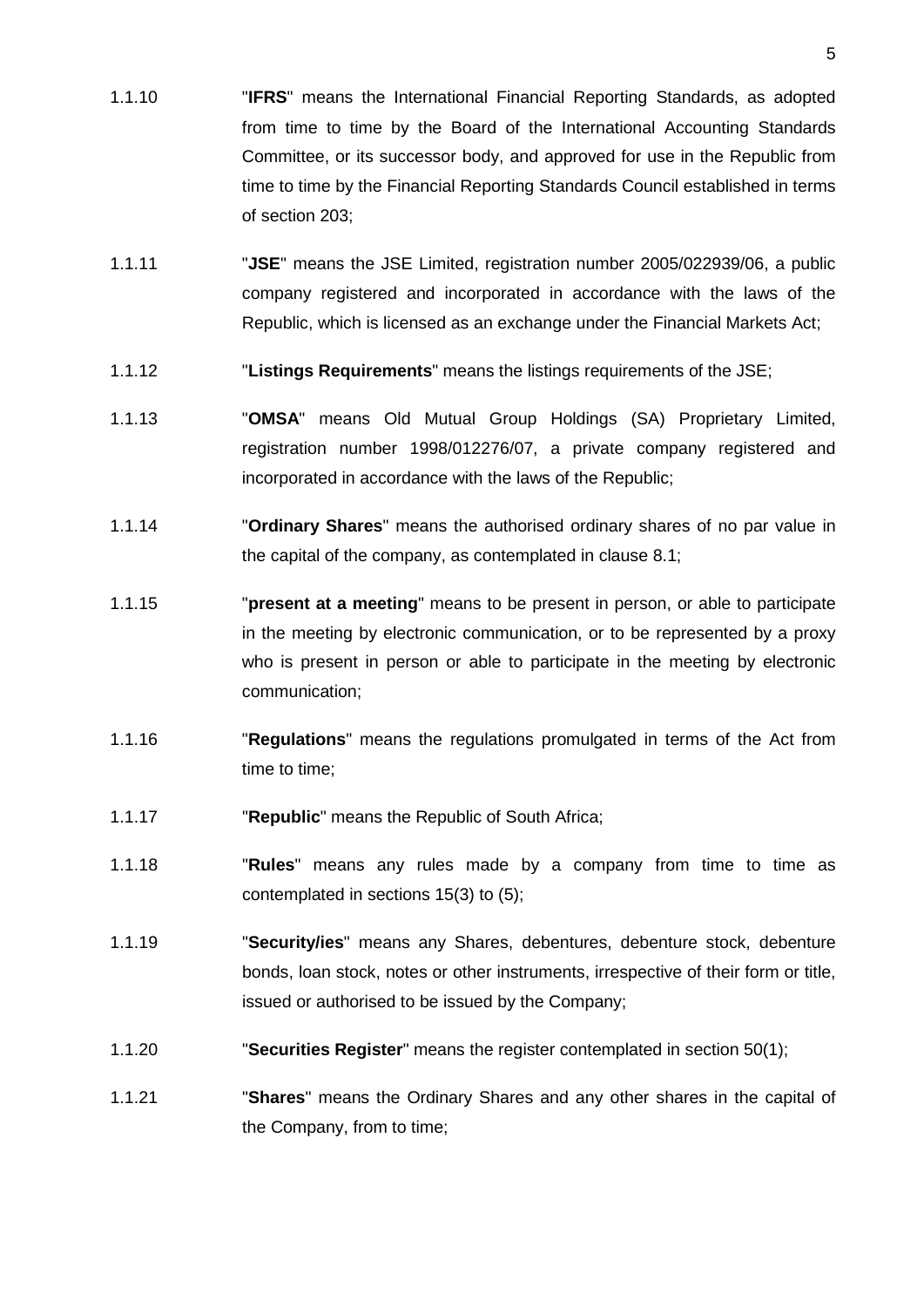- 1.1.10 "**IFRS**" means the International Financial Reporting Standards, as adopted from time to time by the Board of the International Accounting Standards Committee, or its successor body, and approved for use in the Republic from time to time by the Financial Reporting Standards Council established in terms of section 203;
- 1.1.11 "**JSE**" means the JSE Limited, registration number 2005/022939/06, a public company registered and incorporated in accordance with the laws of the Republic, which is licensed as an exchange under the Financial Markets Act;
- 1.1.12 "**Listings Requirements**" means the listings requirements of the JSE;
- 1.1.13 "**OMSA**" means Old Mutual Group Holdings (SA) Proprietary Limited, registration number 1998/012276/07, a private company registered and incorporated in accordance with the laws of the Republic;
- 1.1.14 "**Ordinary Shares**" means the authorised ordinary shares of no par value in the capital of the company, as contemplated in clause [8.1;](#page-8-6)
- 1.1.15 "**present at a meeting**" means to be present in person, or able to participate in the meeting by electronic communication, or to be represented by a proxy who is present in person or able to participate in the meeting by electronic communication;
- 1.1.16 "**Regulations**" means the regulations promulgated in terms of the Act from time to time;
- 1.1.17 "**Republic**" means the Republic of South Africa;
- 1.1.18 "**Rules**" means any rules made by a company from time to time as contemplated in sections 15(3) to (5);
- 1.1.19 "**Security/ies**" means any Shares, debentures, debenture stock, debenture bonds, loan stock, notes or other instruments, irrespective of their form or title, issued or authorised to be issued by the Company;
- 1.1.20 "**Securities Register**" means the register contemplated in section 50(1);
- 1.1.21 "**Shares**" means the Ordinary Shares and any other shares in the capital of the Company, from to time;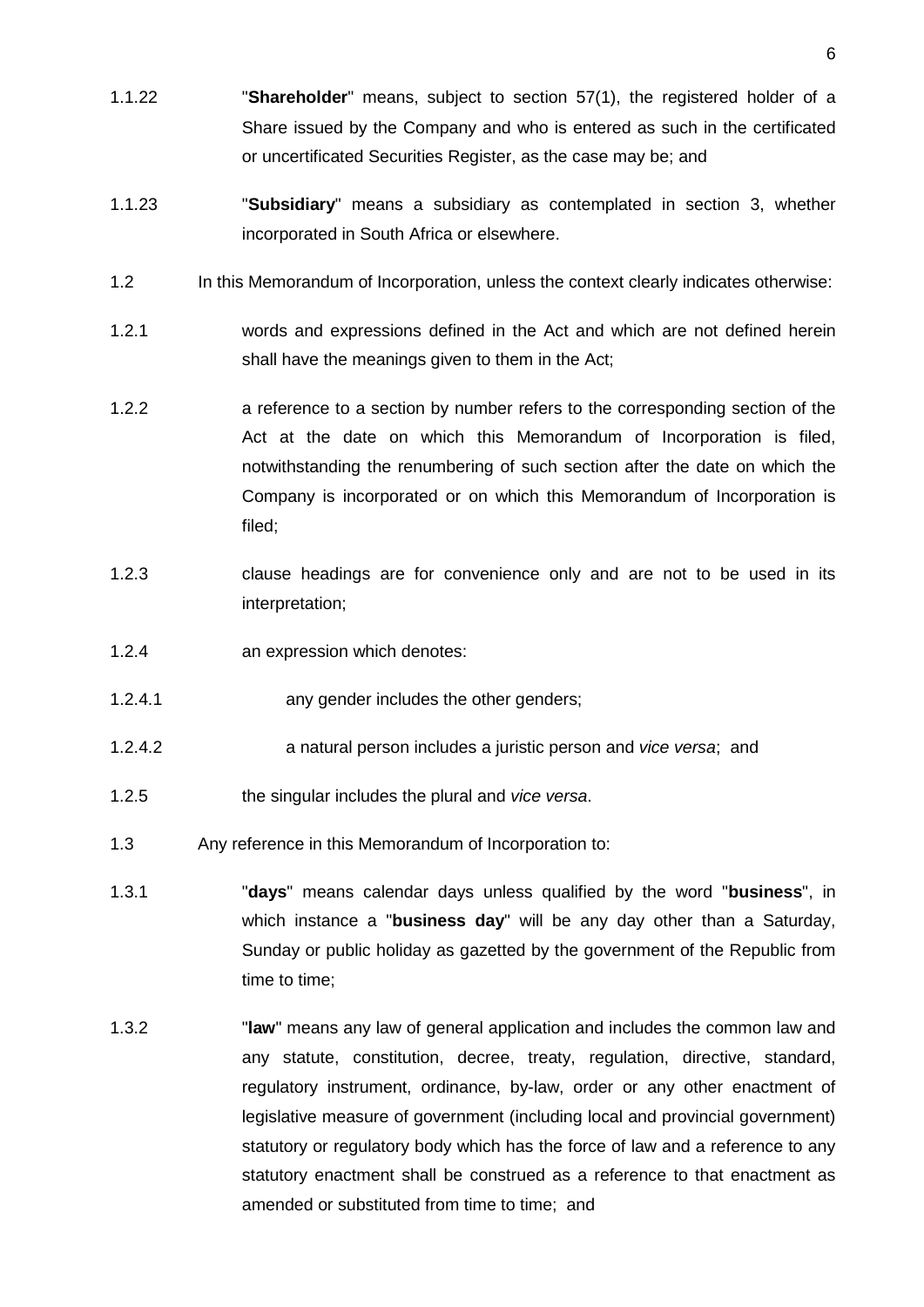- 1.1.22 "**Shareholder**" means, subject to section 57(1), the registered holder of a Share issued by the Company and who is entered as such in the certificated or uncertificated Securities Register, as the case may be; and
- 1.1.23 "**Subsidiary**" means a subsidiary as contemplated in section 3, whether incorporated in South Africa or elsewhere.
- 1.2 In this Memorandum of Incorporation, unless the context clearly indicates otherwise:
- 1.2.1 words and expressions defined in the Act and which are not defined herein shall have the meanings given to them in the Act;
- 1.2.2 a reference to a section by number refers to the corresponding section of the Act at the date on which this Memorandum of Incorporation is filed, notwithstanding the renumbering of such section after the date on which the Company is incorporated or on which this Memorandum of Incorporation is filed;
- 1.2.3 clause headings are for convenience only and are not to be used in its interpretation;
- 1.2.4 an expression which denotes:
- 1.2.4.1 any gender includes the other genders;
- 1.2.4.2 a natural person includes a juristic person and *vice versa*; and
- 1.2.5 the singular includes the plural and *vice versa*.
- 1.3 Any reference in this Memorandum of Incorporation to:
- 1.3.1 "**days**" means calendar days unless qualified by the word "**business**", in which instance a "**business day**" will be any day other than a Saturday, Sunday or public holiday as gazetted by the government of the Republic from time to time;
- 1.3.2 "**law**" means any law of general application and includes the common law and any statute, constitution, decree, treaty, regulation, directive, standard, regulatory instrument, ordinance, by-law, order or any other enactment of legislative measure of government (including local and provincial government) statutory or regulatory body which has the force of law and a reference to any statutory enactment shall be construed as a reference to that enactment as amended or substituted from time to time; and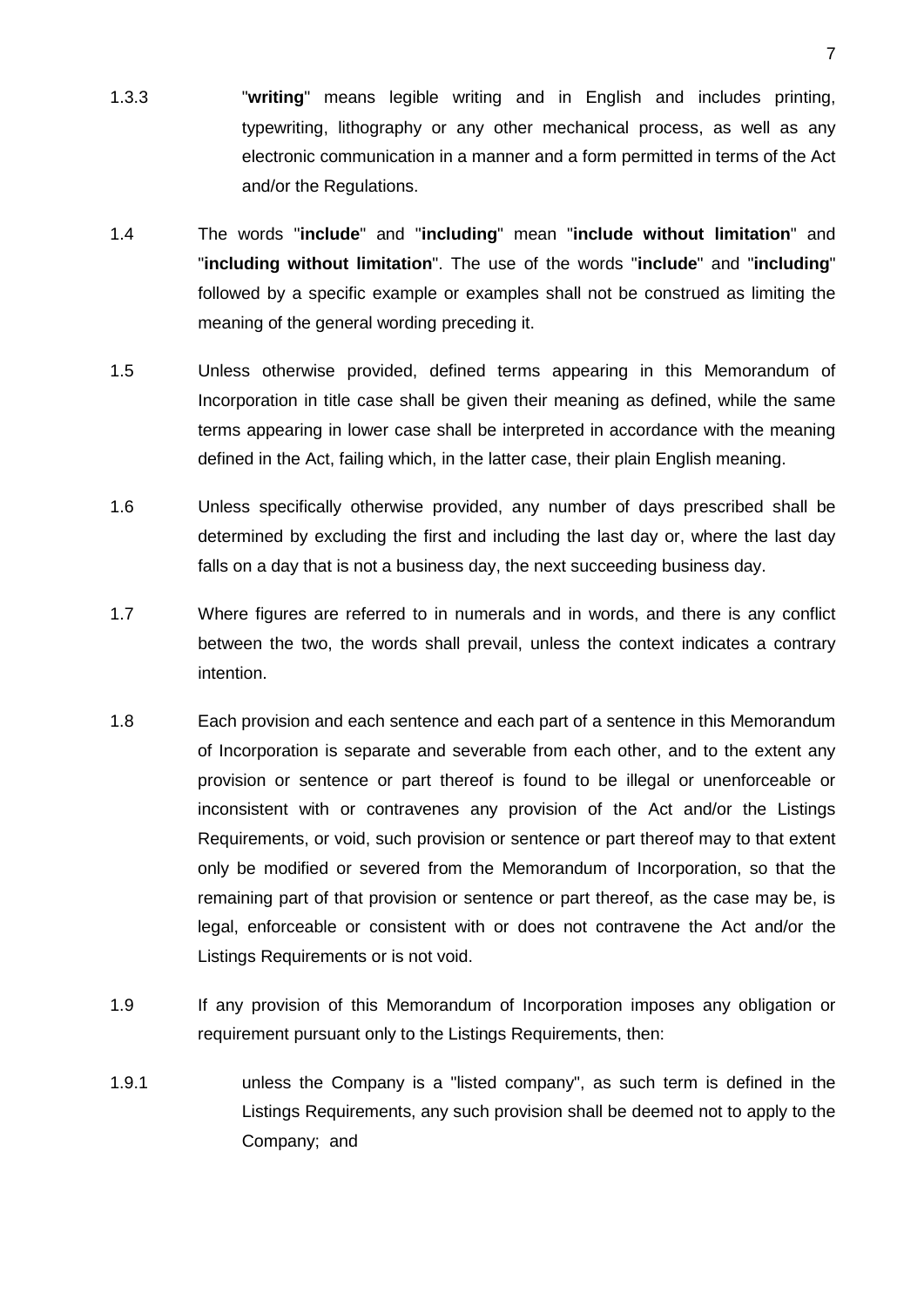- 1.3.3 "**writing**" means legible writing and in English and includes printing, typewriting, lithography or any other mechanical process, as well as any electronic communication in a manner and a form permitted in terms of the Act and/or the Regulations.
- 1.4 The words "**include**" and "**including**" mean "**include without limitation**" and "**including without limitation**". The use of the words "**include**" and "**including**" followed by a specific example or examples shall not be construed as limiting the meaning of the general wording preceding it.
- 1.5 Unless otherwise provided, defined terms appearing in this Memorandum of Incorporation in title case shall be given their meaning as defined, while the same terms appearing in lower case shall be interpreted in accordance with the meaning defined in the Act, failing which, in the latter case, their plain English meaning.
- 1.6 Unless specifically otherwise provided, any number of days prescribed shall be determined by excluding the first and including the last day or, where the last day falls on a day that is not a business day, the next succeeding business day.
- 1.7 Where figures are referred to in numerals and in words, and there is any conflict between the two, the words shall prevail, unless the context indicates a contrary intention.
- 1.8 Each provision and each sentence and each part of a sentence in this Memorandum of Incorporation is separate and severable from each other, and to the extent any provision or sentence or part thereof is found to be illegal or unenforceable or inconsistent with or contravenes any provision of the Act and/or the Listings Requirements, or void, such provision or sentence or part thereof may to that extent only be modified or severed from the Memorandum of Incorporation, so that the remaining part of that provision or sentence or part thereof, as the case may be, is legal, enforceable or consistent with or does not contravene the Act and/or the Listings Requirements or is not void.
- 1.9 If any provision of this Memorandum of Incorporation imposes any obligation or requirement pursuant only to the Listings Requirements, then:
- 1.9.1 unless the Company is a "listed company", as such term is defined in the Listings Requirements, any such provision shall be deemed not to apply to the Company; and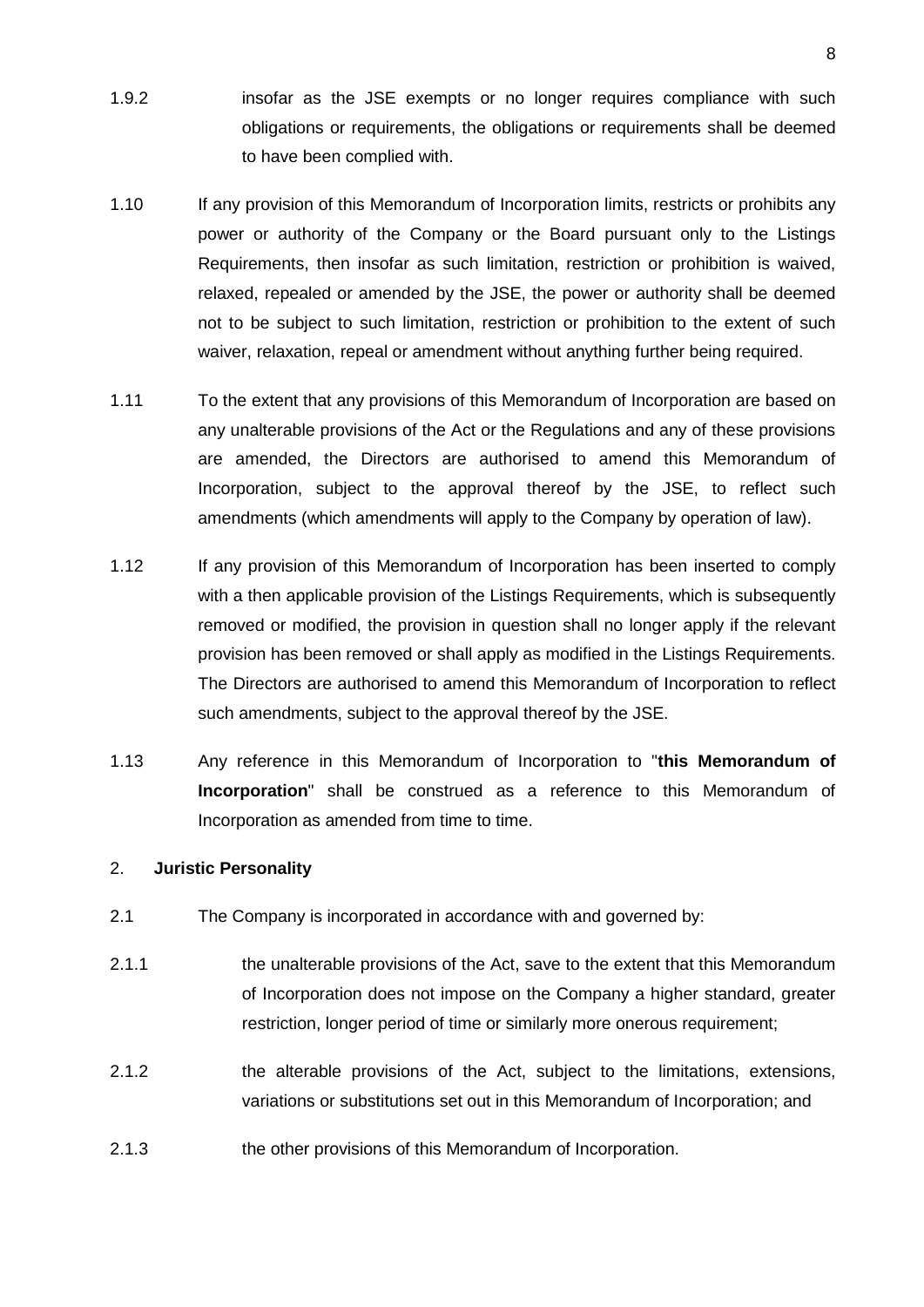- 1.9.2 **insofar as the JSE** exempts or no longer requires compliance with such obligations or requirements, the obligations or requirements shall be deemed to have been complied with.
- 1.10 If any provision of this Memorandum of Incorporation limits, restricts or prohibits any power or authority of the Company or the Board pursuant only to the Listings Requirements, then insofar as such limitation, restriction or prohibition is waived, relaxed, repealed or amended by the JSE, the power or authority shall be deemed not to be subject to such limitation, restriction or prohibition to the extent of such waiver, relaxation, repeal or amendment without anything further being required.
- 1.11 To the extent that any provisions of this Memorandum of Incorporation are based on any unalterable provisions of the Act or the Regulations and any of these provisions are amended, the Directors are authorised to amend this Memorandum of Incorporation, subject to the approval thereof by the JSE, to reflect such amendments (which amendments will apply to the Company by operation of law).
- 1.12 If any provision of this Memorandum of Incorporation has been inserted to comply with a then applicable provision of the Listings Requirements, which is subsequently removed or modified, the provision in question shall no longer apply if the relevant provision has been removed or shall apply as modified in the Listings Requirements. The Directors are authorised to amend this Memorandum of Incorporation to reflect such amendments, subject to the approval thereof by the JSE.
- 1.13 Any reference in this Memorandum of Incorporation to "**this Memorandum of Incorporation**" shall be construed as a reference to this Memorandum of Incorporation as amended from time to time.

# <span id="page-7-0"></span>2. **Juristic Personality**

- 2.1 The Company is incorporated in accordance with and governed by:
- 2.1.1 the unalterable provisions of the Act, save to the extent that this Memorandum of Incorporation does not impose on the Company a higher standard, greater restriction, longer period of time or similarly more onerous requirement;
- 2.1.2 the alterable provisions of the Act, subject to the limitations, extensions, variations or substitutions set out in this Memorandum of Incorporation; and
- 2.1.3 the other provisions of this Memorandum of Incorporation.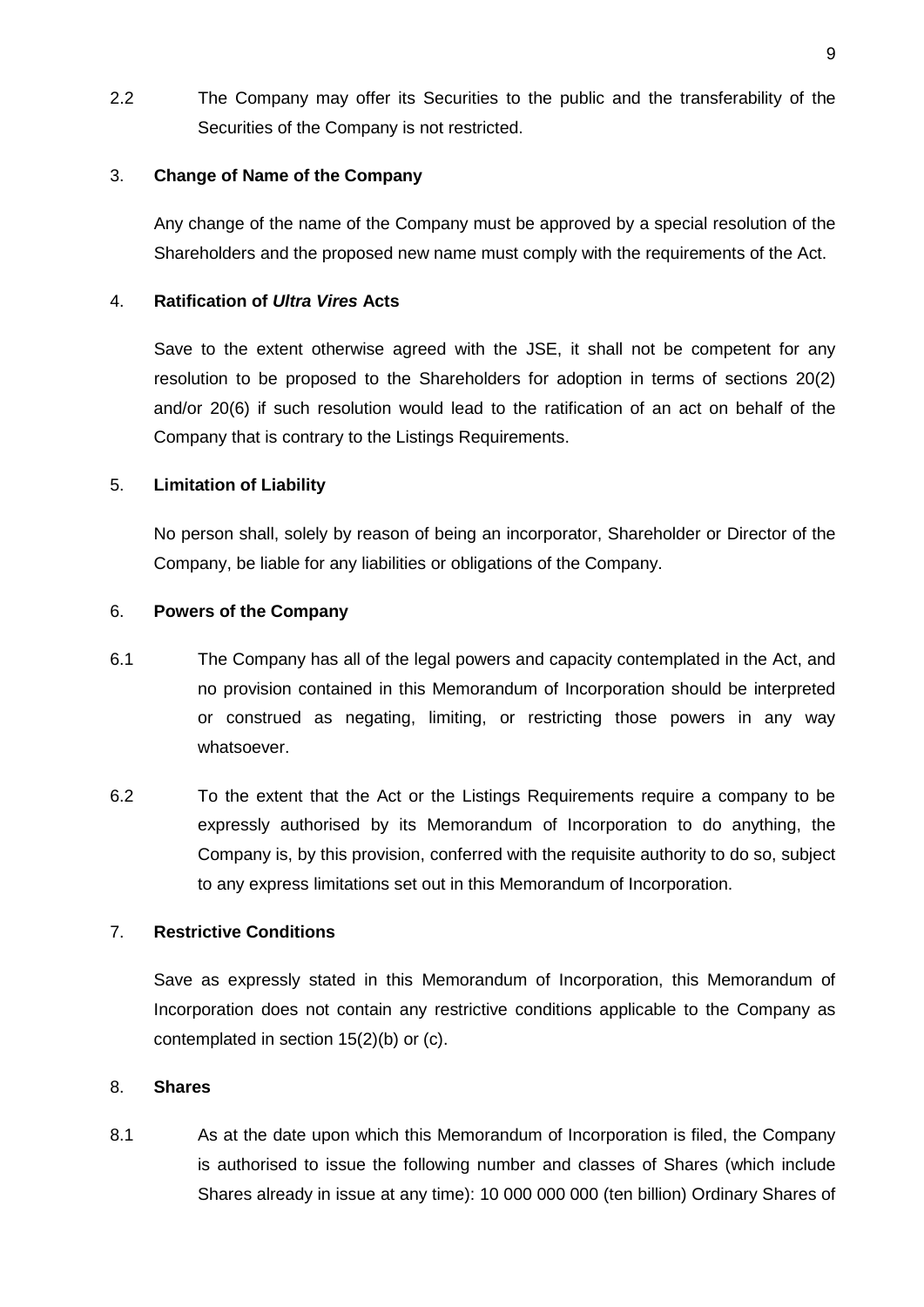2.2 The Company may offer its Securities to the public and the transferability of the Securities of the Company is not restricted.

# <span id="page-8-0"></span>3. **Change of Name of the Company**

Any change of the name of the Company must be approved by a special resolution of the Shareholders and the proposed new name must comply with the requirements of the Act.

# <span id="page-8-1"></span>4. **Ratification of** *Ultra Vires* **Acts**

Save to the extent otherwise agreed with the JSE, it shall not be competent for any resolution to be proposed to the Shareholders for adoption in terms of sections 20(2) and/or 20(6) if such resolution would lead to the ratification of an act on behalf of the Company that is contrary to the Listings Requirements.

# <span id="page-8-2"></span>5. **Limitation of Liability**

No person shall, solely by reason of being an incorporator, Shareholder or Director of the Company, be liable for any liabilities or obligations of the Company.

# <span id="page-8-3"></span>6. **Powers of the Company**

- 6.1 The Company has all of the legal powers and capacity contemplated in the Act, and no provision contained in this Memorandum of Incorporation should be interpreted or construed as negating, limiting, or restricting those powers in any way whatsoever.
- 6.2 To the extent that the Act or the Listings Requirements require a company to be expressly authorised by its Memorandum of Incorporation to do anything, the Company is, by this provision, conferred with the requisite authority to do so, subject to any express limitations set out in this Memorandum of Incorporation.

# <span id="page-8-4"></span>7. **Restrictive Conditions**

Save as expressly stated in this Memorandum of Incorporation, this Memorandum of Incorporation does not contain any restrictive conditions applicable to the Company as contemplated in section 15(2)(b) or (c).

# <span id="page-8-5"></span>8. **Shares**

<span id="page-8-6"></span>8.1 As at the date upon which this Memorandum of Incorporation is filed, the Company is authorised to issue the following number and classes of Shares (which include Shares already in issue at any time): 10 000 000 000 (ten billion) Ordinary Shares of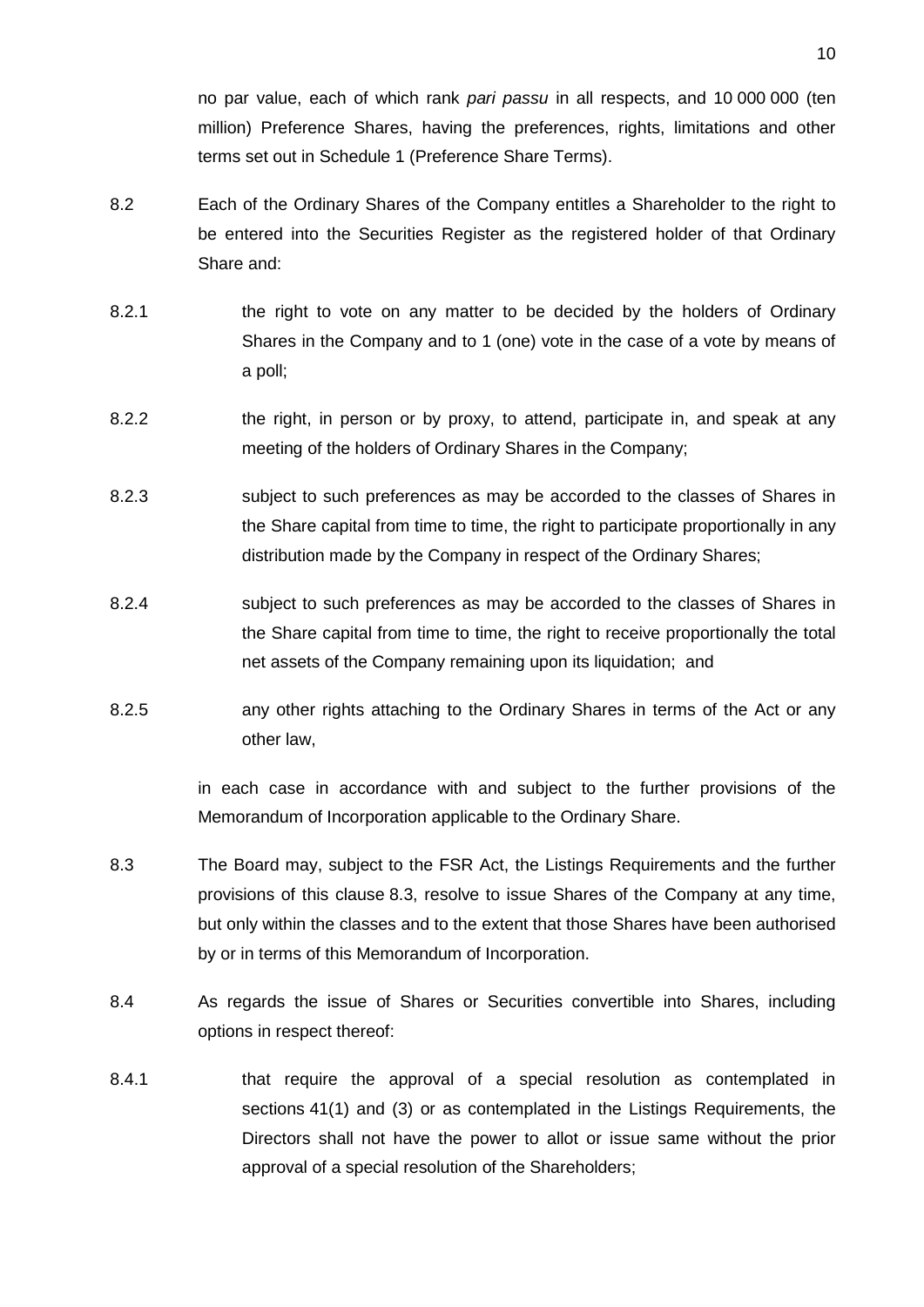no par value, each of which rank *pari passu* in all respects, and 10 000 000 (ten million) Preference Shares, having the preferences, rights, limitations and other terms set out in Schedule 1 (Preference Share Terms).

- 8.2 Each of the Ordinary Shares of the Company entitles a Shareholder to the right to be entered into the Securities Register as the registered holder of that Ordinary Share and:
- 8.2.1 the right to vote on any matter to be decided by the holders of Ordinary Shares in the Company and to 1 (one) vote in the case of a vote by means of a poll;
- 8.2.2 the right, in person or by proxy, to attend, participate in, and speak at any meeting of the holders of Ordinary Shares in the Company;
- 8.2.3 subject to such preferences as may be accorded to the classes of Shares in the Share capital from time to time, the right to participate proportionally in any distribution made by the Company in respect of the Ordinary Shares;
- 8.2.4 subject to such preferences as may be accorded to the classes of Shares in the Share capital from time to time, the right to receive proportionally the total net assets of the Company remaining upon its liquidation; and
- 8.2.5 any other rights attaching to the Ordinary Shares in terms of the Act or any other law,

in each case in accordance with and subject to the further provisions of the Memorandum of Incorporation applicable to the Ordinary Share.

- <span id="page-9-0"></span>8.3 The Board may, subject to the FSR Act, the Listings Requirements and the further provisions of this clause [8.3,](#page-9-0) resolve to issue Shares of the Company at any time, but only within the classes and to the extent that those Shares have been authorised by or in terms of this Memorandum of Incorporation.
- 8.4 As regards the issue of Shares or Securities convertible into Shares, including options in respect thereof:
- <span id="page-9-1"></span>8.4.1 that require the approval of a special resolution as contemplated in sections 41(1) and (3) or as contemplated in the Listings Requirements, the Directors shall not have the power to allot or issue same without the prior approval of a special resolution of the Shareholders;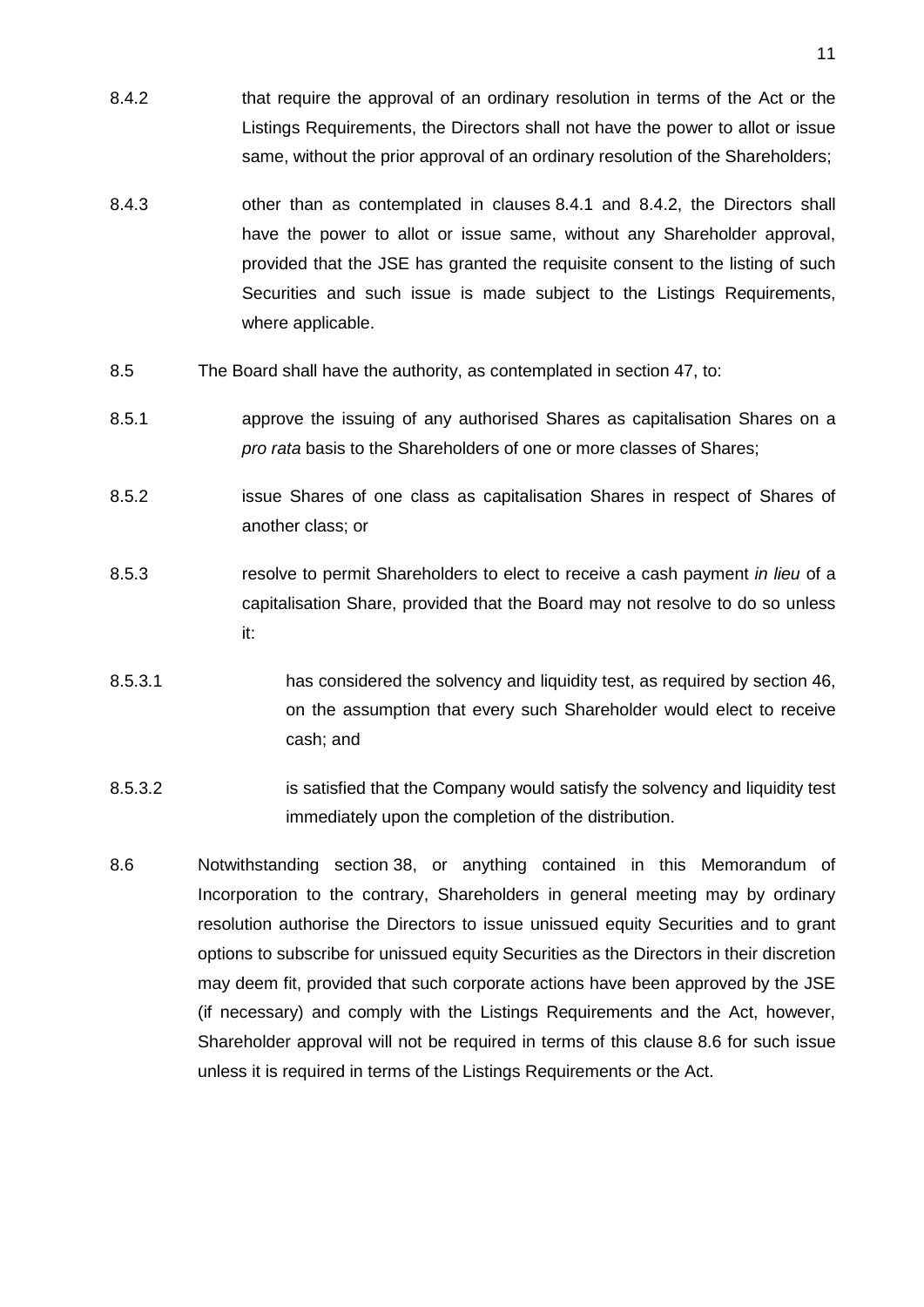- <span id="page-10-0"></span>8.4.2 that require the approval of an ordinary resolution in terms of the Act or the Listings Requirements, the Directors shall not have the power to allot or issue same, without the prior approval of an ordinary resolution of the Shareholders;
- 8.4.3 other than as contemplated in clauses [8.4.1](#page-9-1) and [8.4.2,](#page-10-0) the Directors shall have the power to allot or issue same, without any Shareholder approval, provided that the JSE has granted the requisite consent to the listing of such Securities and such issue is made subject to the Listings Requirements, where applicable.
- 8.5 The Board shall have the authority, as contemplated in section 47, to:
- 8.5.1 approve the issuing of any authorised Shares as capitalisation Shares on a *pro rata* basis to the Shareholders of one or more classes of Shares;
- 8.5.2 issue Shares of one class as capitalisation Shares in respect of Shares of another class; or
- 8.5.3 resolve to permit Shareholders to elect to receive a cash payment *in lieu* of a capitalisation Share, provided that the Board may not resolve to do so unless it:
- 8.5.3.1 has considered the solvency and liquidity test, as required by section 46, on the assumption that every such Shareholder would elect to receive cash; and
- 8.5.3.2 is satisfied that the Company would satisfy the solvency and liquidity test immediately upon the completion of the distribution.
- <span id="page-10-1"></span>8.6 Notwithstanding section 38, or anything contained in this Memorandum of Incorporation to the contrary, Shareholders in general meeting may by ordinary resolution authorise the Directors to issue unissued equity Securities and to grant options to subscribe for unissued equity Securities as the Directors in their discretion may deem fit, provided that such corporate actions have been approved by the JSE (if necessary) and comply with the Listings Requirements and the Act, however, Shareholder approval will not be required in terms of this clause [8.6](#page-10-1) for such issue unless it is required in terms of the Listings Requirements or the Act.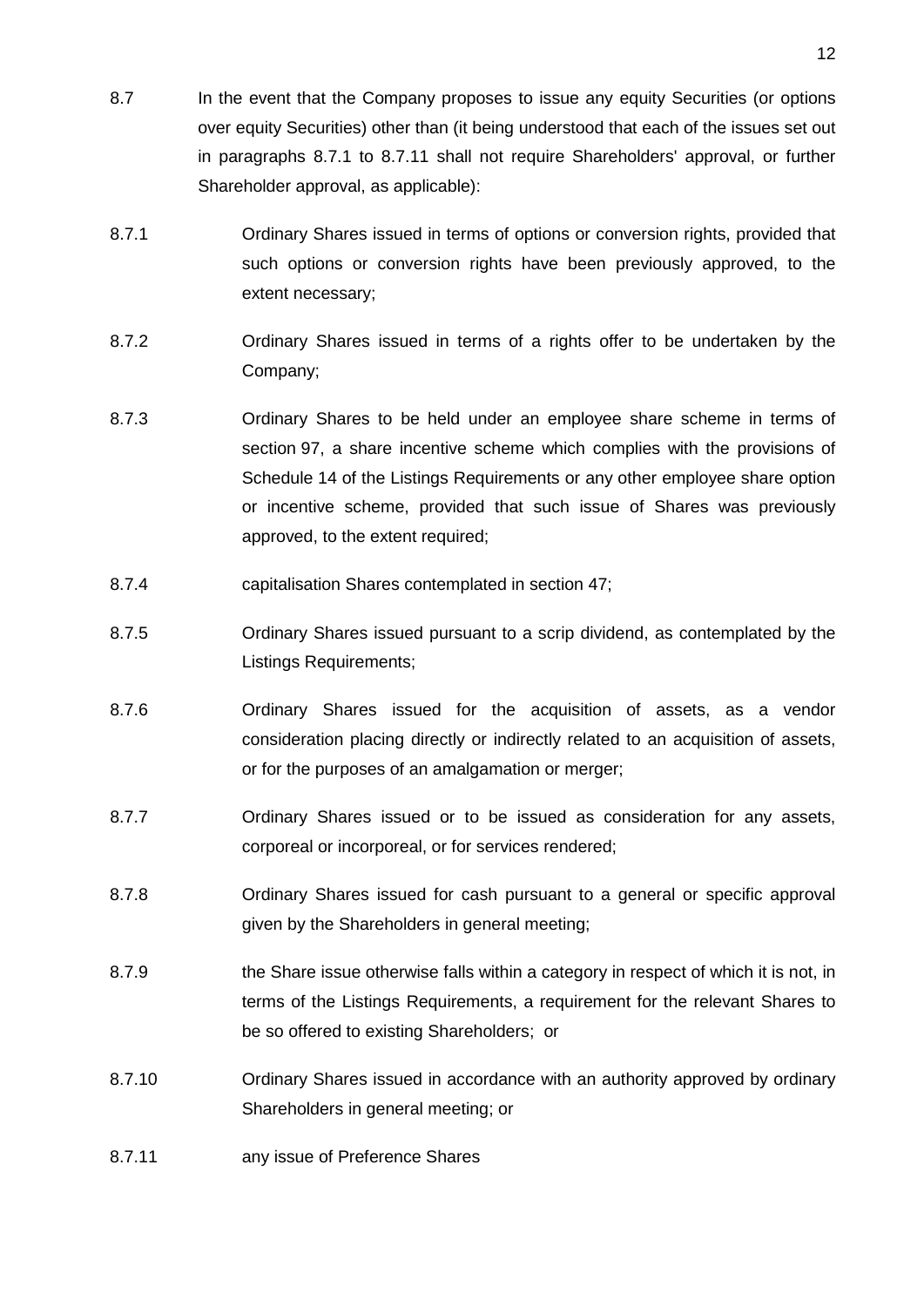- <span id="page-11-2"></span>8.7 In the event that the Company proposes to issue any equity Securities (or options over equity Securities) other than (it being understood that each of the issues set out in paragraphs [8.7.1](#page-11-0) to [8.7.11](#page-11-1) shall not require Shareholders' approval, or further Shareholder approval, as applicable):
- <span id="page-11-0"></span>8.7.1 Ordinary Shares issued in terms of options or conversion rights, provided that such options or conversion rights have been previously approved, to the extent necessary;
- 8.7.2 Ordinary Shares issued in terms of a rights offer to be undertaken by the Company;
- 8.7.3 Ordinary Shares to be held under an employee share scheme in terms of section 97, a share incentive scheme which complies with the provisions of Schedule 14 of the Listings Requirements or any other employee share option or incentive scheme, provided that such issue of Shares was previously approved, to the extent required;
- 8.7.4 capitalisation Shares contemplated in section 47;
- 8.7.5 Ordinary Shares issued pursuant to a scrip dividend, as contemplated by the Listings Requirements;
- 8.7.6 Ordinary Shares issued for the acquisition of assets, as a vendor consideration placing directly or indirectly related to an acquisition of assets, or for the purposes of an amalgamation or merger;
- 8.7.7 Ordinary Shares issued or to be issued as consideration for any assets, corporeal or incorporeal, or for services rendered;
- 8.7.8 Ordinary Shares issued for cash pursuant to a general or specific approval given by the Shareholders in general meeting;
- 8.7.9 the Share issue otherwise falls within a category in respect of which it is not, in terms of the Listings Requirements, a requirement for the relevant Shares to be so offered to existing Shareholders; or
- 8.7.10 Ordinary Shares issued in accordance with an authority approved by ordinary Shareholders in general meeting; or
- <span id="page-11-1"></span>8.7.11 any issue of Preference Shares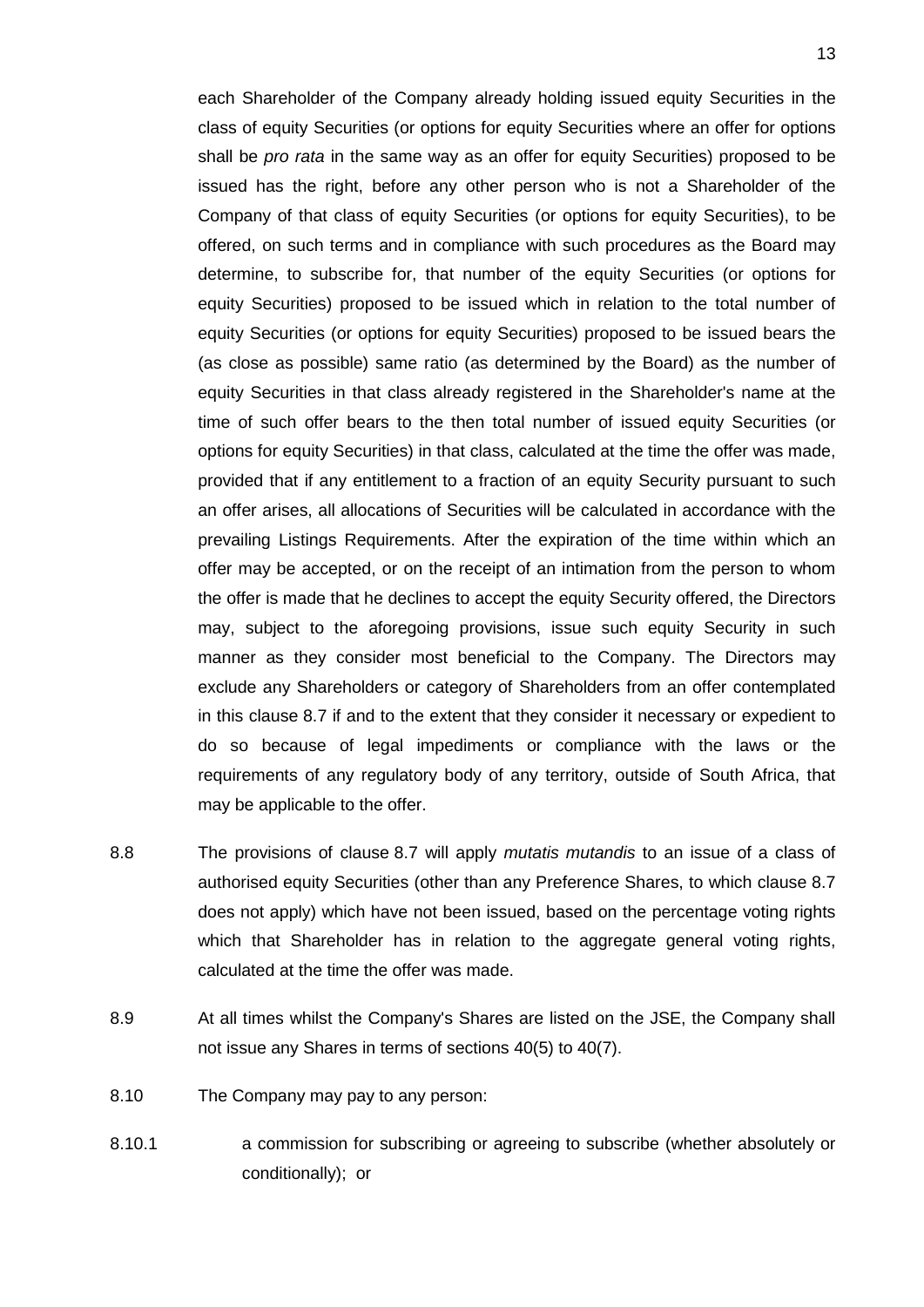each Shareholder of the Company already holding issued equity Securities in the class of equity Securities (or options for equity Securities where an offer for options shall be *pro rata* in the same way as an offer for equity Securities) proposed to be issued has the right, before any other person who is not a Shareholder of the Company of that class of equity Securities (or options for equity Securities), to be offered, on such terms and in compliance with such procedures as the Board may determine, to subscribe for, that number of the equity Securities (or options for equity Securities) proposed to be issued which in relation to the total number of equity Securities (or options for equity Securities) proposed to be issued bears the (as close as possible) same ratio (as determined by the Board) as the number of equity Securities in that class already registered in the Shareholder's name at the time of such offer bears to the then total number of issued equity Securities (or options for equity Securities) in that class, calculated at the time the offer was made, provided that if any entitlement to a fraction of an equity Security pursuant to such an offer arises, all allocations of Securities will be calculated in accordance with the prevailing Listings Requirements. After the expiration of the time within which an offer may be accepted, or on the receipt of an intimation from the person to whom the offer is made that he declines to accept the equity Security offered, the Directors may, subject to the aforegoing provisions, issue such equity Security in such manner as they consider most beneficial to the Company. The Directors may exclude any Shareholders or category of Shareholders from an offer contemplated in this clause [8.7](#page-11-2) if and to the extent that they consider it necessary or expedient to do so because of legal impediments or compliance with the laws or the requirements of any regulatory body of any territory, outside of South Africa, that may be applicable to the offer.

- 8.8 The provisions of clause [8.7](#page-11-2) will apply *mutatis mutandis* to an issue of a class of authorised equity Securities (other than any Preference Shares, to which clause [8.7](#page-11-2) does not apply) which have not been issued, based on the percentage voting rights which that Shareholder has in relation to the aggregate general voting rights, calculated at the time the offer was made.
- 8.9 At all times whilst the Company's Shares are listed on the JSE, the Company shall not issue any Shares in terms of sections 40(5) to 40(7).
- 8.10 The Company may pay to any person:
- 8.10.1 a commission for subscribing or agreeing to subscribe (whether absolutely or conditionally); or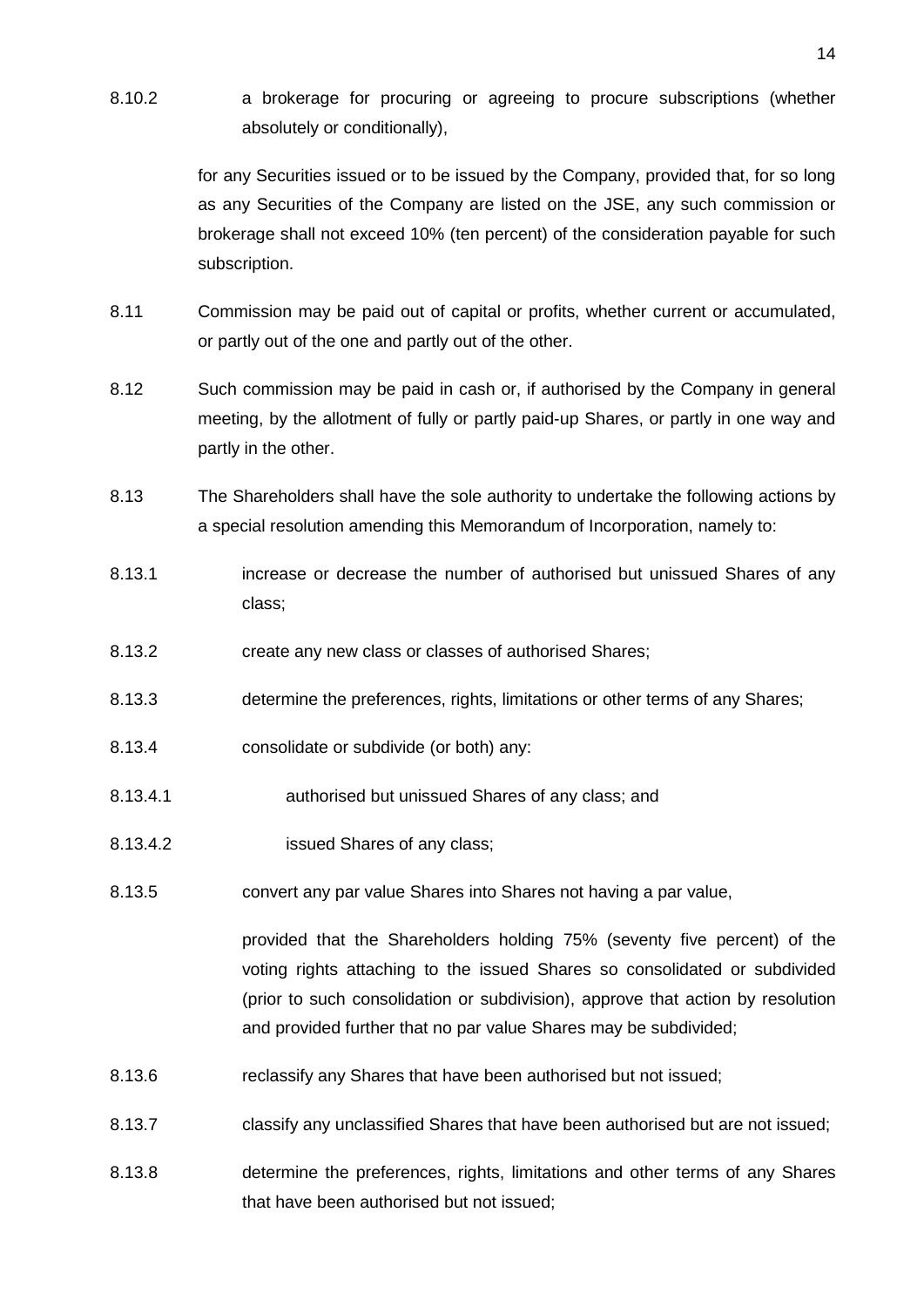8.10.2 a brokerage for procuring or agreeing to procure subscriptions (whether absolutely or conditionally),

> for any Securities issued or to be issued by the Company, provided that, for so long as any Securities of the Company are listed on the JSE, any such commission or brokerage shall not exceed 10% (ten percent) of the consideration payable for such subscription.

- 8.11 Commission may be paid out of capital or profits, whether current or accumulated, or partly out of the one and partly out of the other.
- 8.12 Such commission may be paid in cash or, if authorised by the Company in general meeting, by the allotment of fully or partly paid-up Shares, or partly in one way and partly in the other.
- <span id="page-13-0"></span>8.13 The Shareholders shall have the sole authority to undertake the following actions by a special resolution amending this Memorandum of Incorporation, namely to:
- 8.13.1 increase or decrease the number of authorised but unissued Shares of any class;
- 8.13.2 create any new class or classes of authorised Shares;
- 8.13.3 determine the preferences, rights, limitations or other terms of any Shares;
- 8.13.4 consolidate or subdivide (or both) any:
- 8.13.4.1 authorised but unissued Shares of any class; and
- 8.13.4.2 issued Shares of any class;
- 8.13.5 convert any par value Shares into Shares not having a par value,

provided that the Shareholders holding 75% (seventy five percent) of the voting rights attaching to the issued Shares so consolidated or subdivided (prior to such consolidation or subdivision), approve that action by resolution and provided further that no par value Shares may be subdivided;

- 8.13.6 reclassify any Shares that have been authorised but not issued;
- 8.13.7 classify any unclassified Shares that have been authorised but are not issued;
- 8.13.8 determine the preferences, rights, limitations and other terms of any Shares that have been authorised but not issued;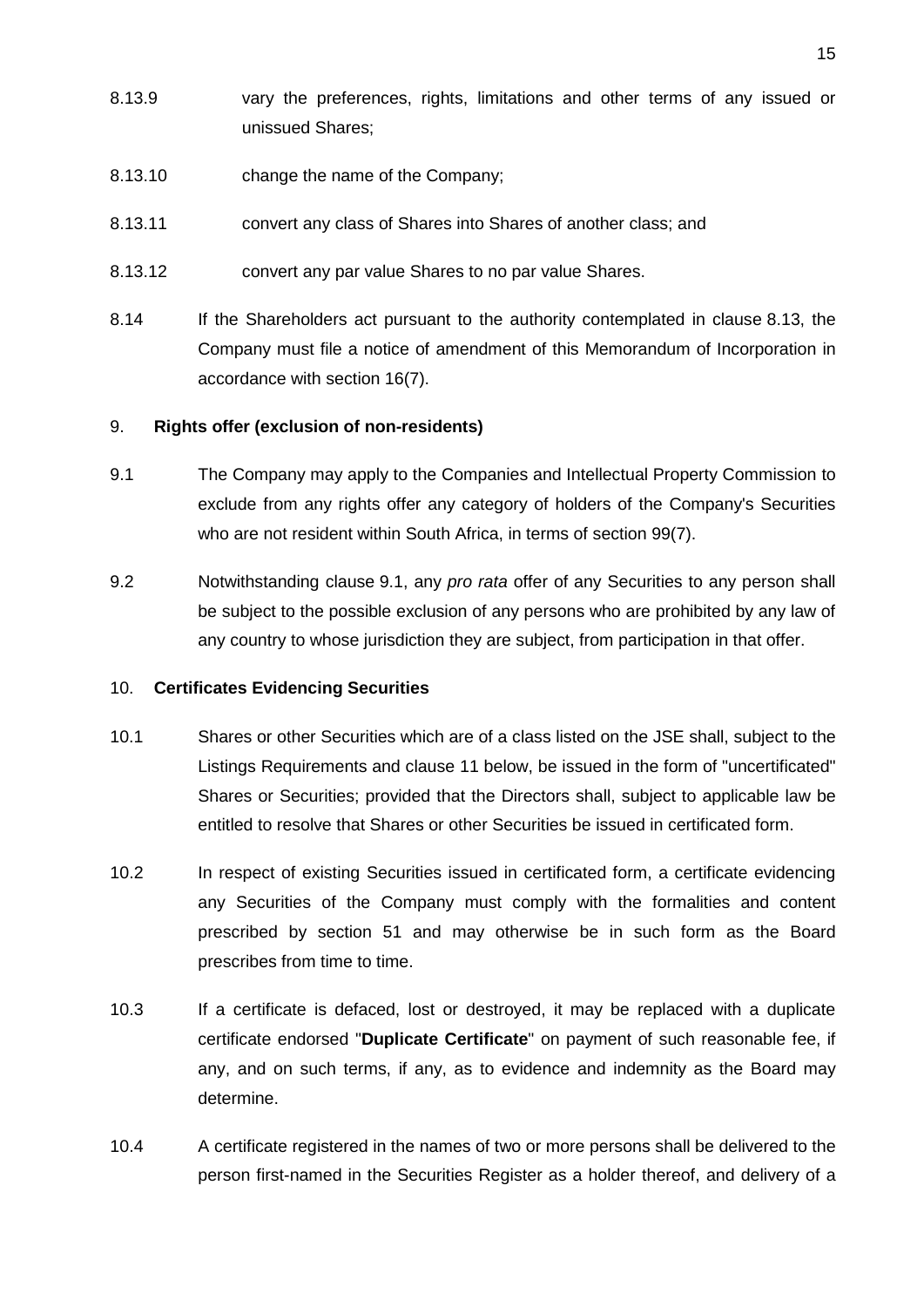- 8.13.9 vary the preferences, rights, limitations and other terms of any issued or unissued Shares;
- 8.13.10 change the name of the Company;
- 8.13.11 convert any class of Shares into Shares of another class; and
- 8.13.12 convert any par value Shares to no par value Shares.
- 8.14 If the Shareholders act pursuant to the authority contemplated in clause [8.13,](#page-13-0) the Company must file a notice of amendment of this Memorandum of Incorporation in accordance with section 16(7).

# <span id="page-14-0"></span>9. **Rights offer (exclusion of non-residents)**

- <span id="page-14-2"></span>9.1 The Company may apply to the Companies and Intellectual Property Commission to exclude from any rights offer any category of holders of the Company's Securities who are not resident within South Africa, in terms of section 99(7).
- 9.2 Notwithstanding clause [9.1,](#page-14-2) any *pro rata* offer of any Securities to any person shall be subject to the possible exclusion of any persons who are prohibited by any law of any country to whose jurisdiction they are subject, from participation in that offer.

# <span id="page-14-1"></span>10. **Certificates Evidencing Securities**

- 10.1 Shares or other Securities which are of a class listed on the JSE shall, subject to the Listings Requirements and clause [11](#page-15-0) below, be issued in the form of "uncertificated" Shares or Securities; provided that the Directors shall, subject to applicable law be entitled to resolve that Shares or other Securities be issued in certificated form.
- 10.2 In respect of existing Securities issued in certificated form, a certificate evidencing any Securities of the Company must comply with the formalities and content prescribed by section 51 and may otherwise be in such form as the Board prescribes from time to time.
- 10.3 If a certificate is defaced, lost or destroyed, it may be replaced with a duplicate certificate endorsed "**Duplicate Certificate**" on payment of such reasonable fee, if any, and on such terms, if any, as to evidence and indemnity as the Board may determine.
- 10.4 A certificate registered in the names of two or more persons shall be delivered to the person first-named in the Securities Register as a holder thereof, and delivery of a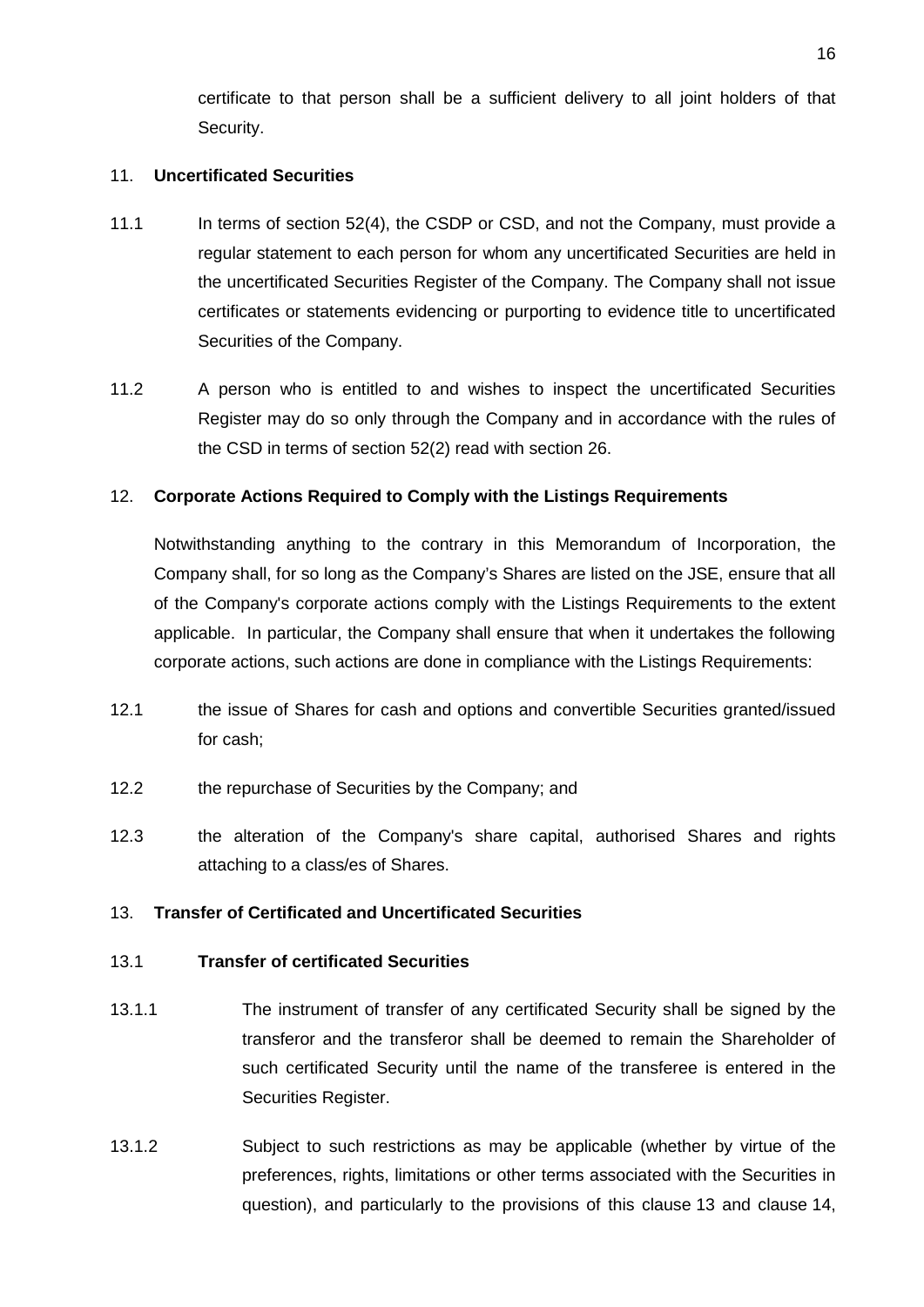certificate to that person shall be a sufficient delivery to all joint holders of that Security.

# <span id="page-15-0"></span>11. **Uncertificated Securities**

- 11.1 In terms of section 52(4), the CSDP or CSD, and not the Company, must provide a regular statement to each person for whom any uncertificated Securities are held in the uncertificated Securities Register of the Company. The Company shall not issue certificates or statements evidencing or purporting to evidence title to uncertificated Securities of the Company.
- 11.2 A person who is entitled to and wishes to inspect the uncertificated Securities Register may do so only through the Company and in accordance with the rules of the CSD in terms of section 52(2) read with section 26.

# <span id="page-15-1"></span>12. **Corporate Actions Required to Comply with the Listings Requirements**

Notwithstanding anything to the contrary in this Memorandum of Incorporation, the Company shall, for so long as the Company's Shares are listed on the JSE, ensure that all of the Company's corporate actions comply with the Listings Requirements to the extent applicable. In particular, the Company shall ensure that when it undertakes the following corporate actions, such actions are done in compliance with the Listings Requirements:

- 12.1 the issue of Shares for cash and options and convertible Securities granted/issued for cash;
- 12.2 the repurchase of Securities by the Company; and
- 12.3 the alteration of the Company's share capital, authorised Shares and rights attaching to a class/es of Shares.

# <span id="page-15-2"></span>13. **Transfer of Certificated and Uncertificated Securities**

# 13.1 **Transfer of certificated Securities**

- 13.1.1 The instrument of transfer of any certificated Security shall be signed by the transferor and the transferor shall be deemed to remain the Shareholder of such certificated Security until the name of the transferee is entered in the Securities Register.
- 13.1.2 Subject to such restrictions as may be applicable (whether by virtue of the preferences, rights, limitations or other terms associated with the Securities in question), and particularly to the provisions of this clause [13](#page-15-2) and clause [14,](#page-17-0)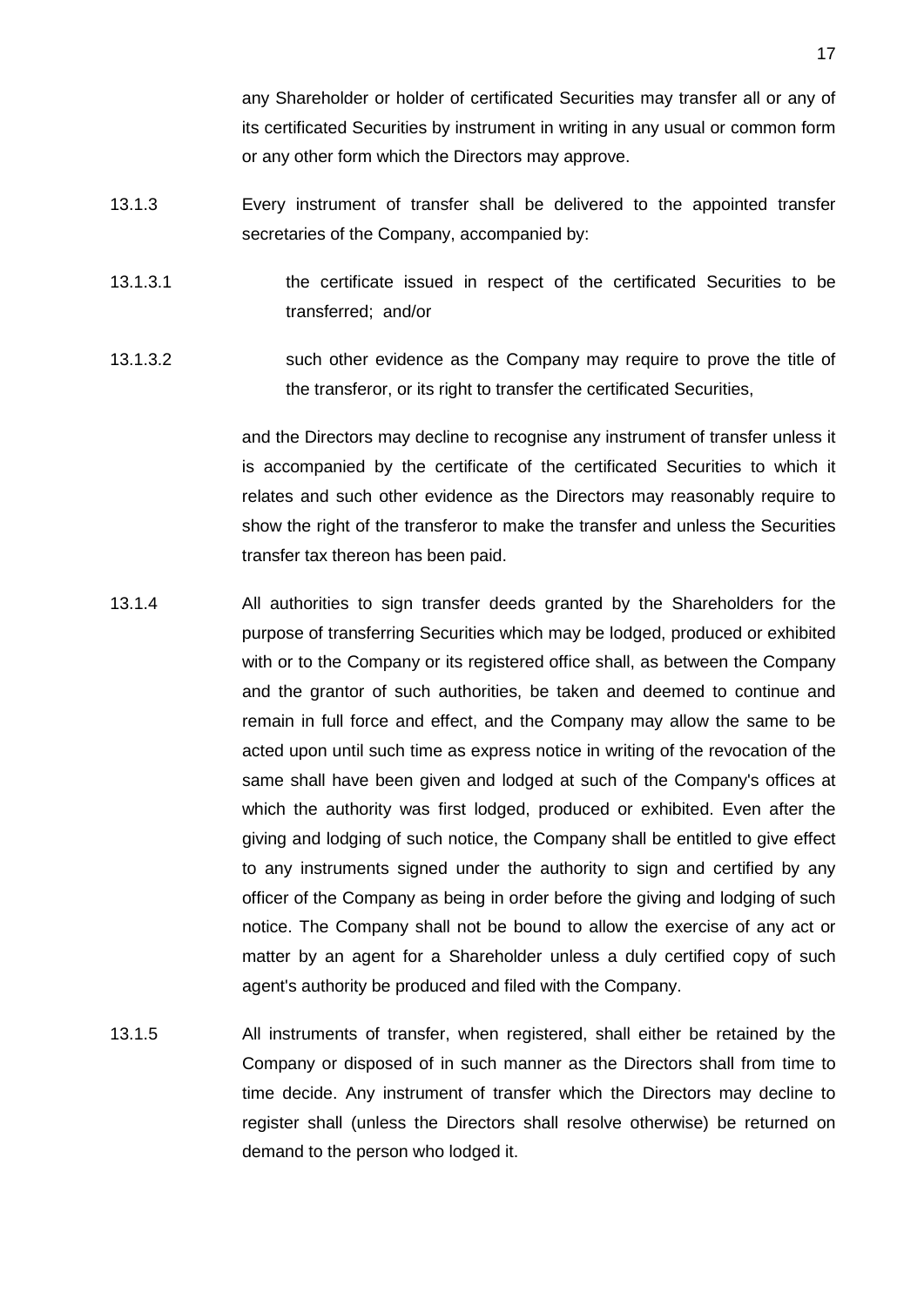any Shareholder or holder of certificated Securities may transfer all or any of its certificated Securities by instrument in writing in any usual or common form or any other form which the Directors may approve.

- 13.1.3 Every instrument of transfer shall be delivered to the appointed transfer secretaries of the Company, accompanied by:
- 13.1.3.1 the certificate issued in respect of the certificated Securities to be transferred; and/or
- 13.1.3.2 such other evidence as the Company may require to prove the title of the transferor, or its right to transfer the certificated Securities,

and the Directors may decline to recognise any instrument of transfer unless it is accompanied by the certificate of the certificated Securities to which it relates and such other evidence as the Directors may reasonably require to show the right of the transferor to make the transfer and unless the Securities transfer tax thereon has been paid.

- 13.1.4 All authorities to sign transfer deeds granted by the Shareholders for the purpose of transferring Securities which may be lodged, produced or exhibited with or to the Company or its registered office shall, as between the Company and the grantor of such authorities, be taken and deemed to continue and remain in full force and effect, and the Company may allow the same to be acted upon until such time as express notice in writing of the revocation of the same shall have been given and lodged at such of the Company's offices at which the authority was first lodged, produced or exhibited. Even after the giving and lodging of such notice, the Company shall be entitled to give effect to any instruments signed under the authority to sign and certified by any officer of the Company as being in order before the giving and lodging of such notice. The Company shall not be bound to allow the exercise of any act or matter by an agent for a Shareholder unless a duly certified copy of such agent's authority be produced and filed with the Company.
- 13.1.5 All instruments of transfer, when registered, shall either be retained by the Company or disposed of in such manner as the Directors shall from time to time decide. Any instrument of transfer which the Directors may decline to register shall (unless the Directors shall resolve otherwise) be returned on demand to the person who lodged it.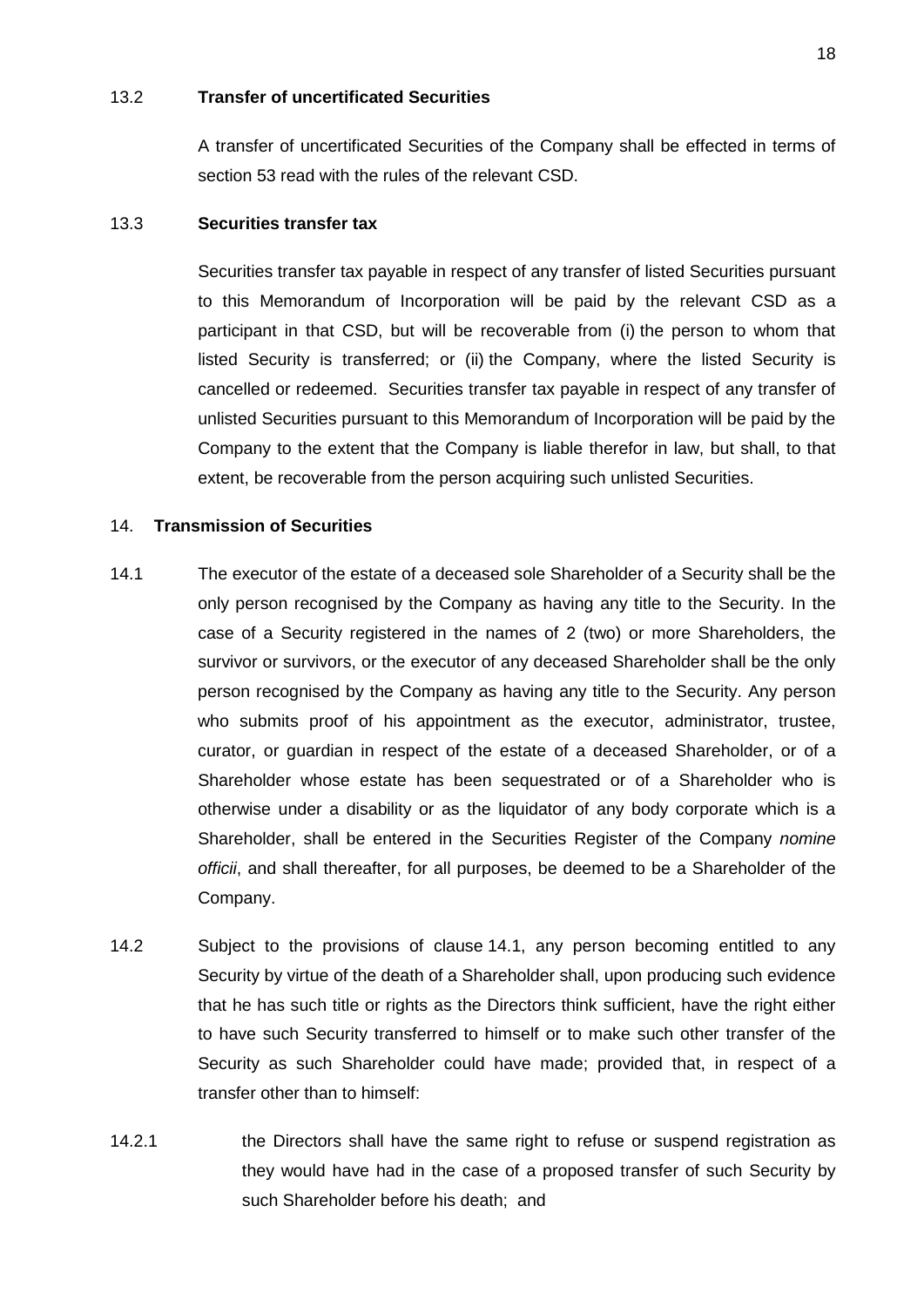# 13.2 **Transfer of uncertificated Securities**

A transfer of uncertificated Securities of the Company shall be effected in terms of section 53 read with the rules of the relevant CSD.

#### 13.3 **Securities transfer tax**

Securities transfer tax payable in respect of any transfer of listed Securities pursuant to this Memorandum of Incorporation will be paid by the relevant CSD as a participant in that CSD, but will be recoverable from (i) the person to whom that listed Security is transferred; or (ii) the Company, where the listed Security is cancelled or redeemed. Securities transfer tax payable in respect of any transfer of unlisted Securities pursuant to this Memorandum of Incorporation will be paid by the Company to the extent that the Company is liable therefor in law, but shall, to that extent, be recoverable from the person acquiring such unlisted Securities.

# <span id="page-17-0"></span>14. **Transmission of Securities**

- <span id="page-17-1"></span>14.1 The executor of the estate of a deceased sole Shareholder of a Security shall be the only person recognised by the Company as having any title to the Security. In the case of a Security registered in the names of 2 (two) or more Shareholders, the survivor or survivors, or the executor of any deceased Shareholder shall be the only person recognised by the Company as having any title to the Security. Any person who submits proof of his appointment as the executor, administrator, trustee, curator, or guardian in respect of the estate of a deceased Shareholder, or of a Shareholder whose estate has been sequestrated or of a Shareholder who is otherwise under a disability or as the liquidator of any body corporate which is a Shareholder, shall be entered in the Securities Register of the Company *nomine officii*, and shall thereafter, for all purposes, be deemed to be a Shareholder of the Company.
- 14.2 Subject to the provisions of clause [14.1,](#page-17-1) any person becoming entitled to any Security by virtue of the death of a Shareholder shall, upon producing such evidence that he has such title or rights as the Directors think sufficient, have the right either to have such Security transferred to himself or to make such other transfer of the Security as such Shareholder could have made; provided that, in respect of a transfer other than to himself:
- 14.2.1 the Directors shall have the same right to refuse or suspend registration as they would have had in the case of a proposed transfer of such Security by such Shareholder before his death; and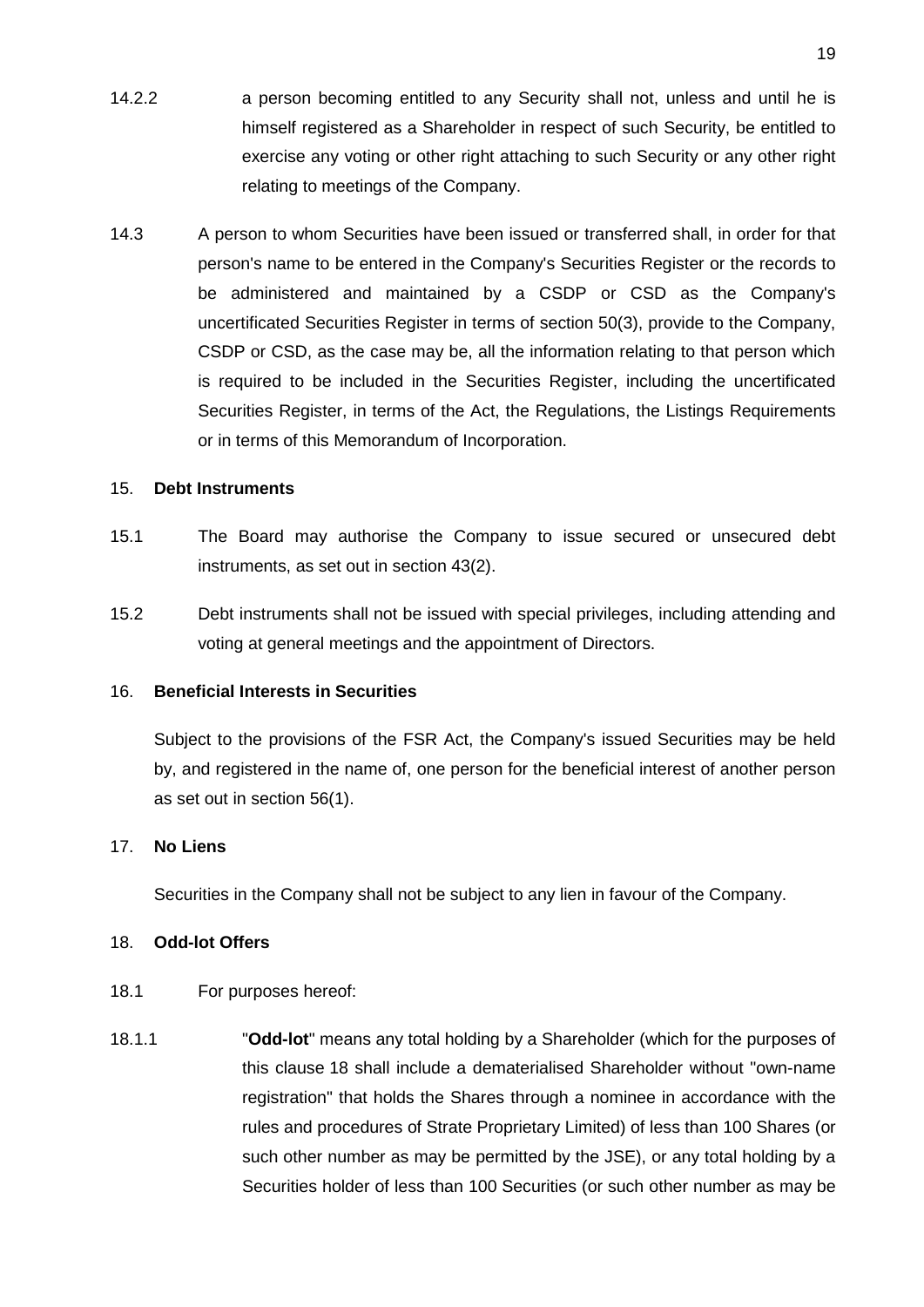- 14.2.2 a person becoming entitled to any Security shall not, unless and until he is himself registered as a Shareholder in respect of such Security, be entitled to exercise any voting or other right attaching to such Security or any other right relating to meetings of the Company.
- 14.3 A person to whom Securities have been issued or transferred shall, in order for that person's name to be entered in the Company's Securities Register or the records to be administered and maintained by a CSDP or CSD as the Company's uncertificated Securities Register in terms of section 50(3), provide to the Company, CSDP or CSD, as the case may be, all the information relating to that person which is required to be included in the Securities Register, including the uncertificated Securities Register, in terms of the Act, the Regulations, the Listings Requirements or in terms of this Memorandum of Incorporation.

# <span id="page-18-0"></span>15. **Debt Instruments**

- 15.1 The Board may authorise the Company to issue secured or unsecured debt instruments, as set out in section 43(2).
- 15.2 Debt instruments shall not be issued with special privileges, including attending and voting at general meetings and the appointment of Directors.

# <span id="page-18-1"></span>16. **Beneficial Interests in Securities**

Subject to the provisions of the FSR Act, the Company's issued Securities may be held by, and registered in the name of, one person for the beneficial interest of another person as set out in section 56(1).

# <span id="page-18-2"></span>17. **No Liens**

Securities in the Company shall not be subject to any lien in favour of the Company.

#### <span id="page-18-3"></span>18. **Odd-lot Offers**

- 18.1 For purposes hereof:
- 18.1.1 "**Odd-lot**" means any total holding by a Shareholder (which for the purposes of this clause [18](#page-18-3) shall include a dematerialised Shareholder without "own-name registration" that holds the Shares through a nominee in accordance with the rules and procedures of Strate Proprietary Limited) of less than 100 Shares (or such other number as may be permitted by the JSE), or any total holding by a Securities holder of less than 100 Securities (or such other number as may be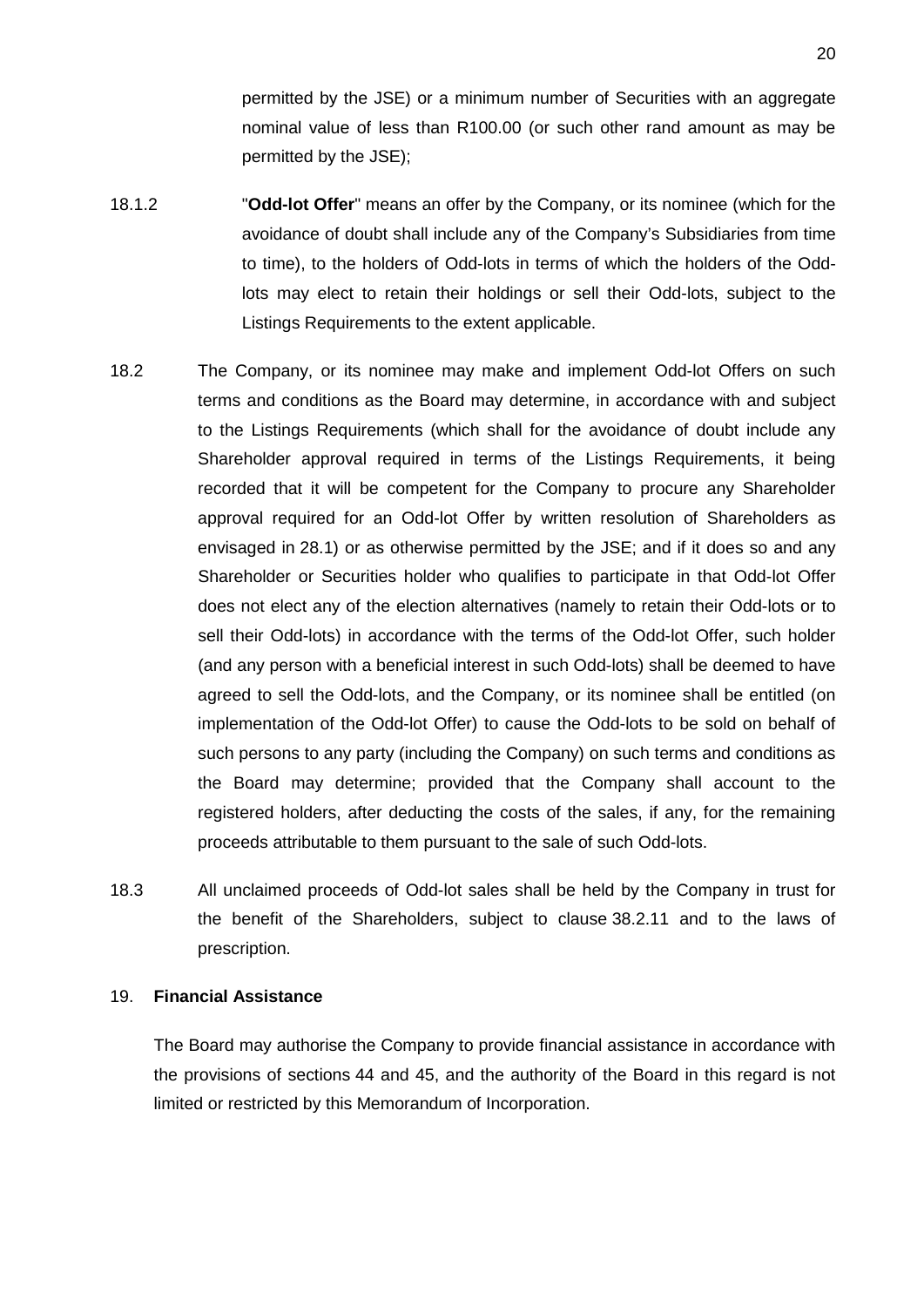permitted by the JSE) or a minimum number of Securities with an aggregate nominal value of less than R100.00 (or such other rand amount as may be permitted by the JSE);

- 18.1.2 "**Odd-lot Offer**" means an offer by the Company, or its nominee (which for the avoidance of doubt shall include any of the Company's Subsidiaries from time to time), to the holders of Odd-lots in terms of which the holders of the Oddlots may elect to retain their holdings or sell their Odd-lots, subject to the Listings Requirements to the extent applicable.
- 18.2 The Company, or its nominee may make and implement Odd-lot Offers on such terms and conditions as the Board may determine, in accordance with and subject to the Listings Requirements (which shall for the avoidance of doubt include any Shareholder approval required in terms of the Listings Requirements, it being recorded that it will be competent for the Company to procure any Shareholder approval required for an Odd-lot Offer by written resolution of Shareholders as envisaged in [28.1\)](#page-29-2) or as otherwise permitted by the JSE; and if it does so and any Shareholder or Securities holder who qualifies to participate in that Odd-lot Offer does not elect any of the election alternatives (namely to retain their Odd-lots or to sell their Odd-lots) in accordance with the terms of the Odd-lot Offer, such holder (and any person with a beneficial interest in such Odd-lots) shall be deemed to have agreed to sell the Odd-lots, and the Company, or its nominee shall be entitled (on implementation of the Odd-lot Offer) to cause the Odd-lots to be sold on behalf of such persons to any party (including the Company) on such terms and conditions as the Board may determine; provided that the Company shall account to the registered holders, after deducting the costs of the sales, if any, for the remaining proceeds attributable to them pursuant to the sale of such Odd-lots.
- 18.3 All unclaimed proceeds of Odd-lot sales shall be held by the Company in trust for the benefit of the Shareholders, subject to clause [38.2.11](#page-40-0) and to the laws of prescription.

#### <span id="page-19-0"></span>19. **Financial Assistance**

The Board may authorise the Company to provide financial assistance in accordance with the provisions of sections 44 and 45, and the authority of the Board in this regard is not limited or restricted by this Memorandum of Incorporation.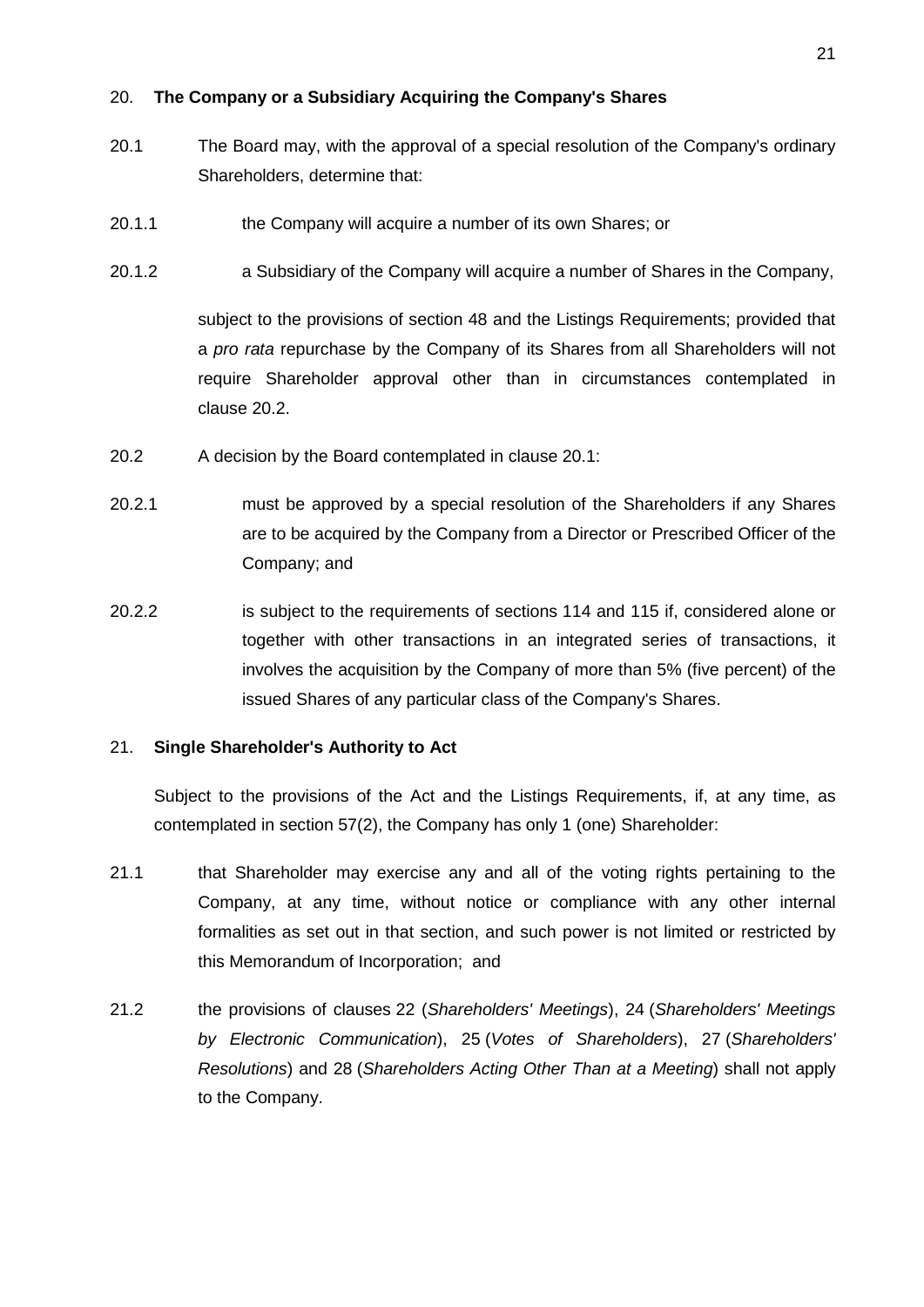# <span id="page-20-0"></span>20. **The Company or a Subsidiary Acquiring the Company's Shares**

- <span id="page-20-3"></span>20.1 The Board may, with the approval of a special resolution of the Company's ordinary Shareholders, determine that:
- 20.1.1 the Company will acquire a number of its own Shares; or
- 20.1.2 a Subsidiary of the Company will acquire a number of Shares in the Company,

subject to the provisions of section 48 and the Listings Requirements; provided that a *pro rata* repurchase by the Company of its Shares from all Shareholders will not require Shareholder approval other than in circumstances contemplated in clause [20.2.](#page-20-2)

- <span id="page-20-2"></span>20.2 A decision by the Board contemplated in clause [20.1:](#page-20-3)
- 20.2.1 must be approved by a special resolution of the Shareholders if any Shares are to be acquired by the Company from a Director or Prescribed Officer of the Company; and
- 20.2.2 is subject to the requirements of sections 114 and 115 if, considered alone or together with other transactions in an integrated series of transactions, it involves the acquisition by the Company of more than 5% (five percent) of the issued Shares of any particular class of the Company's Shares.

# <span id="page-20-1"></span>21. **Single Shareholder's Authority to Act**

Subject to the provisions of the Act and the Listings Requirements, if, at any time, as contemplated in section 57(2), the Company has only 1 (one) Shareholder:

- 21.1 that Shareholder may exercise any and all of the voting rights pertaining to the Company, at any time, without notice or compliance with any other internal formalities as set out in that section, and such power is not limited or restricted by this Memorandum of Incorporation; and
- 21.2 the provisions of clauses [22](#page-21-0) (*Shareholders' Meetings*), [24](#page-25-1) (*Shareholders' Meetings by Electronic Communication*), [25](#page-25-2) (*Votes of Shareholders*), [27](#page-29-0) (*Shareholders' Resolutions*) and [28](#page-29-1) (*Shareholders Acting Other Than at a Meeting*) shall not apply to the Company.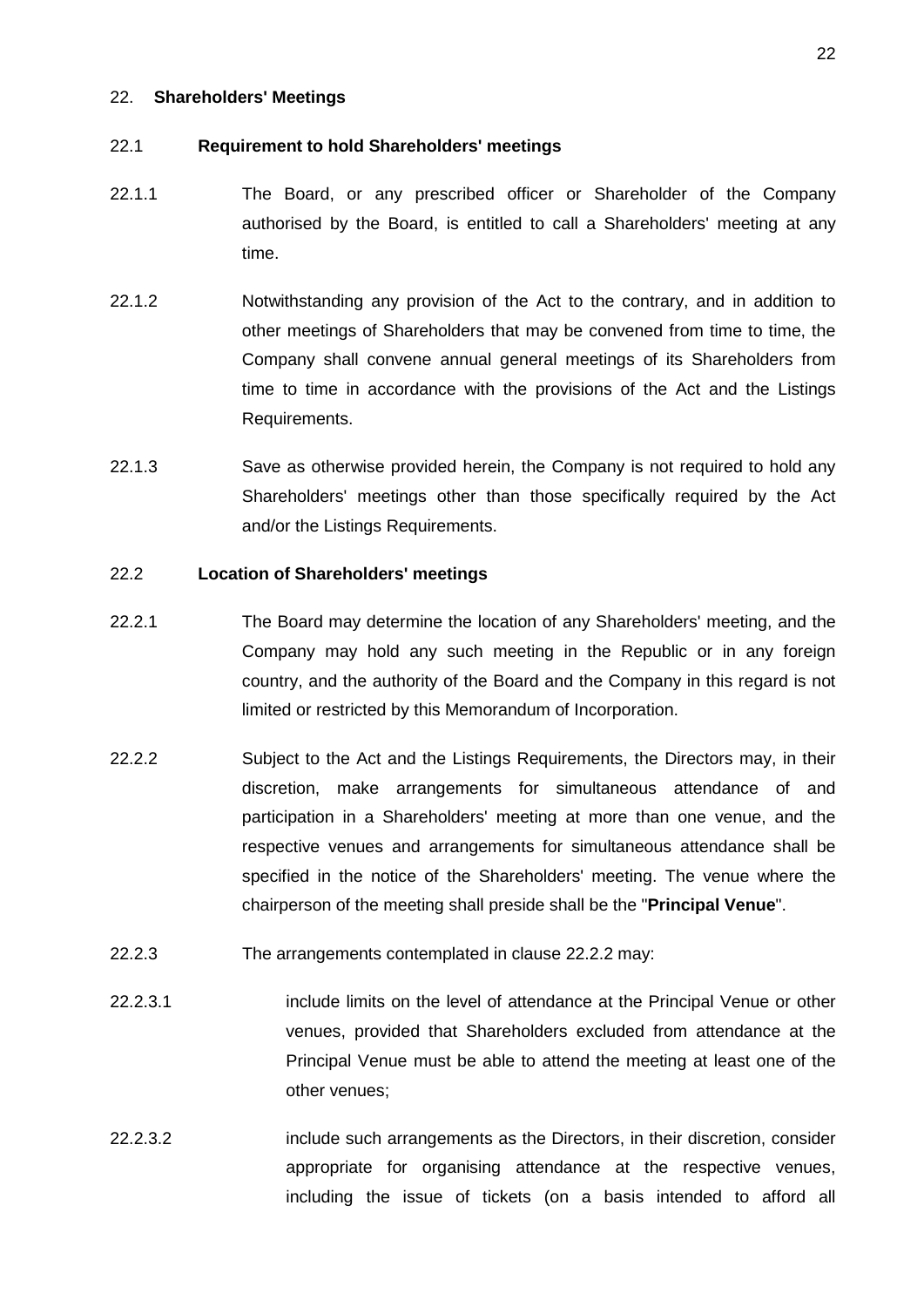#### <span id="page-21-0"></span>22. **Shareholders' Meetings**

#### 22.1 **Requirement to hold Shareholders' meetings**

- 22.1.1 The Board, or any prescribed officer or Shareholder of the Company authorised by the Board, is entitled to call a Shareholders' meeting at any time.
- 22.1.2 Notwithstanding any provision of the Act to the contrary, and in addition to other meetings of Shareholders that may be convened from time to time, the Company shall convene annual general meetings of its Shareholders from time to time in accordance with the provisions of the Act and the Listings Requirements.
- 22.1.3 Save as otherwise provided herein, the Company is not required to hold any Shareholders' meetings other than those specifically required by the Act and/or the Listings Requirements.

# 22.2 **Location of Shareholders' meetings**

- 22.2.1 The Board may determine the location of any Shareholders' meeting, and the Company may hold any such meeting in the Republic or in any foreign country, and the authority of the Board and the Company in this regard is not limited or restricted by this Memorandum of Incorporation.
- <span id="page-21-1"></span>22.2.2 Subject to the Act and the Listings Requirements, the Directors may, in their discretion, make arrangements for simultaneous attendance of and participation in a Shareholders' meeting at more than one venue, and the respective venues and arrangements for simultaneous attendance shall be specified in the notice of the Shareholders' meeting. The venue where the chairperson of the meeting shall preside shall be the "**Principal Venue**".
- 22.2.3 The arrangements contemplated in clause [22.2.2](#page-21-1) may:
- 22.2.3.1 **include limits on the level of attendance at the Principal Venue or other** venues, provided that Shareholders excluded from attendance at the Principal Venue must be able to attend the meeting at least one of the other venues;
- 22.2.3.2 include such arrangements as the Directors, in their discretion, consider appropriate for organising attendance at the respective venues, including the issue of tickets (on a basis intended to afford all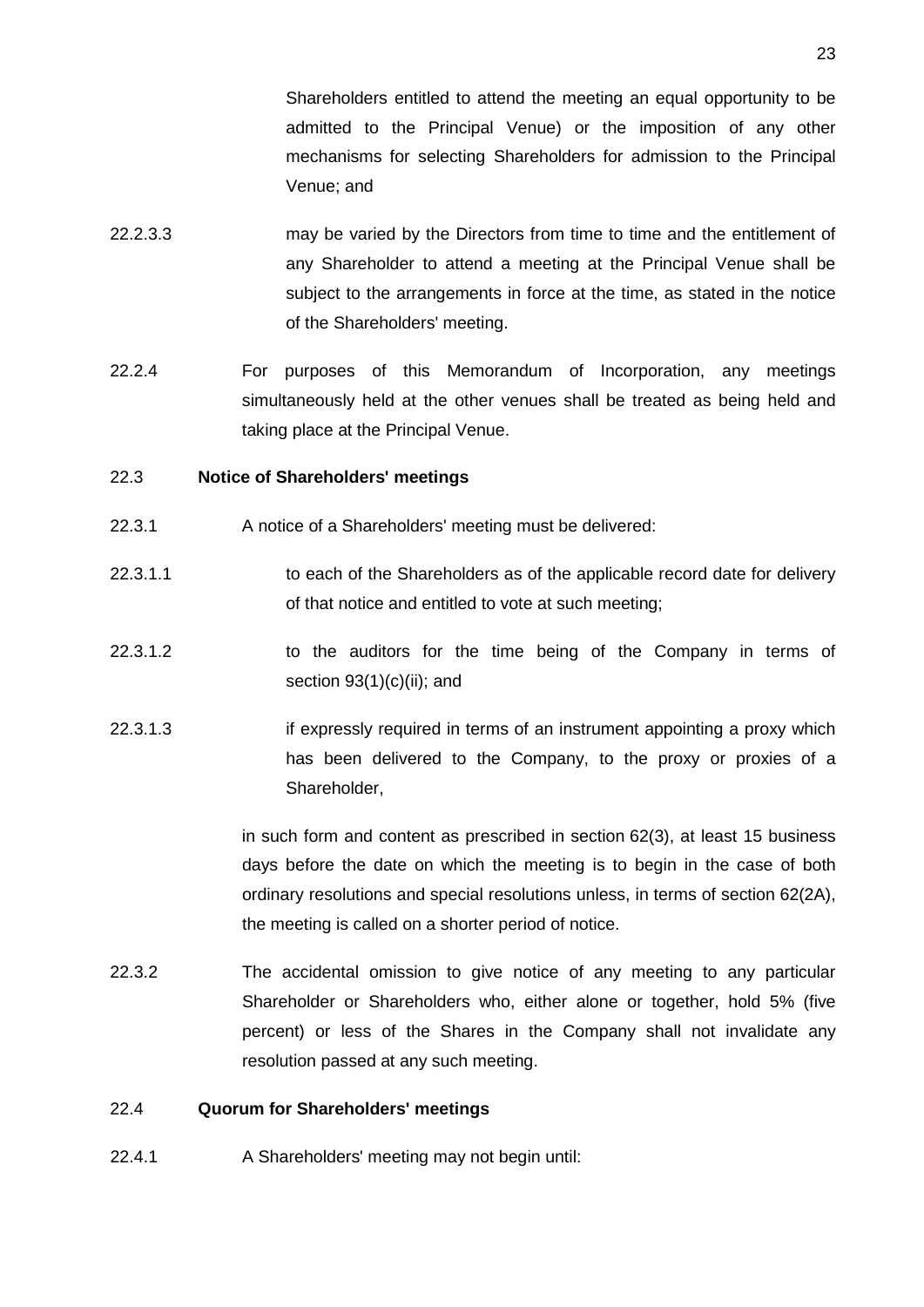Shareholders entitled to attend the meeting an equal opportunity to be admitted to the Principal Venue) or the imposition of any other mechanisms for selecting Shareholders for admission to the Principal Venue; and

- 22.2.3.3 may be varied by the Directors from time to time and the entitlement of any Shareholder to attend a meeting at the Principal Venue shall be subject to the arrangements in force at the time, as stated in the notice of the Shareholders' meeting.
- 22.2.4 For purposes of this Memorandum of Incorporation, any meetings simultaneously held at the other venues shall be treated as being held and taking place at the Principal Venue.

#### 22.3 **Notice of Shareholders' meetings**

- 22.3.1 A notice of a Shareholders' meeting must be delivered:
- 22.3.1.1 to each of the Shareholders as of the applicable record date for delivery of that notice and entitled to vote at such meeting;
- 22.3.1.2 to the auditors for the time being of the Company in terms of section 93(1)(c)(ii); and
- 22.3.1.3 if expressly required in terms of an instrument appointing a proxy which has been delivered to the Company, to the proxy or proxies of a Shareholder,

in such form and content as prescribed in section 62(3), at least 15 business days before the date on which the meeting is to begin in the case of both ordinary resolutions and special resolutions unless, in terms of section 62(2A), the meeting is called on a shorter period of notice.

22.3.2 The accidental omission to give notice of any meeting to any particular Shareholder or Shareholders who, either alone or together, hold 5% (five percent) or less of the Shares in the Company shall not invalidate any resolution passed at any such meeting.

#### 22.4 **Quorum for Shareholders' meetings**

22.4.1 A Shareholders' meeting may not begin until: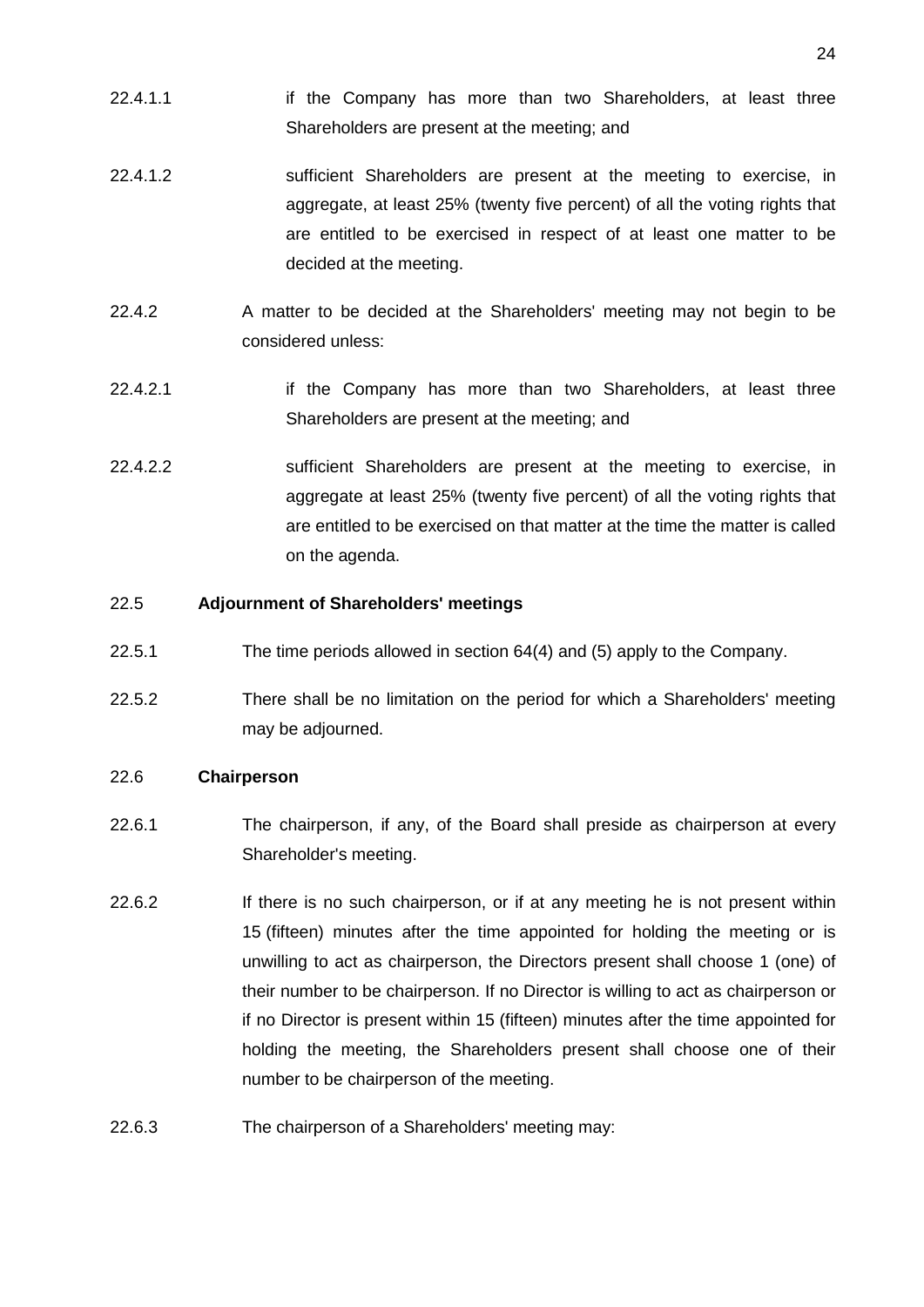- 22.4.1.1 if the Company has more than two Shareholders, at least three Shareholders are present at the meeting; and
- 22.4.1.2 sufficient Shareholders are present at the meeting to exercise, in aggregate, at least 25% (twenty five percent) of all the voting rights that are entitled to be exercised in respect of at least one matter to be decided at the meeting.
- 22.4.2 A matter to be decided at the Shareholders' meeting may not begin to be considered unless:
- 22.4.2.1 if the Company has more than two Shareholders, at least three Shareholders are present at the meeting; and
- 22.4.2.2 sufficient Shareholders are present at the meeting to exercise, in aggregate at least 25% (twenty five percent) of all the voting rights that are entitled to be exercised on that matter at the time the matter is called on the agenda.

# <span id="page-23-1"></span>22.5 **Adjournment of Shareholders' meetings**

- 22.5.1 The time periods allowed in section 64(4) and (5) apply to the Company.
- 22.5.2 There shall be no limitation on the period for which a Shareholders' meeting may be adjourned.

#### 22.6 **Chairperson**

- 22.6.1 The chairperson, if any, of the Board shall preside as chairperson at every Shareholder's meeting.
- <span id="page-23-0"></span>22.6.2 If there is no such chairperson, or if at any meeting he is not present within 15 (fifteen) minutes after the time appointed for holding the meeting or is unwilling to act as chairperson, the Directors present shall choose 1 (one) of their number to be chairperson. If no Director is willing to act as chairperson or if no Director is present within 15 (fifteen) minutes after the time appointed for holding the meeting, the Shareholders present shall choose one of their number to be chairperson of the meeting.
- 22.6.3 The chairperson of a Shareholders' meeting may: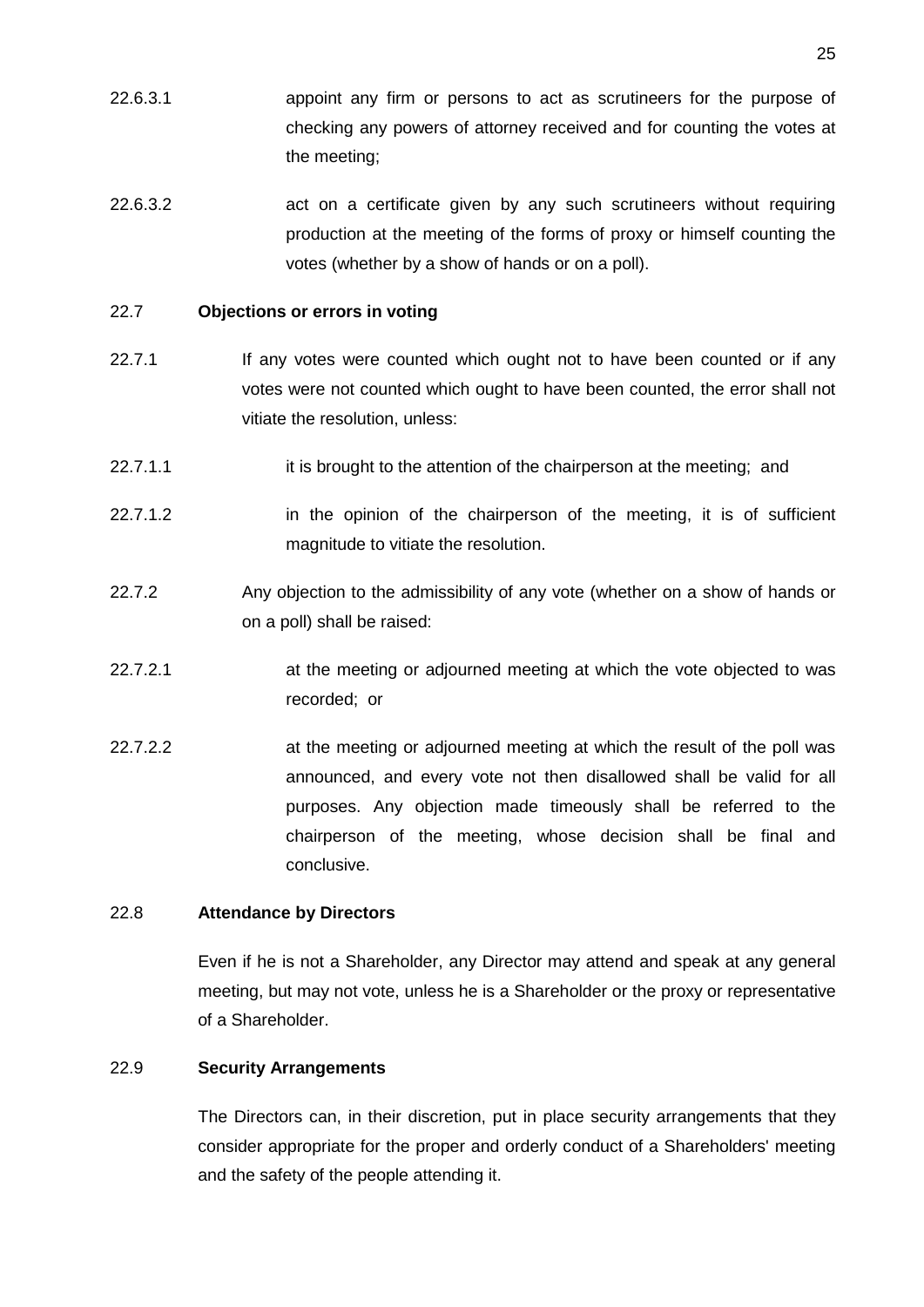- 22.6.3.1 appoint any firm or persons to act as scrutineers for the purpose of checking any powers of attorney received and for counting the votes at the meeting;
- 22.6.3.2 act on a certificate given by any such scrutineers without requiring production at the meeting of the forms of proxy or himself counting the votes (whether by a show of hands or on a poll).

#### 22.7 **Objections or errors in voting**

- 22.7.1 If any votes were counted which ought not to have been counted or if any votes were not counted which ought to have been counted, the error shall not vitiate the resolution, unless:
- 22.7.1.1 it is brought to the attention of the chairperson at the meeting; and
- 22.7.1.2 in the opinion of the chairperson of the meeting, it is of sufficient magnitude to vitiate the resolution.
- 22.7.2 Any objection to the admissibility of any vote (whether on a show of hands or on a poll) shall be raised:
- 22.7.2.1 **at the meeting or adjourned meeting at which the vote objected to was** recorded; or
- 22.7.2.2 at the meeting or adjourned meeting at which the result of the poll was announced, and every vote not then disallowed shall be valid for all purposes. Any objection made timeously shall be referred to the chairperson of the meeting, whose decision shall be final and conclusive.

#### 22.8 **Attendance by Directors**

Even if he is not a Shareholder, any Director may attend and speak at any general meeting, but may not vote, unless he is a Shareholder or the proxy or representative of a Shareholder.

#### 22.9 **Security Arrangements**

The Directors can, in their discretion, put in place security arrangements that they consider appropriate for the proper and orderly conduct of a Shareholders' meeting and the safety of the people attending it.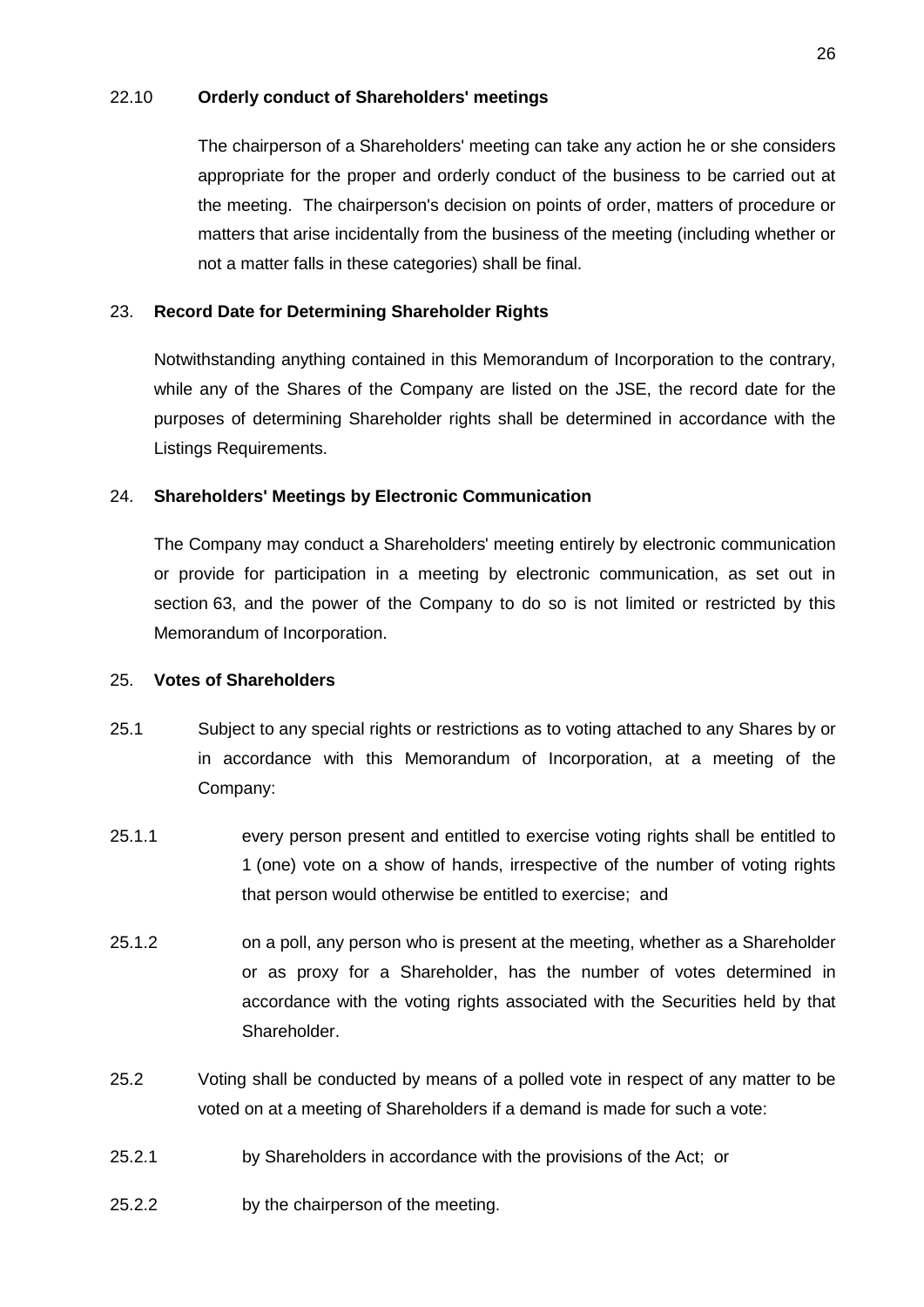# 22.10 **Orderly conduct of Shareholders' meetings**

The chairperson of a Shareholders' meeting can take any action he or she considers appropriate for the proper and orderly conduct of the business to be carried out at the meeting. The chairperson's decision on points of order, matters of procedure or matters that arise incidentally from the business of the meeting (including whether or not a matter falls in these categories) shall be final.

# <span id="page-25-0"></span>23. **Record Date for Determining Shareholder Rights**

Notwithstanding anything contained in this Memorandum of Incorporation to the contrary, while any of the Shares of the Company are listed on the JSE, the record date for the purposes of determining Shareholder rights shall be determined in accordance with the Listings Requirements.

# <span id="page-25-1"></span>24. **Shareholders' Meetings by Electronic Communication**

The Company may conduct a Shareholders' meeting entirely by electronic communication or provide for participation in a meeting by electronic communication, as set out in section 63, and the power of the Company to do so is not limited or restricted by this Memorandum of Incorporation.

# <span id="page-25-2"></span>25. **Votes of Shareholders**

- 25.1 Subject to any special rights or restrictions as to voting attached to any Shares by or in accordance with this Memorandum of Incorporation, at a meeting of the Company:
- 25.1.1 every person present and entitled to exercise voting rights shall be entitled to 1 (one) vote on a show of hands, irrespective of the number of voting rights that person would otherwise be entitled to exercise; and
- 25.1.2 on a poll, any person who is present at the meeting, whether as a Shareholder or as proxy for a Shareholder, has the number of votes determined in accordance with the voting rights associated with the Securities held by that Shareholder.
- <span id="page-25-3"></span>25.2 Voting shall be conducted by means of a polled vote in respect of any matter to be voted on at a meeting of Shareholders if a demand is made for such a vote:
- 25.2.1 by Shareholders in accordance with the provisions of the Act; or
- 25.2.2 by the chairperson of the meeting.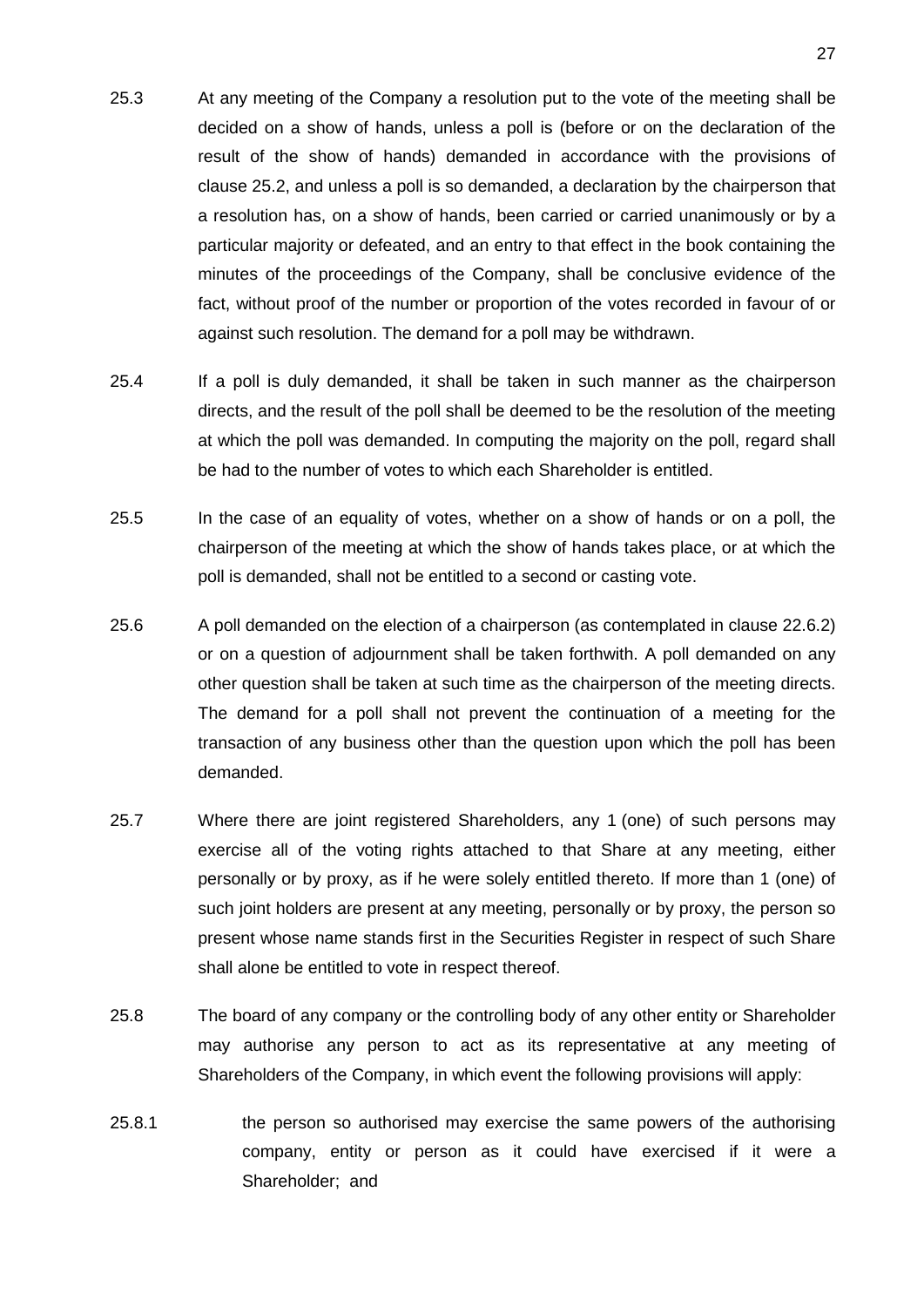- 25.3 At any meeting of the Company a resolution put to the vote of the meeting shall be decided on a show of hands, unless a poll is (before or on the declaration of the result of the show of hands) demanded in accordance with the provisions of clause [25.2,](#page-25-3) and unless a poll is so demanded, a declaration by the chairperson that a resolution has, on a show of hands, been carried or carried unanimously or by a particular majority or defeated, and an entry to that effect in the book containing the minutes of the proceedings of the Company, shall be conclusive evidence of the fact, without proof of the number or proportion of the votes recorded in favour of or against such resolution. The demand for a poll may be withdrawn.
- 25.4 If a poll is duly demanded, it shall be taken in such manner as the chairperson directs, and the result of the poll shall be deemed to be the resolution of the meeting at which the poll was demanded. In computing the majority on the poll, regard shall be had to the number of votes to which each Shareholder is entitled.
- 25.5 In the case of an equality of votes, whether on a show of hands or on a poll, the chairperson of the meeting at which the show of hands takes place, or at which the poll is demanded, shall not be entitled to a second or casting vote.
- 25.6 A poll demanded on the election of a chairperson (as contemplated in clause [22.6.2\)](#page-23-0) or on a question of adjournment shall be taken forthwith. A poll demanded on any other question shall be taken at such time as the chairperson of the meeting directs. The demand for a poll shall not prevent the continuation of a meeting for the transaction of any business other than the question upon which the poll has been demanded.
- 25.7 Where there are joint registered Shareholders, any 1 (one) of such persons may exercise all of the voting rights attached to that Share at any meeting, either personally or by proxy, as if he were solely entitled thereto. If more than 1 (one) of such joint holders are present at any meeting, personally or by proxy, the person so present whose name stands first in the Securities Register in respect of such Share shall alone be entitled to vote in respect thereof.
- 25.8 The board of any company or the controlling body of any other entity or Shareholder may authorise any person to act as its representative at any meeting of Shareholders of the Company, in which event the following provisions will apply:
- 25.8.1 the person so authorised may exercise the same powers of the authorising company, entity or person as it could have exercised if it were a Shareholder; and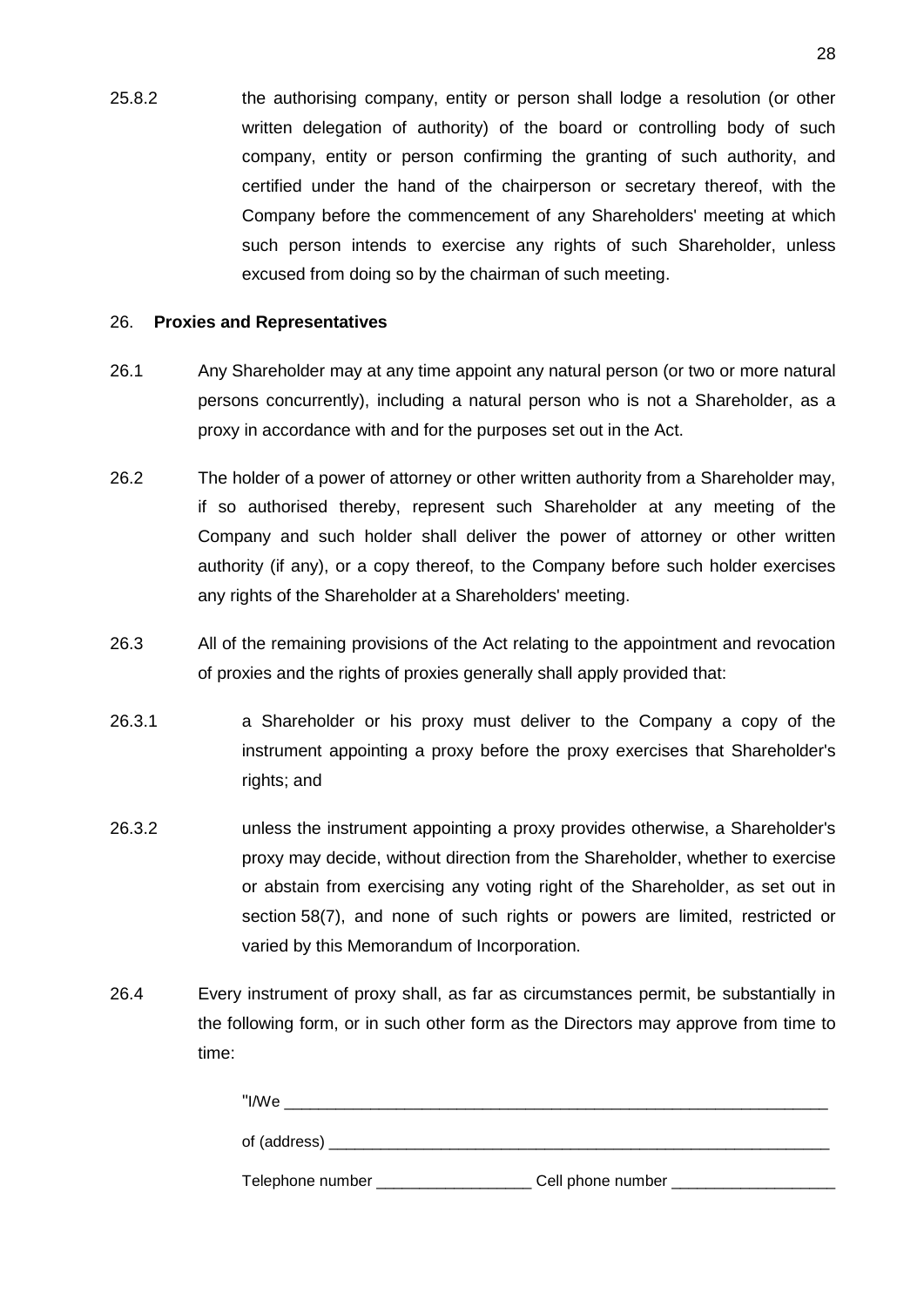25.8.2 the authorising company, entity or person shall lodge a resolution (or other written delegation of authority) of the board or controlling body of such company, entity or person confirming the granting of such authority, and certified under the hand of the chairperson or secretary thereof, with the Company before the commencement of any Shareholders' meeting at which such person intends to exercise any rights of such Shareholder, unless excused from doing so by the chairman of such meeting.

# <span id="page-27-0"></span>26. **Proxies and Representatives**

- 26.1 Any Shareholder may at any time appoint any natural person (or two or more natural persons concurrently), including a natural person who is not a Shareholder, as a proxy in accordance with and for the purposes set out in the Act.
- 26.2 The holder of a power of attorney or other written authority from a Shareholder may, if so authorised thereby, represent such Shareholder at any meeting of the Company and such holder shall deliver the power of attorney or other written authority (if any), or a copy thereof, to the Company before such holder exercises any rights of the Shareholder at a Shareholders' meeting.
- 26.3 All of the remaining provisions of the Act relating to the appointment and revocation of proxies and the rights of proxies generally shall apply provided that:
- 26.3.1 a Shareholder or his proxy must deliver to the Company a copy of the instrument appointing a proxy before the proxy exercises that Shareholder's rights; and
- 26.3.2 unless the instrument appointing a proxy provides otherwise, a Shareholder's proxy may decide, without direction from the Shareholder, whether to exercise or abstain from exercising any voting right of the Shareholder, as set out in section 58(7), and none of such rights or powers are limited, restricted or varied by this Memorandum of Incorporation.
- 26.4 Every instrument of proxy shall, as far as circumstances permit, be substantially in the following form, or in such other form as the Directors may approve from time to time:

| "I/We            |                   |  |  |  |  |
|------------------|-------------------|--|--|--|--|
| of (address)     |                   |  |  |  |  |
| Telephone number | Cell phone number |  |  |  |  |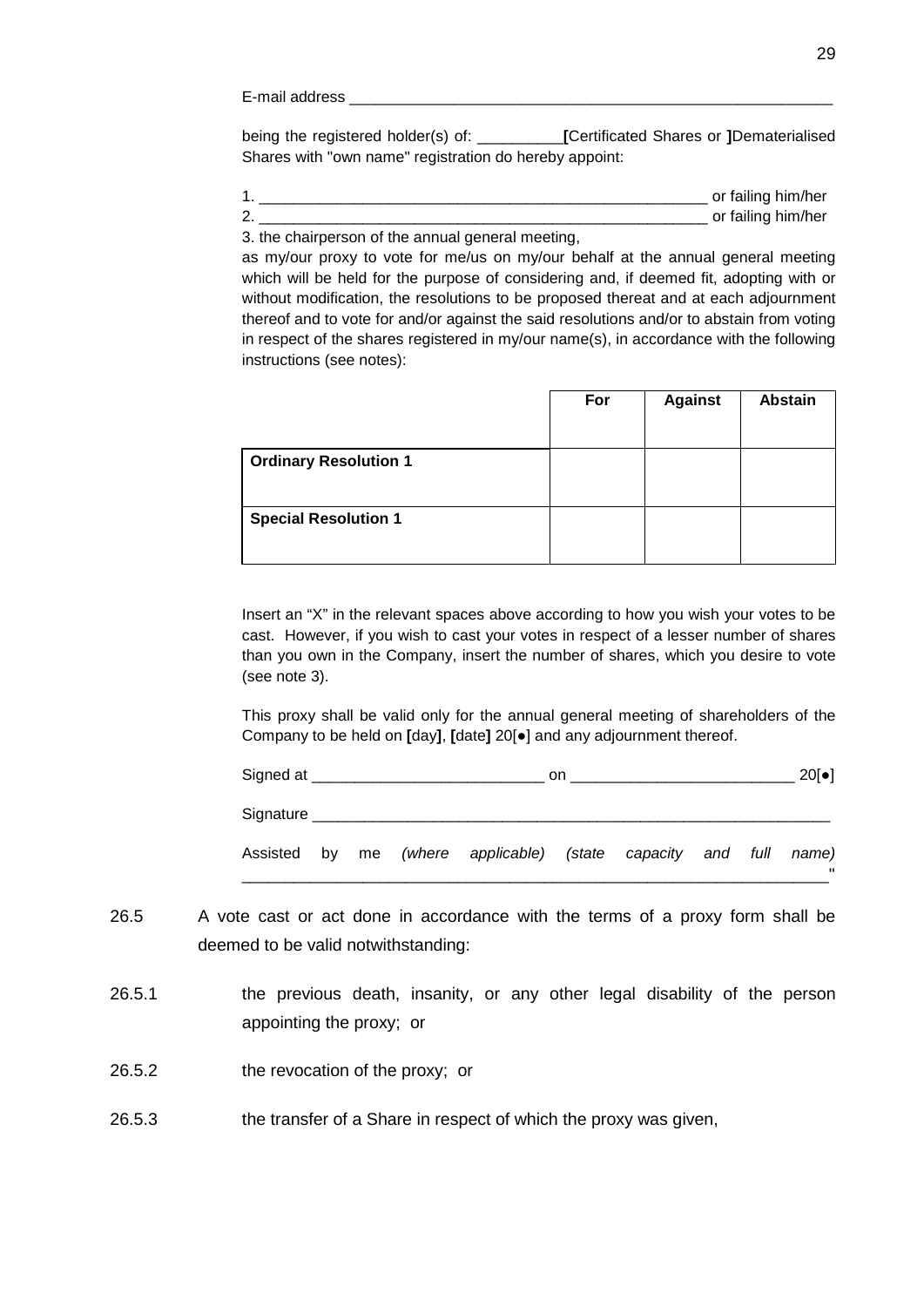E-mail address

being the registered holder(s) of: \_\_\_\_\_\_\_\_\_\_**[**Certificated Shares or **]**Dematerialised Shares with "own name" registration do hereby appoint:

1. \_\_\_\_\_\_\_\_\_\_\_\_\_\_\_\_\_\_\_\_\_\_\_\_\_\_\_\_\_\_\_\_\_\_\_\_\_\_\_\_\_\_\_\_\_\_\_\_\_\_\_\_ or failing him/her 2. \_\_\_\_\_\_\_\_\_\_\_\_\_\_\_\_\_\_\_\_\_\_\_\_\_\_\_\_\_\_\_\_\_\_\_\_\_\_\_\_\_\_\_\_\_\_\_\_\_\_\_\_ or failing him/her

3. the chairperson of the annual general meeting,

as my/our proxy to vote for me/us on my/our behalf at the annual general meeting which will be held for the purpose of considering and, if deemed fit, adopting with or without modification, the resolutions to be proposed thereat and at each adjournment thereof and to vote for and/or against the said resolutions and/or to abstain from voting in respect of the shares registered in my/our name(s), in accordance with the following instructions (see notes):

|                              | For | <b>Against</b> | <b>Abstain</b> |
|------------------------------|-----|----------------|----------------|
| <b>Ordinary Resolution 1</b> |     |                |                |
| <b>Special Resolution 1</b>  |     |                |                |

Insert an "X" in the relevant spaces above according to how you wish your votes to be cast. However, if you wish to cast your votes in respect of a lesser number of shares than you own in the Company, insert the number of shares, which you desire to vote (see note 3).

This proxy shall be valid only for the annual general meeting of shareholders of the Company to be held on **[**day**]**, **[**date**]** 20[**●**] and any adjournment thereof.

Signed at \_\_\_\_\_\_\_\_\_\_\_\_\_\_\_\_\_\_\_\_\_\_\_\_\_\_\_ on \_\_\_\_\_\_\_\_\_\_\_\_\_\_\_\_\_\_\_\_\_\_\_\_\_\_ 20[**●**]

Signature

Assisted by me *(where applicable) (state capacity and full name)* \_\_\_\_\_\_\_\_\_\_\_\_\_\_\_\_\_\_\_\_\_\_\_\_\_\_\_\_\_\_\_\_\_\_\_\_\_\_\_\_\_\_\_\_\_\_\_\_\_\_\_\_\_\_\_\_\_\_\_\_\_\_\_\_\_\_\_\_"

- 26.5 A vote cast or act done in accordance with the terms of a proxy form shall be deemed to be valid notwithstanding:
- 26.5.1 the previous death, insanity, or any other legal disability of the person appointing the proxy; or
- 26.5.2 the revocation of the proxy; or
- 26.5.3 the transfer of a Share in respect of which the proxy was given,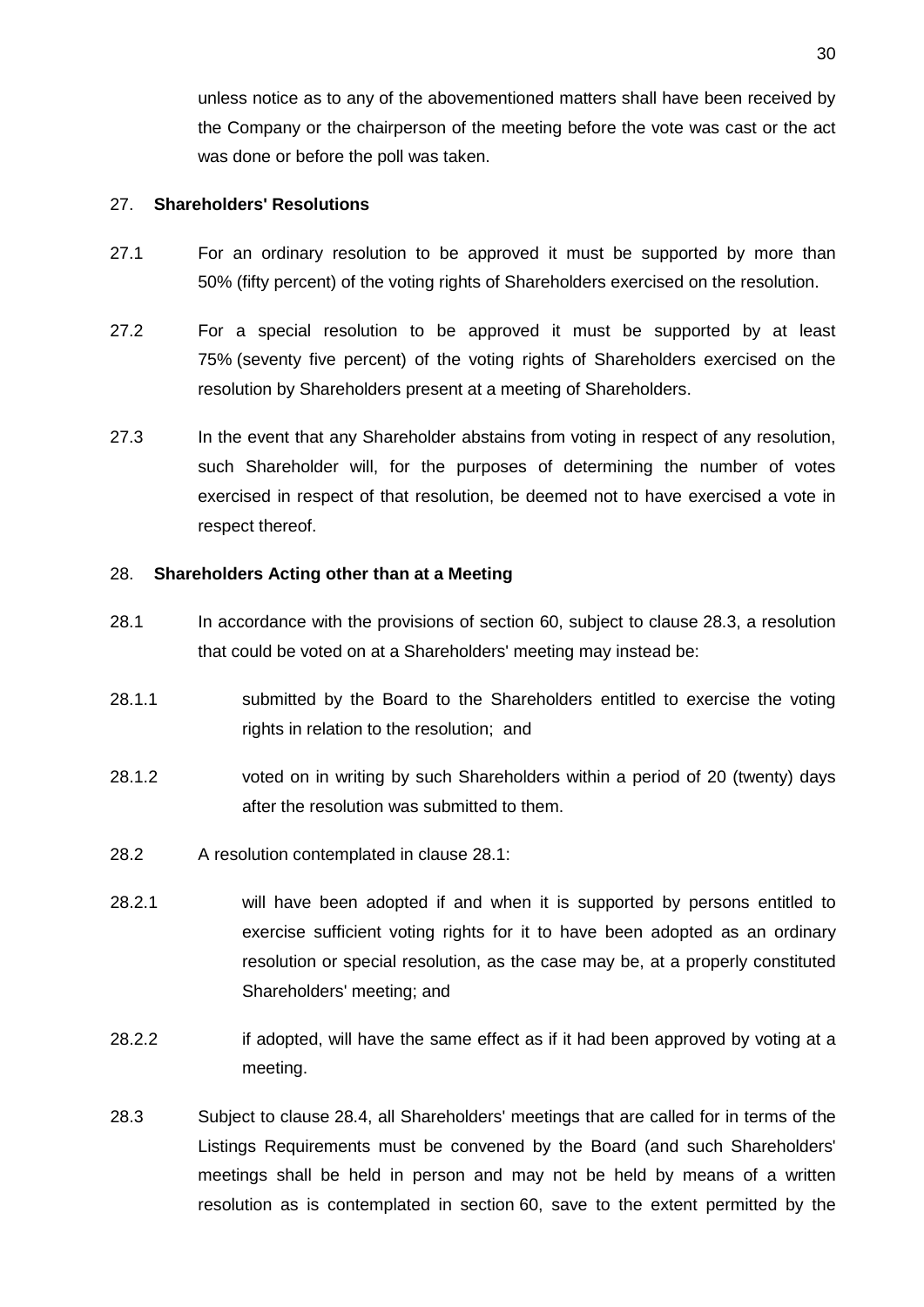unless notice as to any of the abovementioned matters shall have been received by the Company or the chairperson of the meeting before the vote was cast or the act was done or before the poll was taken.

# <span id="page-29-0"></span>27. **Shareholders' Resolutions**

- 27.1 For an ordinary resolution to be approved it must be supported by more than 50% (fifty percent) of the voting rights of Shareholders exercised on the resolution.
- 27.2 For a special resolution to be approved it must be supported by at least 75% (seventy five percent) of the voting rights of Shareholders exercised on the resolution by Shareholders present at a meeting of Shareholders.
- 27.3 In the event that any Shareholder abstains from voting in respect of any resolution, such Shareholder will, for the purposes of determining the number of votes exercised in respect of that resolution, be deemed not to have exercised a vote in respect thereof.

# <span id="page-29-1"></span>28. **Shareholders Acting other than at a Meeting**

- <span id="page-29-2"></span>28.1 In accordance with the provisions of section 60, subject to clause [28.3,](#page-29-3) a resolution that could be voted on at a Shareholders' meeting may instead be:
- 28.1.1 submitted by the Board to the Shareholders entitled to exercise the voting rights in relation to the resolution; and
- 28.1.2 voted on in writing by such Shareholders within a period of 20 (twenty) days after the resolution was submitted to them.
- 28.2 A resolution contemplated in clause [28.1:](#page-29-2)
- 28.2.1 will have been adopted if and when it is supported by persons entitled to exercise sufficient voting rights for it to have been adopted as an ordinary resolution or special resolution, as the case may be, at a properly constituted Shareholders' meeting; and
- 28.2.2 if adopted, will have the same effect as if it had been approved by voting at a meeting.
- <span id="page-29-3"></span>28.3 Subject to clause [28.4,](#page-30-1) all Shareholders' meetings that are called for in terms of the Listings Requirements must be convened by the Board (and such Shareholders' meetings shall be held in person and may not be held by means of a written resolution as is contemplated in section 60, save to the extent permitted by the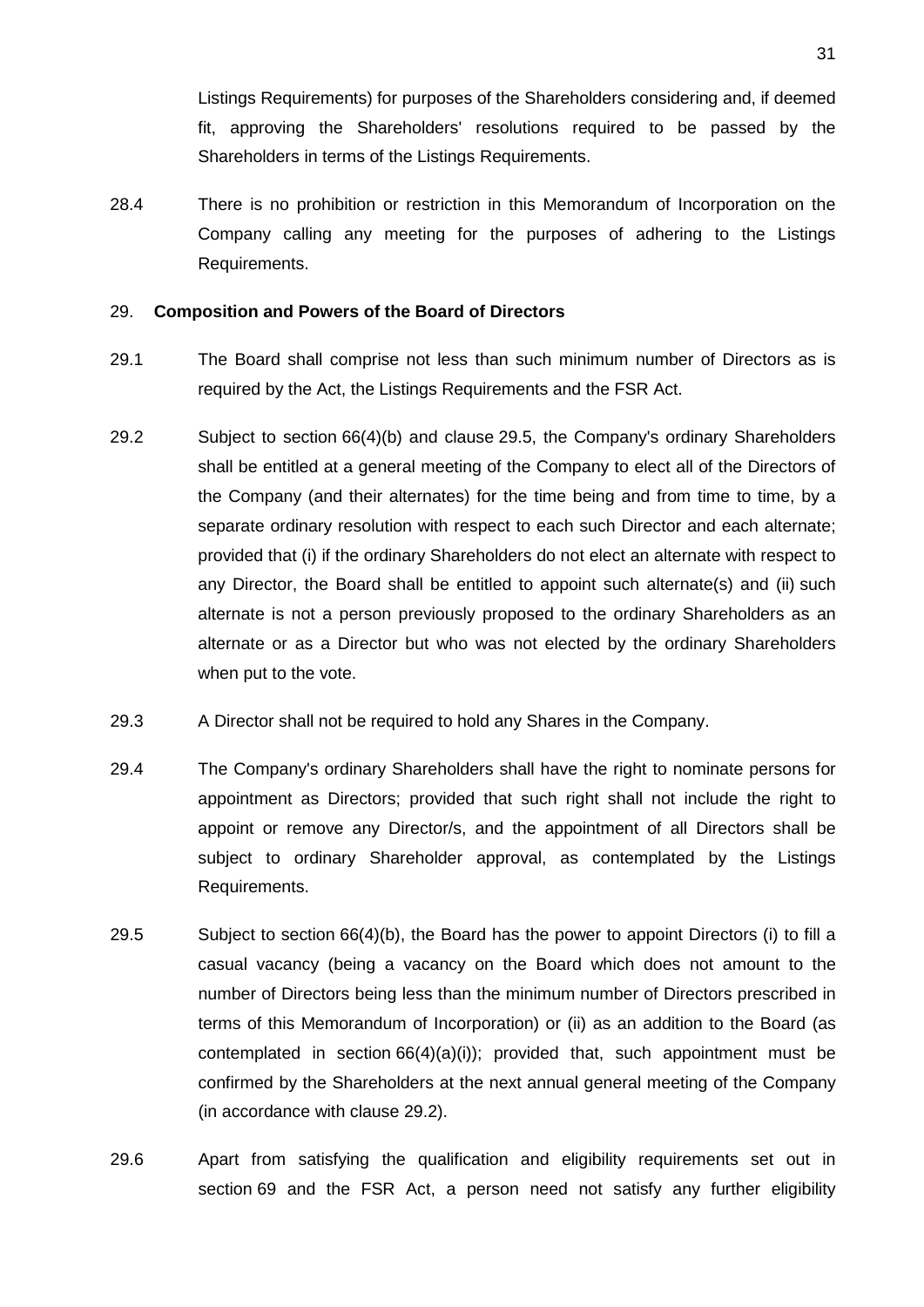Listings Requirements) for purposes of the Shareholders considering and, if deemed fit, approving the Shareholders' resolutions required to be passed by the Shareholders in terms of the Listings Requirements.

<span id="page-30-1"></span>28.4 There is no prohibition or restriction in this Memorandum of Incorporation on the Company calling any meeting for the purposes of adhering to the Listings Requirements.

#### <span id="page-30-0"></span>29. **Composition and Powers of the Board of Directors**

- 29.1 The Board shall comprise not less than such minimum number of Directors as is required by the Act, the Listings Requirements and the FSR Act.
- <span id="page-30-3"></span>29.2 Subject to section 66(4)(b) and clause [29.5,](#page-30-2) the Company's ordinary Shareholders shall be entitled at a general meeting of the Company to elect all of the Directors of the Company (and their alternates) for the time being and from time to time, by a separate ordinary resolution with respect to each such Director and each alternate; provided that (i) if the ordinary Shareholders do not elect an alternate with respect to any Director, the Board shall be entitled to appoint such alternate(s) and (ii) such alternate is not a person previously proposed to the ordinary Shareholders as an alternate or as a Director but who was not elected by the ordinary Shareholders when put to the vote.
- 29.3 A Director shall not be required to hold any Shares in the Company.
- 29.4 The Company's ordinary Shareholders shall have the right to nominate persons for appointment as Directors; provided that such right shall not include the right to appoint or remove any Director/s, and the appointment of all Directors shall be subject to ordinary Shareholder approval, as contemplated by the Listings Requirements.
- <span id="page-30-2"></span>29.5 Subject to section  $66(4)(b)$ , the Board has the power to appoint Directors (i) to fill a casual vacancy (being a vacancy on the Board which does not amount to the number of Directors being less than the minimum number of Directors prescribed in terms of this Memorandum of Incorporation) or (ii) as an addition to the Board (as contemplated in section  $66(4)(a)(i)$ ; provided that, such appointment must be confirmed by the Shareholders at the next annual general meeting of the Company (in accordance with clause [29.2\)](#page-30-3).
- 29.6 Apart from satisfying the qualification and eligibility requirements set out in section 69 and the FSR Act, a person need not satisfy any further eligibility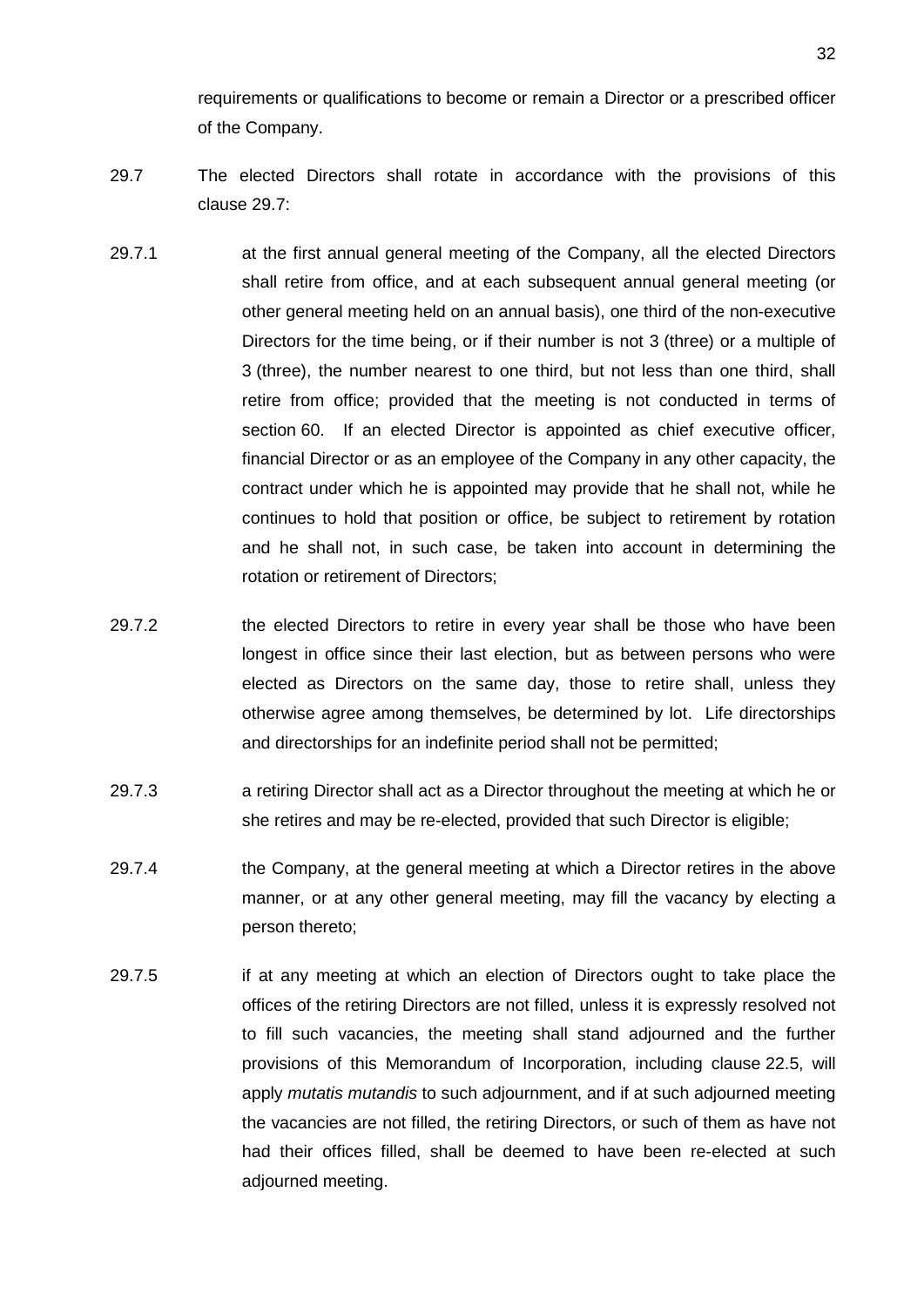requirements or qualifications to become or remain a Director or a prescribed officer of the Company.

- <span id="page-31-0"></span>29.7 The elected Directors shall rotate in accordance with the provisions of this clause [29.7:](#page-31-0)
- 29.7.1 at the first annual general meeting of the Company, all the elected Directors shall retire from office, and at each subsequent annual general meeting (or other general meeting held on an annual basis), one third of the non-executive Directors for the time being, or if their number is not 3 (three) or a multiple of 3 (three), the number nearest to one third, but not less than one third, shall retire from office; provided that the meeting is not conducted in terms of section 60. If an elected Director is appointed as chief executive officer, financial Director or as an employee of the Company in any other capacity, the contract under which he is appointed may provide that he shall not, while he continues to hold that position or office, be subject to retirement by rotation and he shall not, in such case, be taken into account in determining the rotation or retirement of Directors;
- 29.7.2 the elected Directors to retire in every year shall be those who have been longest in office since their last election, but as between persons who were elected as Directors on the same day, those to retire shall, unless they otherwise agree among themselves, be determined by lot. Life directorships and directorships for an indefinite period shall not be permitted;
- 29.7.3 a retiring Director shall act as a Director throughout the meeting at which he or she retires and may be re-elected, provided that such Director is eligible;
- 29.7.4 the Company, at the general meeting at which a Director retires in the above manner, or at any other general meeting, may fill the vacancy by electing a person thereto;
- 29.7.5 if at any meeting at which an election of Directors ought to take place the offices of the retiring Directors are not filled, unless it is expressly resolved not to fill such vacancies, the meeting shall stand adjourned and the further provisions of this Memorandum of Incorporation, including clause [22.5,](#page-23-1) will apply *mutatis mutandis* to such adjournment, and if at such adjourned meeting the vacancies are not filled, the retiring Directors, or such of them as have not had their offices filled, shall be deemed to have been re-elected at such adjourned meeting.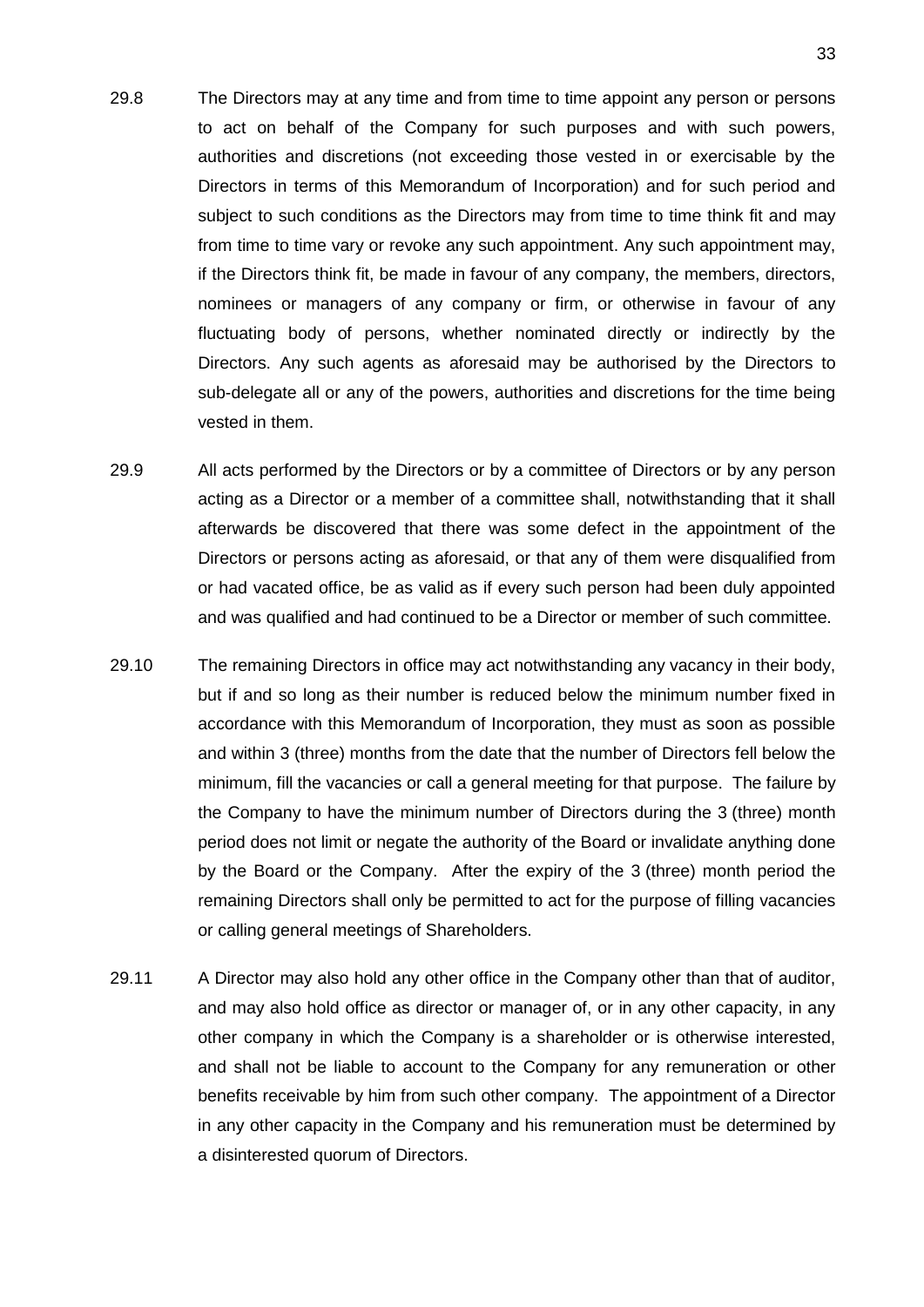- 29.8 The Directors may at any time and from time to time appoint any person or persons to act on behalf of the Company for such purposes and with such powers, authorities and discretions (not exceeding those vested in or exercisable by the Directors in terms of this Memorandum of Incorporation) and for such period and subject to such conditions as the Directors may from time to time think fit and may from time to time vary or revoke any such appointment. Any such appointment may, if the Directors think fit, be made in favour of any company, the members, directors, nominees or managers of any company or firm, or otherwise in favour of any fluctuating body of persons, whether nominated directly or indirectly by the Directors. Any such agents as aforesaid may be authorised by the Directors to sub-delegate all or any of the powers, authorities and discretions for the time being vested in them.
- 29.9 All acts performed by the Directors or by a committee of Directors or by any person acting as a Director or a member of a committee shall, notwithstanding that it shall afterwards be discovered that there was some defect in the appointment of the Directors or persons acting as aforesaid, or that any of them were disqualified from or had vacated office, be as valid as if every such person had been duly appointed and was qualified and had continued to be a Director or member of such committee.
- 29.10 The remaining Directors in office may act notwithstanding any vacancy in their body, but if and so long as their number is reduced below the minimum number fixed in accordance with this Memorandum of Incorporation, they must as soon as possible and within 3 (three) months from the date that the number of Directors fell below the minimum, fill the vacancies or call a general meeting for that purpose. The failure by the Company to have the minimum number of Directors during the 3 (three) month period does not limit or negate the authority of the Board or invalidate anything done by the Board or the Company. After the expiry of the 3 (three) month period the remaining Directors shall only be permitted to act for the purpose of filling vacancies or calling general meetings of Shareholders.
- 29.11 A Director may also hold any other office in the Company other than that of auditor, and may also hold office as director or manager of, or in any other capacity, in any other company in which the Company is a shareholder or is otherwise interested, and shall not be liable to account to the Company for any remuneration or other benefits receivable by him from such other company. The appointment of a Director in any other capacity in the Company and his remuneration must be determined by a disinterested quorum of Directors.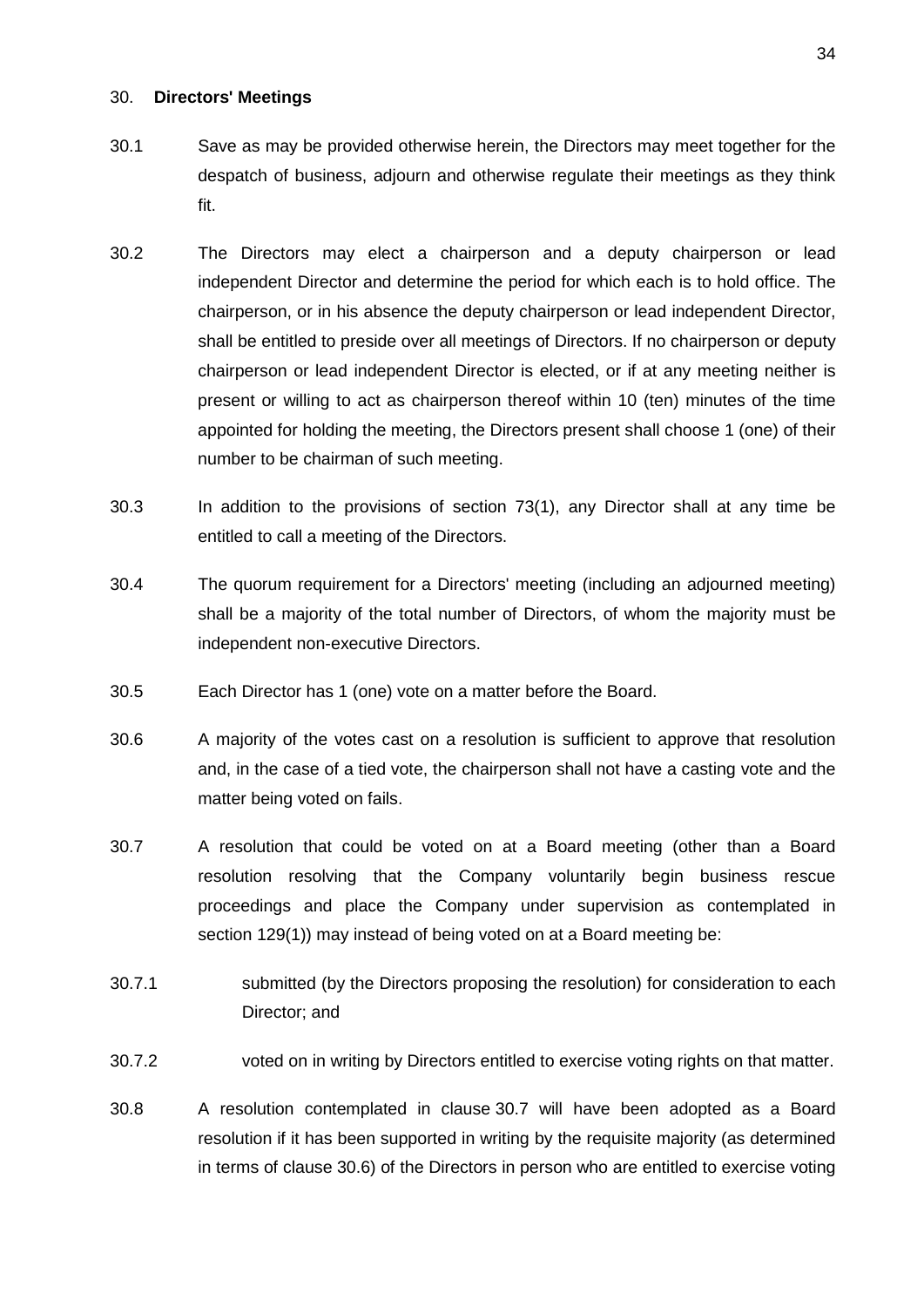#### <span id="page-33-0"></span>30. **Directors' Meetings**

- 30.1 Save as may be provided otherwise herein, the Directors may meet together for the despatch of business, adjourn and otherwise regulate their meetings as they think fit.
- 30.2 The Directors may elect a chairperson and a deputy chairperson or lead independent Director and determine the period for which each is to hold office. The chairperson, or in his absence the deputy chairperson or lead independent Director, shall be entitled to preside over all meetings of Directors. If no chairperson or deputy chairperson or lead independent Director is elected, or if at any meeting neither is present or willing to act as chairperson thereof within 10 (ten) minutes of the time appointed for holding the meeting, the Directors present shall choose 1 (one) of their number to be chairman of such meeting.
- 30.3 In addition to the provisions of section 73(1), any Director shall at any time be entitled to call a meeting of the Directors.
- 30.4 The quorum requirement for a Directors' meeting (including an adjourned meeting) shall be a majority of the total number of Directors, of whom the majority must be independent non-executive Directors.
- 30.5 Each Director has 1 (one) vote on a matter before the Board.
- <span id="page-33-2"></span>30.6 A majority of the votes cast on a resolution is sufficient to approve that resolution and, in the case of a tied vote, the chairperson shall not have a casting vote and the matter being voted on fails.
- <span id="page-33-1"></span>30.7 A resolution that could be voted on at a Board meeting (other than a Board resolution resolving that the Company voluntarily begin business rescue proceedings and place the Company under supervision as contemplated in section 129(1)) may instead of being voted on at a Board meeting be:
- 30.7.1 submitted (by the Directors proposing the resolution) for consideration to each Director; and
- 30.7.2 voted on in writing by Directors entitled to exercise voting rights on that matter.
- <span id="page-33-3"></span>30.8 A resolution contemplated in clause [30.7](#page-33-1) will have been adopted as a Board resolution if it has been supported in writing by the requisite majority (as determined in terms of clause [30.6\)](#page-33-2) of the Directors in person who are entitled to exercise voting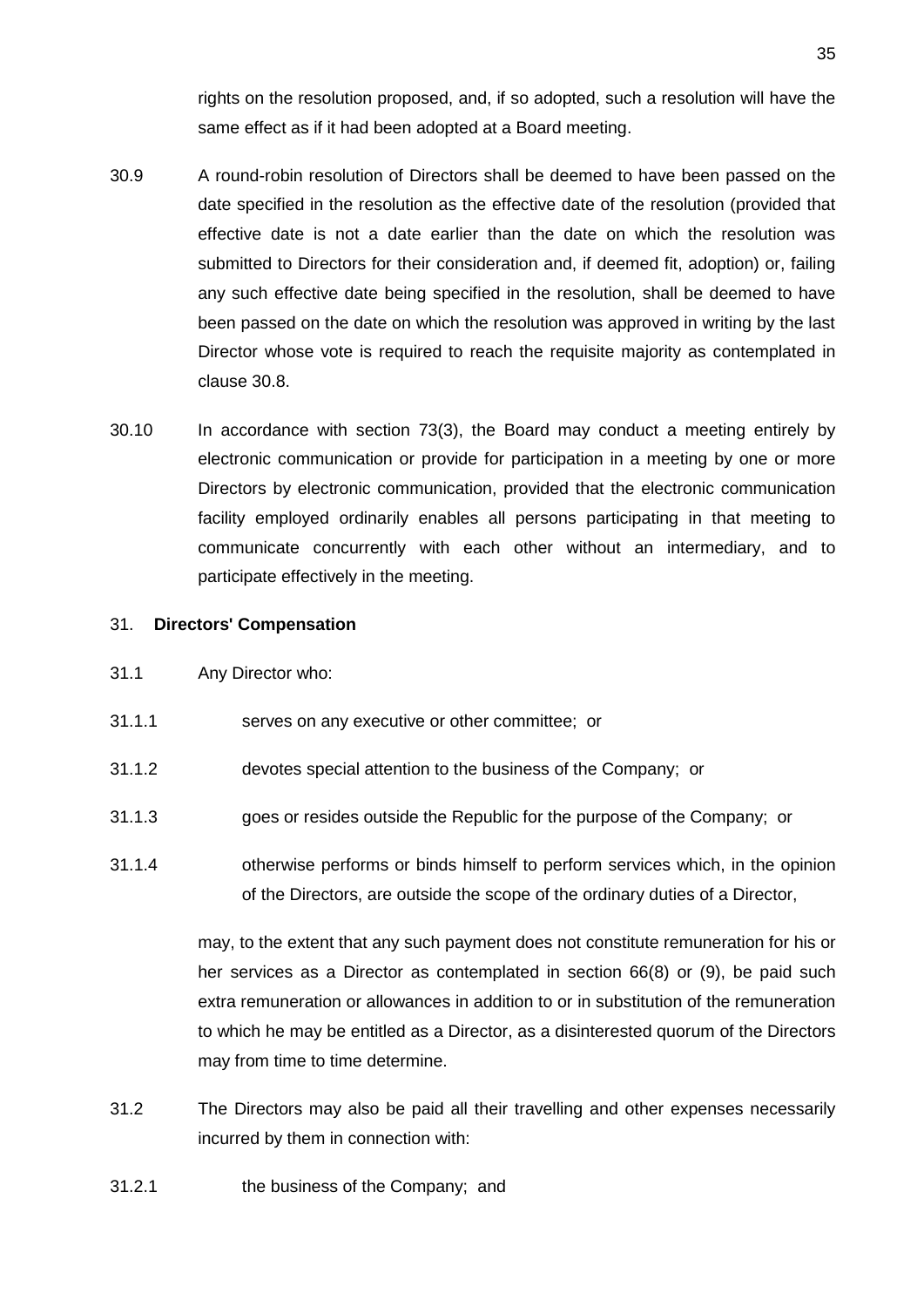rights on the resolution proposed, and, if so adopted, such a resolution will have the same effect as if it had been adopted at a Board meeting.

- 30.9 A round-robin resolution of Directors shall be deemed to have been passed on the date specified in the resolution as the effective date of the resolution (provided that effective date is not a date earlier than the date on which the resolution was submitted to Directors for their consideration and, if deemed fit, adoption) or, failing any such effective date being specified in the resolution, shall be deemed to have been passed on the date on which the resolution was approved in writing by the last Director whose vote is required to reach the requisite majority as contemplated in clause [30.8.](#page-33-3)
- 30.10 In accordance with section 73(3), the Board may conduct a meeting entirely by electronic communication or provide for participation in a meeting by one or more Directors by electronic communication, provided that the electronic communication facility employed ordinarily enables all persons participating in that meeting to communicate concurrently with each other without an intermediary, and to participate effectively in the meeting.

#### <span id="page-34-0"></span>31. **Directors' Compensation**

- 31.1 Any Director who:
- 31.1.1 serves on any executive or other committee; or
- 31.1.2 devotes special attention to the business of the Company; or
- 31.1.3 goes or resides outside the Republic for the purpose of the Company; or
- 31.1.4 otherwise performs or binds himself to perform services which, in the opinion of the Directors, are outside the scope of the ordinary duties of a Director,

may, to the extent that any such payment does not constitute remuneration for his or her services as a Director as contemplated in section 66(8) or (9), be paid such extra remuneration or allowances in addition to or in substitution of the remuneration to which he may be entitled as a Director, as a disinterested quorum of the Directors may from time to time determine.

- 31.2 The Directors may also be paid all their travelling and other expenses necessarily incurred by them in connection with:
- 31.2.1 the business of the Company; and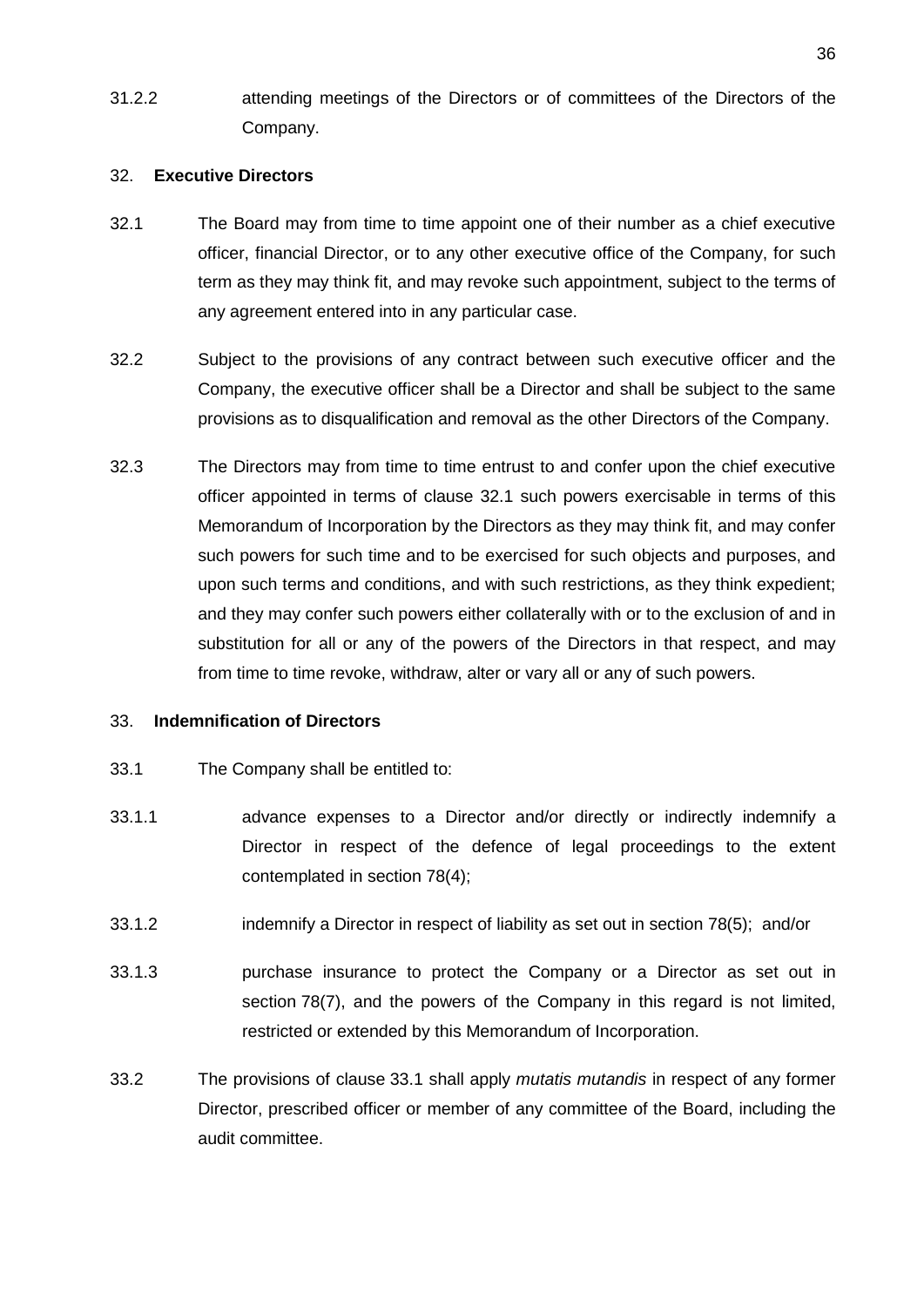31.2.2 attending meetings of the Directors or of committees of the Directors of the Company.

# <span id="page-35-0"></span>32. **Executive Directors**

- <span id="page-35-2"></span>32.1 The Board may from time to time appoint one of their number as a chief executive officer, financial Director, or to any other executive office of the Company, for such term as they may think fit, and may revoke such appointment, subject to the terms of any agreement entered into in any particular case.
- 32.2 Subject to the provisions of any contract between such executive officer and the Company, the executive officer shall be a Director and shall be subject to the same provisions as to disqualification and removal as the other Directors of the Company.
- 32.3 The Directors may from time to time entrust to and confer upon the chief executive officer appointed in terms of clause [32.1](#page-35-2) such powers exercisable in terms of this Memorandum of Incorporation by the Directors as they may think fit, and may confer such powers for such time and to be exercised for such objects and purposes, and upon such terms and conditions, and with such restrictions, as they think expedient; and they may confer such powers either collaterally with or to the exclusion of and in substitution for all or any of the powers of the Directors in that respect, and may from time to time revoke, withdraw, alter or vary all or any of such powers.

# <span id="page-35-1"></span>33. **Indemnification of Directors**

- <span id="page-35-3"></span>33.1 The Company shall be entitled to:
- 33.1.1 advance expenses to a Director and/or directly or indirectly indemnify a Director in respect of the defence of legal proceedings to the extent contemplated in section 78(4);
- 33.1.2 indemnify a Director in respect of liability as set out in section 78(5); and/or
- 33.1.3 purchase insurance to protect the Company or a Director as set out in section 78(7), and the powers of the Company in this regard is not limited, restricted or extended by this Memorandum of Incorporation.
- 33.2 The provisions of clause [33.1](#page-35-3) shall apply *mutatis mutandis* in respect of any former Director, prescribed officer or member of any committee of the Board, including the audit committee.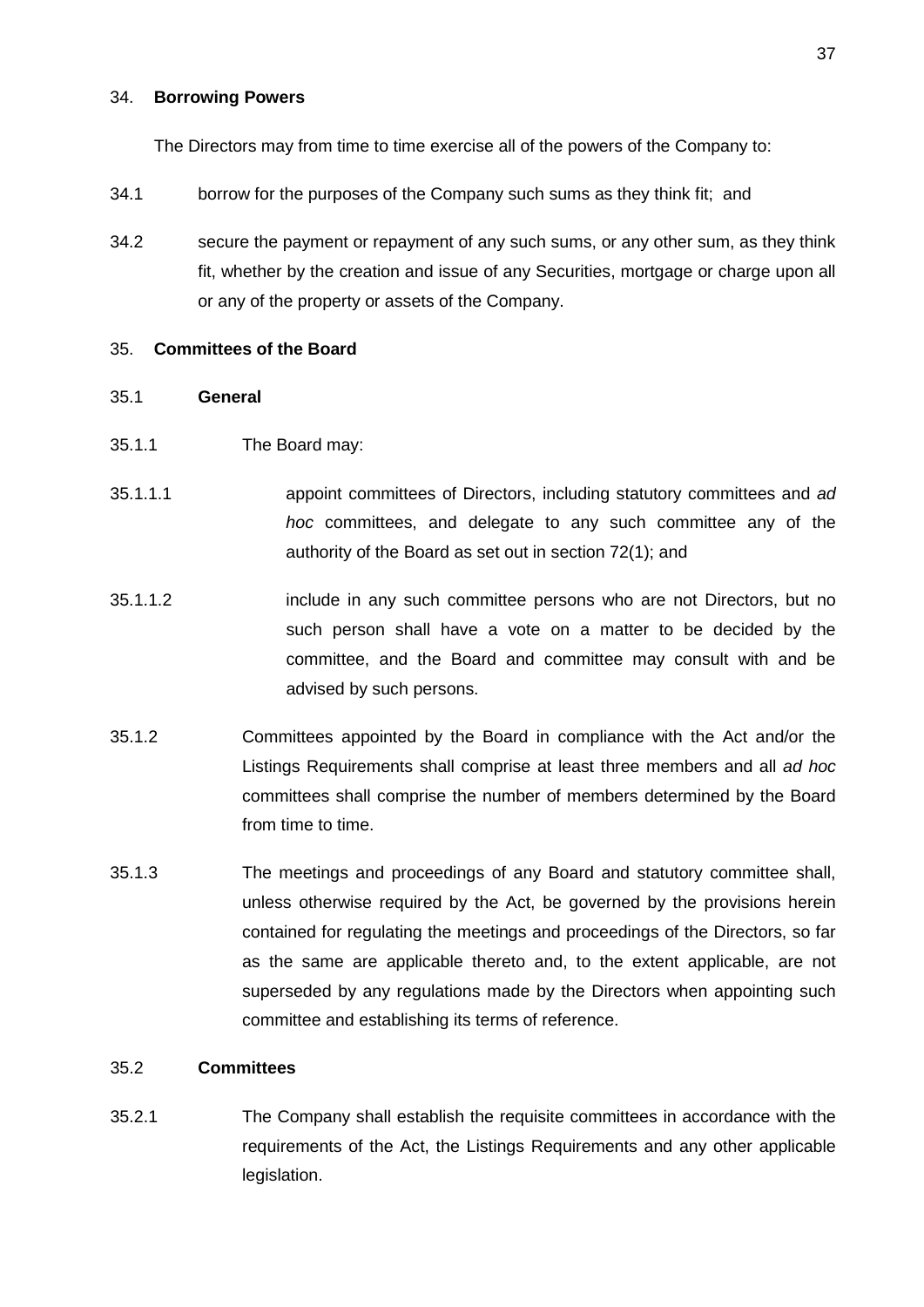#### <span id="page-36-0"></span>34. **Borrowing Powers**

The Directors may from time to time exercise all of the powers of the Company to:

- 34.1 borrow for the purposes of the Company such sums as they think fit; and
- 34.2 secure the payment or repayment of any such sums, or any other sum, as they think fit, whether by the creation and issue of any Securities, mortgage or charge upon all or any of the property or assets of the Company.

# <span id="page-36-1"></span>35. **Committees of the Board**

#### 35.1 **General**

- 35.1.1 The Board may:
- 35.1.1.1 appoint committees of Directors, including statutory committees and *ad hoc* committees, and delegate to any such committee any of the authority of the Board as set out in section 72(1); and
- 35.1.1.2 include in any such committee persons who are not Directors, but no such person shall have a vote on a matter to be decided by the committee, and the Board and committee may consult with and be advised by such persons.
- 35.1.2 Committees appointed by the Board in compliance with the Act and/or the Listings Requirements shall comprise at least three members and all *ad hoc*  committees shall comprise the number of members determined by the Board from time to time.
- 35.1.3 The meetings and proceedings of any Board and statutory committee shall, unless otherwise required by the Act, be governed by the provisions herein contained for regulating the meetings and proceedings of the Directors, so far as the same are applicable thereto and, to the extent applicable, are not superseded by any regulations made by the Directors when appointing such committee and establishing its terms of reference.

# 35.2 **Committees**

35.2.1 The Company shall establish the requisite committees in accordance with the requirements of the Act, the Listings Requirements and any other applicable legislation.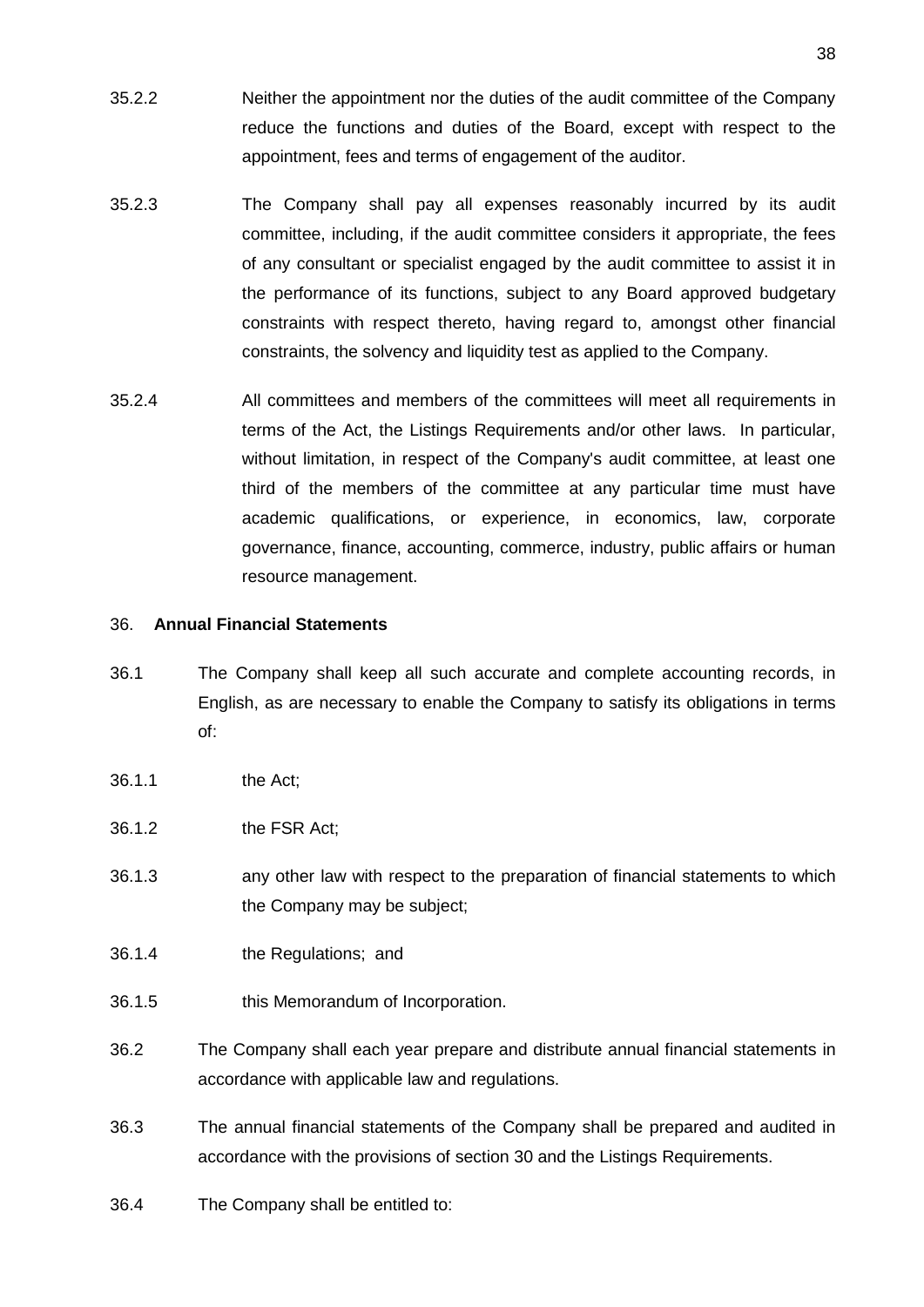- 35.2.2 Neither the appointment nor the duties of the audit committee of the Company reduce the functions and duties of the Board, except with respect to the appointment, fees and terms of engagement of the auditor.
- 35.2.3 The Company shall pay all expenses reasonably incurred by its audit committee, including, if the audit committee considers it appropriate, the fees of any consultant or specialist engaged by the audit committee to assist it in the performance of its functions, subject to any Board approved budgetary constraints with respect thereto, having regard to, amongst other financial constraints, the solvency and liquidity test as applied to the Company.
- 35.2.4 All committees and members of the committees will meet all requirements in terms of the Act, the Listings Requirements and/or other laws. In particular, without limitation, in respect of the Company's audit committee, at least one third of the members of the committee at any particular time must have academic qualifications, or experience, in economics, law, corporate governance, finance, accounting, commerce, industry, public affairs or human resource management.

# <span id="page-37-0"></span>36. **Annual Financial Statements**

- 36.1 The Company shall keep all such accurate and complete accounting records, in English, as are necessary to enable the Company to satisfy its obligations in terms of:
- 36.1.1 the Act;
- 36.1.2 the FSR Act;
- 36.1.3 any other law with respect to the preparation of financial statements to which the Company may be subject;
- 36.1.4 the Regulations; and
- 36.1.5 this Memorandum of Incorporation.
- 36.2 The Company shall each year prepare and distribute annual financial statements in accordance with applicable law and regulations.
- 36.3 The annual financial statements of the Company shall be prepared and audited in accordance with the provisions of section 30 and the Listings Requirements.
- 36.4 The Company shall be entitled to: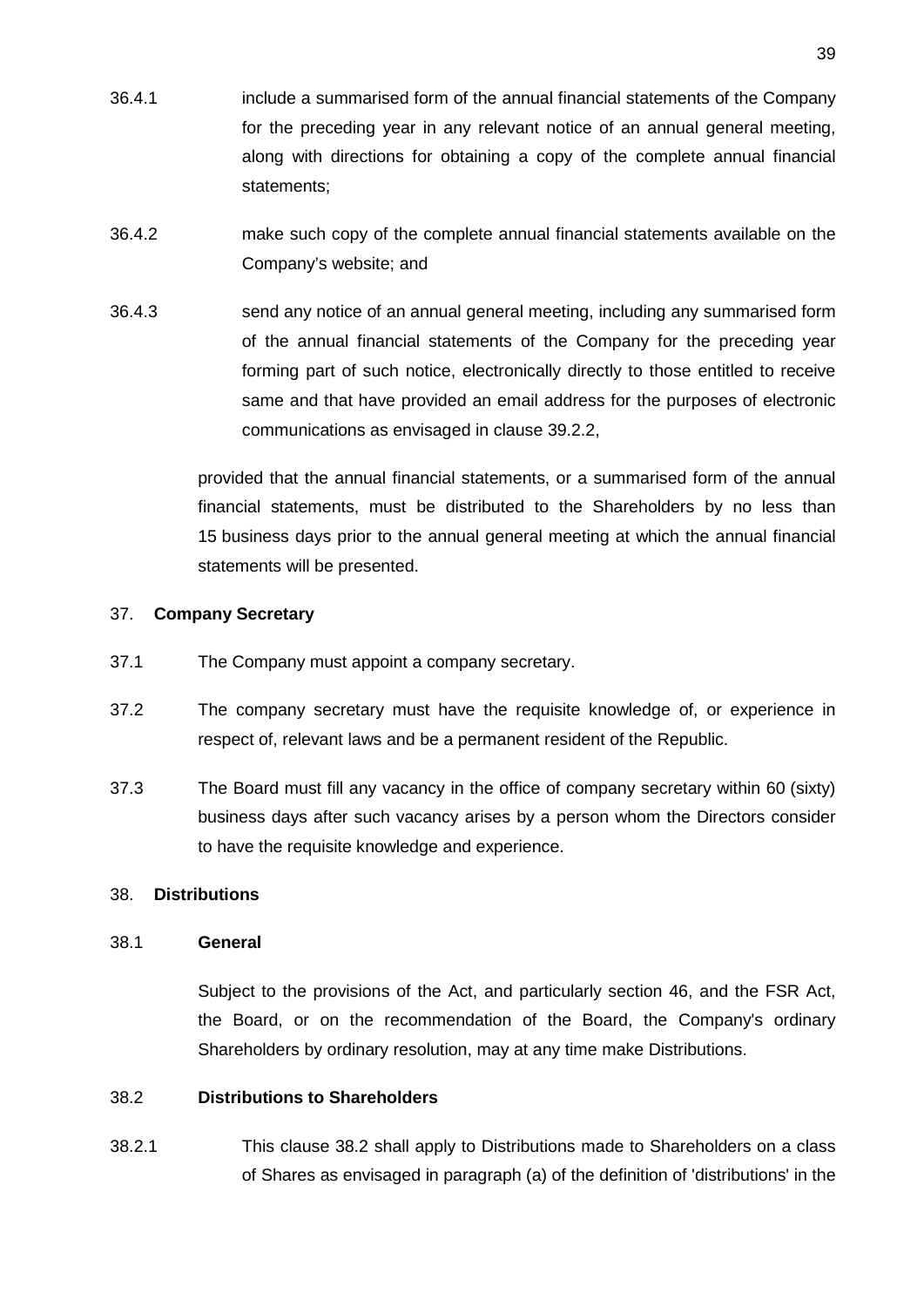- 36.4.1 include a summarised form of the annual financial statements of the Company for the preceding year in any relevant notice of an annual general meeting, along with directions for obtaining a copy of the complete annual financial statements;
- 36.4.2 make such copy of the complete annual financial statements available on the Company's website; and
- 36.4.3 send any notice of an annual general meeting, including any summarised form of the annual financial statements of the Company for the preceding year forming part of such notice, electronically directly to those entitled to receive same and that have provided an email address for the purposes of electronic communications as envisaged in clause [39.2.2,](#page-44-0)

provided that the annual financial statements, or a summarised form of the annual financial statements, must be distributed to the Shareholders by no less than 15 business days prior to the annual general meeting at which the annual financial statements will be presented.

# <span id="page-38-0"></span>37. **Company Secretary**

- 37.1 The Company must appoint a company secretary.
- 37.2 The company secretary must have the requisite knowledge of, or experience in respect of, relevant laws and be a permanent resident of the Republic.
- 37.3 The Board must fill any vacancy in the office of company secretary within 60 (sixty) business days after such vacancy arises by a person whom the Directors consider to have the requisite knowledge and experience.

# <span id="page-38-1"></span>38. **Distributions**

# 38.1 **General**

Subject to the provisions of the Act, and particularly section 46, and the FSR Act, the Board, or on the recommendation of the Board, the Company's ordinary Shareholders by ordinary resolution, may at any time make Distributions.

# <span id="page-38-2"></span>38.2 **Distributions to Shareholders**

38.2.1 This clause [38.2](#page-38-2) shall apply to Distributions made to Shareholders on a class of Shares as envisaged in paragraph (a) of the definition of 'distributions' in the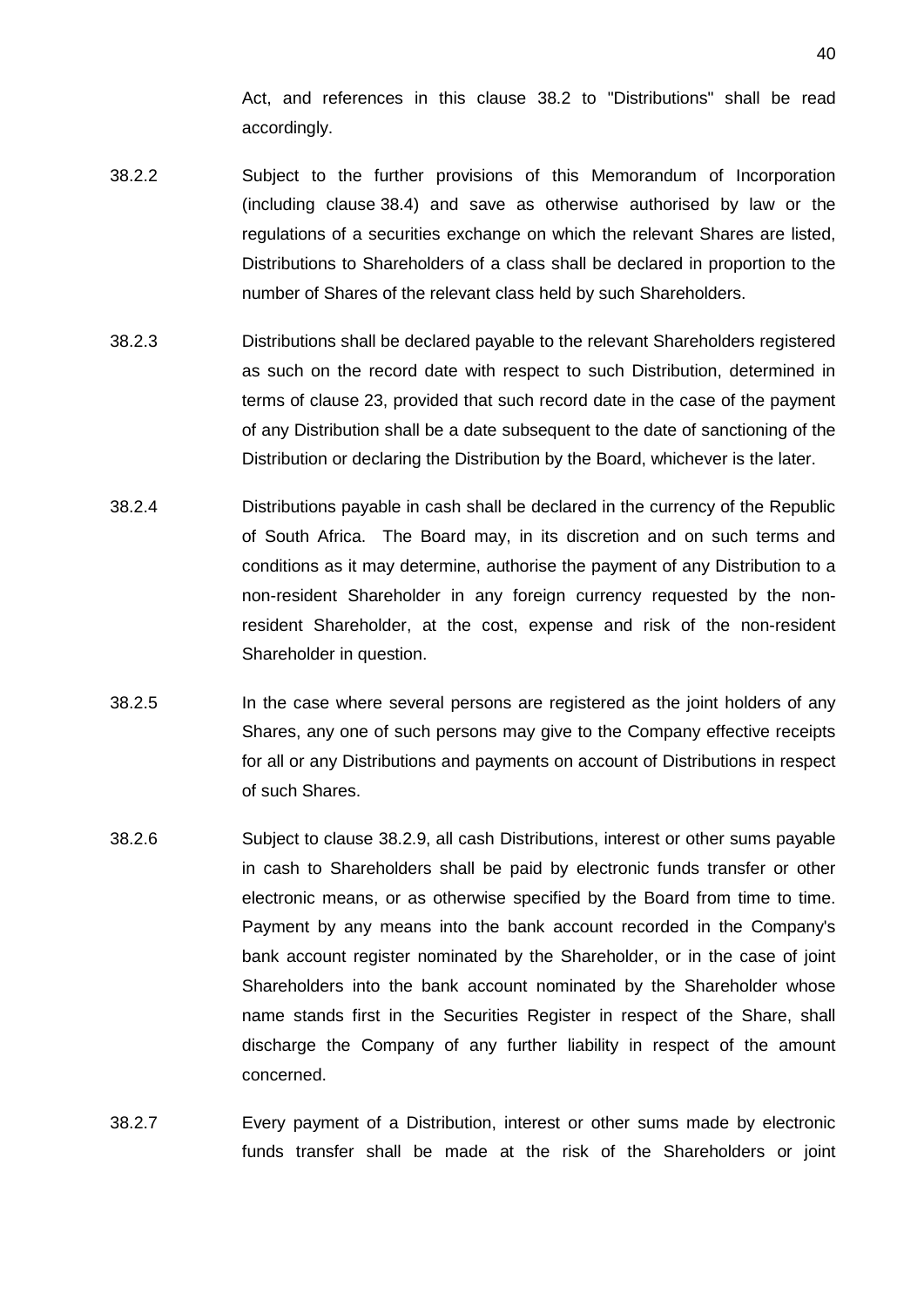Act, and references in this clause [38.2](#page-38-2) to "Distributions" shall be read accordingly.

- 38.2.2 Subject to the further provisions of this Memorandum of Incorporation (including clause [38.4\)](#page-41-1) and save as otherwise authorised by law or the regulations of a securities exchange on which the relevant Shares are listed, Distributions to Shareholders of a class shall be declared in proportion to the number of Shares of the relevant class held by such Shareholders.
- 38.2.3 Distributions shall be declared payable to the relevant Shareholders registered as such on the record date with respect to such Distribution, determined in terms of clause [23,](#page-25-0) provided that such record date in the case of the payment of any Distribution shall be a date subsequent to the date of sanctioning of the Distribution or declaring the Distribution by the Board, whichever is the later.
- <span id="page-39-0"></span>38.2.4 Distributions payable in cash shall be declared in the currency of the Republic of South Africa. The Board may, in its discretion and on such terms and conditions as it may determine, authorise the payment of any Distribution to a non-resident Shareholder in any foreign currency requested by the nonresident Shareholder, at the cost, expense and risk of the non-resident Shareholder in question.
- 38.2.5 In the case where several persons are registered as the joint holders of any Shares, any one of such persons may give to the Company effective receipts for all or any Distributions and payments on account of Distributions in respect of such Shares.
- 38.2.6 Subject to clause [38.2.9,](#page-40-1) all cash Distributions, interest or other sums payable in cash to Shareholders shall be paid by electronic funds transfer or other electronic means, or as otherwise specified by the Board from time to time. Payment by any means into the bank account recorded in the Company's bank account register nominated by the Shareholder, or in the case of joint Shareholders into the bank account nominated by the Shareholder whose name stands first in the Securities Register in respect of the Share, shall discharge the Company of any further liability in respect of the amount concerned.
- 38.2.7 Every payment of a Distribution, interest or other sums made by electronic funds transfer shall be made at the risk of the Shareholders or joint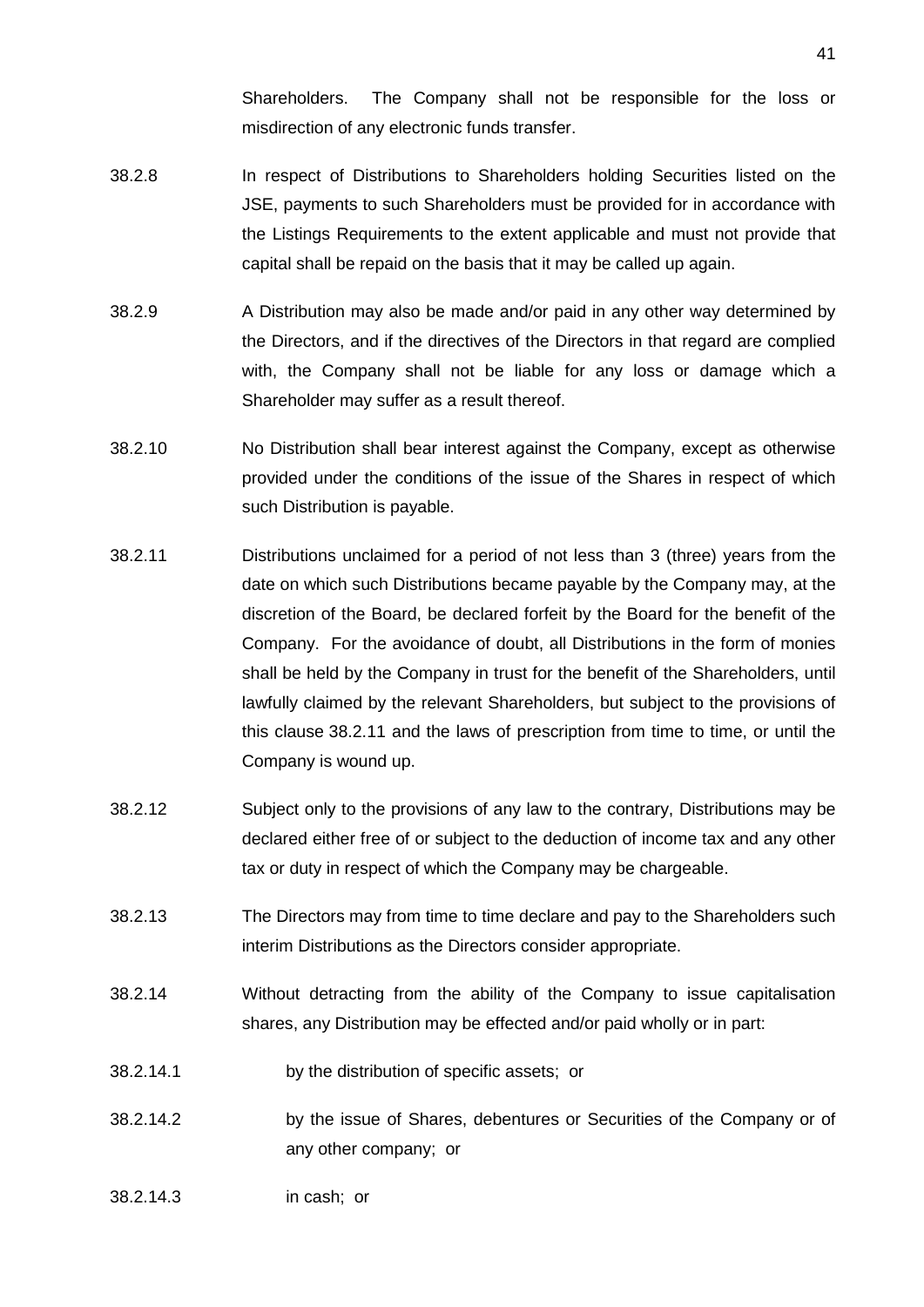Shareholders. The Company shall not be responsible for the loss or misdirection of any electronic funds transfer.

- 38.2.8 In respect of Distributions to Shareholders holding Securities listed on the JSE, payments to such Shareholders must be provided for in accordance with the Listings Requirements to the extent applicable and must not provide that capital shall be repaid on the basis that it may be called up again.
- <span id="page-40-1"></span>38.2.9 A Distribution may also be made and/or paid in any other way determined by the Directors, and if the directives of the Directors in that regard are complied with, the Company shall not be liable for any loss or damage which a Shareholder may suffer as a result thereof.
- 38.2.10 No Distribution shall bear interest against the Company, except as otherwise provided under the conditions of the issue of the Shares in respect of which such Distribution is payable.
- <span id="page-40-0"></span>38.2.11 Distributions unclaimed for a period of not less than 3 (three) years from the date on which such Distributions became payable by the Company may, at the discretion of the Board, be declared forfeit by the Board for the benefit of the Company. For the avoidance of doubt, all Distributions in the form of monies shall be held by the Company in trust for the benefit of the Shareholders, until lawfully claimed by the relevant Shareholders, but subject to the provisions of this clause [38.2.11](#page-40-0) and the laws of prescription from time to time, or until the Company is wound up.
- 38.2.12 Subject only to the provisions of any law to the contrary, Distributions may be declared either free of or subject to the deduction of income tax and any other tax or duty in respect of which the Company may be chargeable.
- 38.2.13 The Directors may from time to time declare and pay to the Shareholders such interim Distributions as the Directors consider appropriate.
- 38.2.14 Without detracting from the ability of the Company to issue capitalisation shares, any Distribution may be effected and/or paid wholly or in part:
- 38.2.14.1 by the distribution of specific assets; or
- 38.2.14.2 by the issue of Shares, debentures or Securities of the Company or of any other company; or
- 38.2.14.3 in cash; or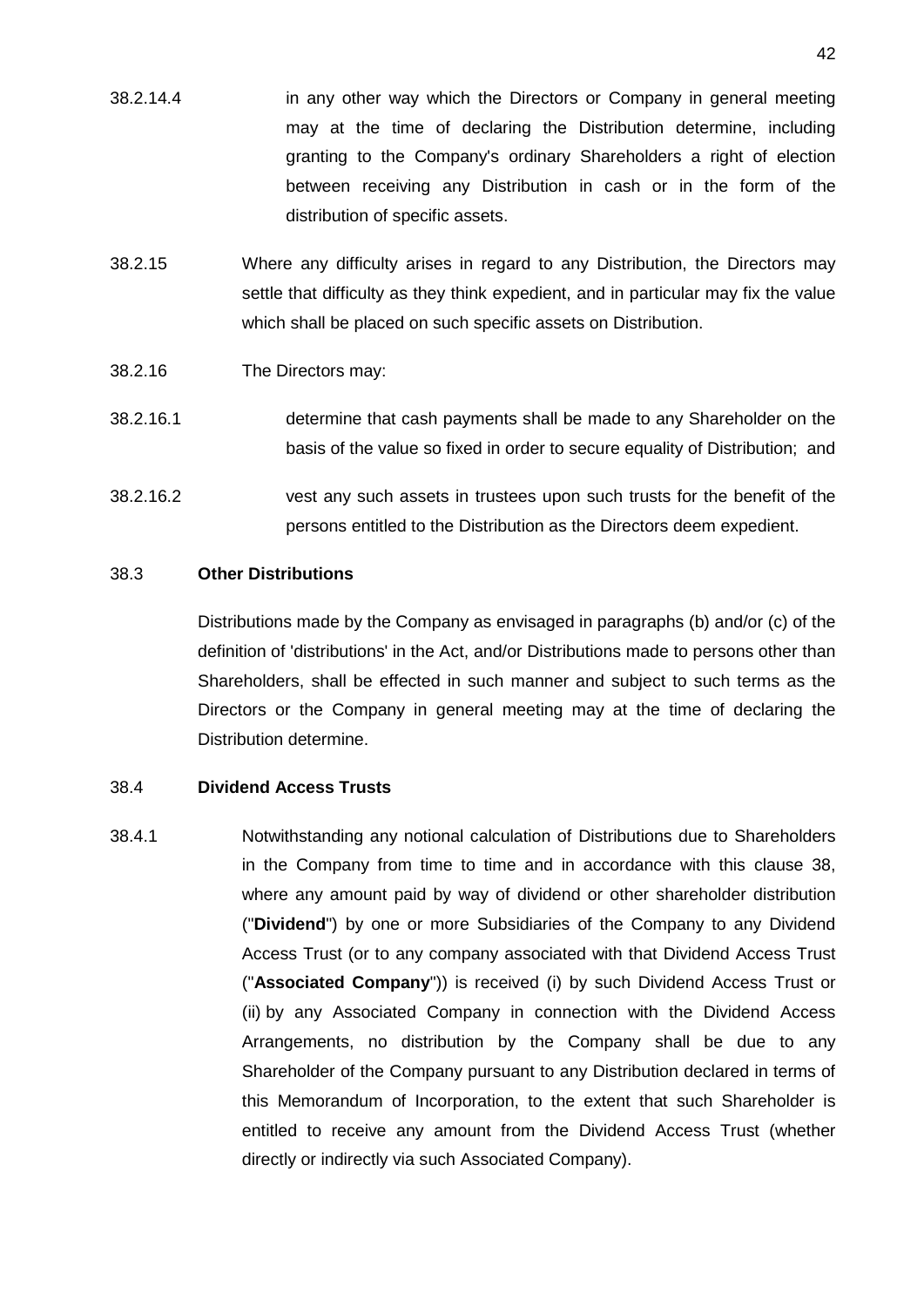- 38.2.14.4 in any other way which the Directors or Company in general meeting may at the time of declaring the Distribution determine, including granting to the Company's ordinary Shareholders a right of election between receiving any Distribution in cash or in the form of the distribution of specific assets.
- 38.2.15 Where any difficulty arises in regard to any Distribution, the Directors may settle that difficulty as they think expedient, and in particular may fix the value which shall be placed on such specific assets on Distribution.
- 38.2.16 The Directors may:
- 38.2.16.1 determine that cash payments shall be made to any Shareholder on the basis of the value so fixed in order to secure equality of Distribution; and
- 38.2.16.2 vest any such assets in trustees upon such trusts for the benefit of the persons entitled to the Distribution as the Directors deem expedient.

# 38.3 **Other Distributions**

Distributions made by the Company as envisaged in paragraphs (b) and/or (c) of the definition of 'distributions' in the Act, and/or Distributions made to persons other than Shareholders, shall be effected in such manner and subject to such terms as the Directors or the Company in general meeting may at the time of declaring the Distribution determine.

# <span id="page-41-1"></span>38.4 **Dividend Access Trusts**

<span id="page-41-0"></span>38.4.1 Notwithstanding any notional calculation of Distributions due to Shareholders in the Company from time to time and in accordance with this clause [38,](#page-38-1) where any amount paid by way of dividend or other shareholder distribution ("**Dividend**") by one or more Subsidiaries of the Company to any Dividend Access Trust (or to any company associated with that Dividend Access Trust ("**Associated Company**")) is received (i) by such Dividend Access Trust or (ii) by any Associated Company in connection with the Dividend Access Arrangements, no distribution by the Company shall be due to any Shareholder of the Company pursuant to any Distribution declared in terms of this Memorandum of Incorporation, to the extent that such Shareholder is entitled to receive any amount from the Dividend Access Trust (whether directly or indirectly via such Associated Company).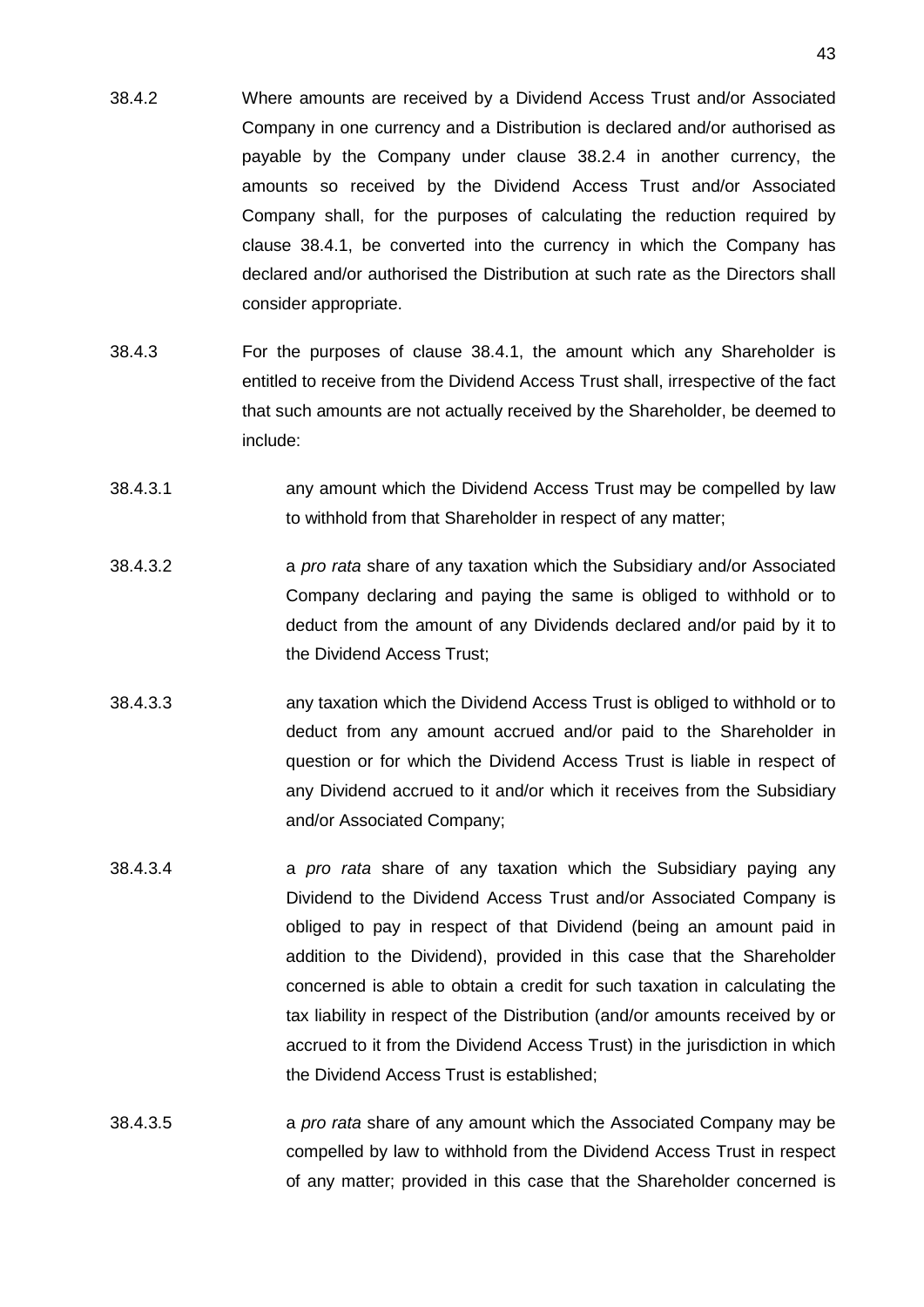- 38.4.2 Where amounts are received by a Dividend Access Trust and/or Associated Company in one currency and a Distribution is declared and/or authorised as payable by the Company under clause [38.2.4](#page-39-0) in another currency, the amounts so received by the Dividend Access Trust and/or Associated Company shall, for the purposes of calculating the reduction required by clause [38.4.1,](#page-41-0) be converted into the currency in which the Company has declared and/or authorised the Distribution at such rate as the Directors shall consider appropriate.
- 38.4.3 For the purposes of clause [38.4.1,](#page-41-0) the amount which any Shareholder is entitled to receive from the Dividend Access Trust shall, irrespective of the fact that such amounts are not actually received by the Shareholder, be deemed to include:
- 38.4.3.1 any amount which the Dividend Access Trust may be compelled by law to withhold from that Shareholder in respect of any matter;
- 38.4.3.2 a *pro rata* share of any taxation which the Subsidiary and/or Associated Company declaring and paying the same is obliged to withhold or to deduct from the amount of any Dividends declared and/or paid by it to the Dividend Access Trust;
- 38.4.3.3 any taxation which the Dividend Access Trust is obliged to withhold or to deduct from any amount accrued and/or paid to the Shareholder in question or for which the Dividend Access Trust is liable in respect of any Dividend accrued to it and/or which it receives from the Subsidiary and/or Associated Company;
- 38.4.3.4 a *pro rata* share of any taxation which the Subsidiary paying any Dividend to the Dividend Access Trust and/or Associated Company is obliged to pay in respect of that Dividend (being an amount paid in addition to the Dividend), provided in this case that the Shareholder concerned is able to obtain a credit for such taxation in calculating the tax liability in respect of the Distribution (and/or amounts received by or accrued to it from the Dividend Access Trust) in the jurisdiction in which the Dividend Access Trust is established;
- 38.4.3.5 a *pro rata* share of any amount which the Associated Company may be compelled by law to withhold from the Dividend Access Trust in respect of any matter; provided in this case that the Shareholder concerned is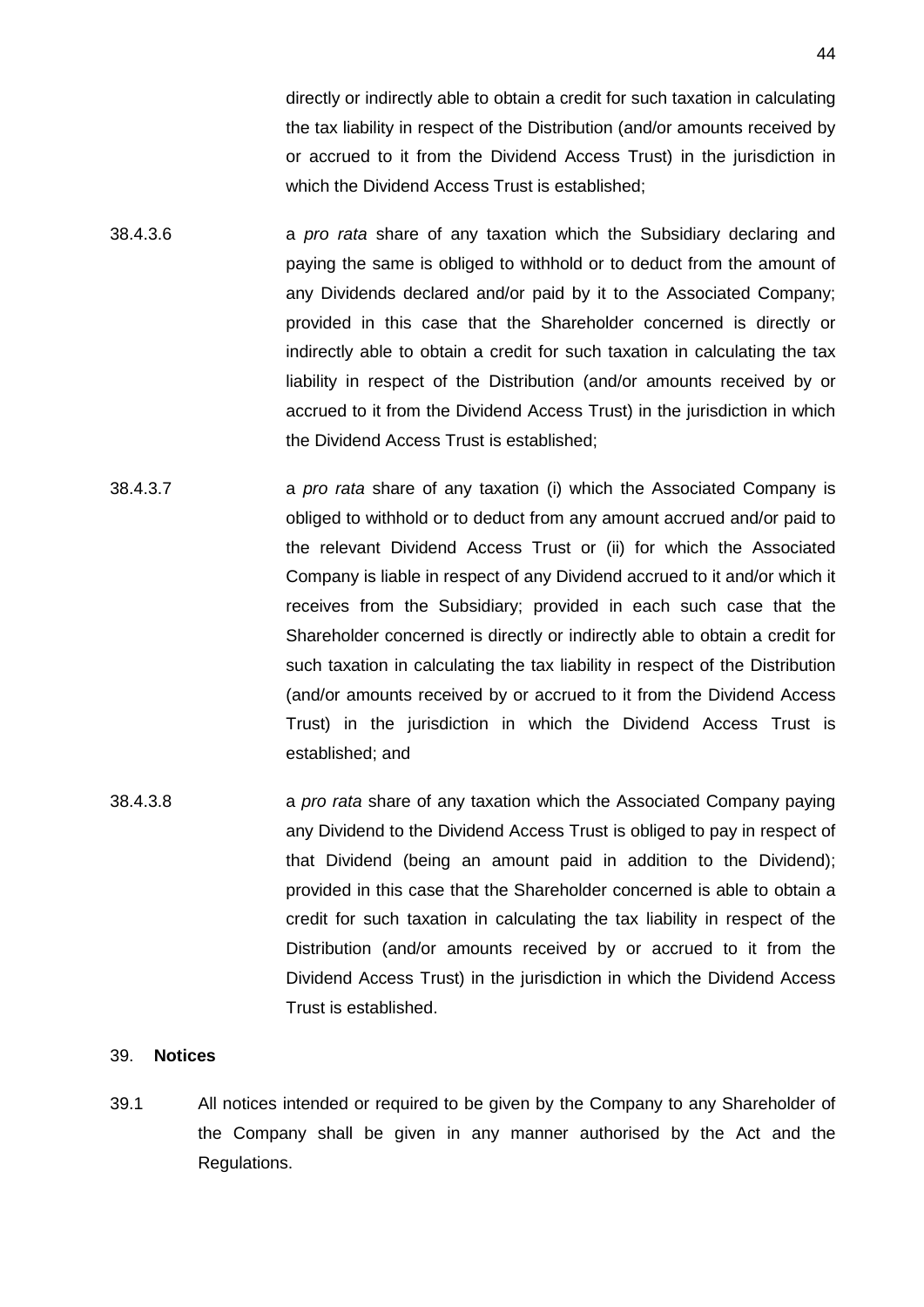directly or indirectly able to obtain a credit for such taxation in calculating the tax liability in respect of the Distribution (and/or amounts received by or accrued to it from the Dividend Access Trust) in the jurisdiction in which the Dividend Access Trust is established;

- 38.4.3.6 a *pro rata* share of any taxation which the Subsidiary declaring and paying the same is obliged to withhold or to deduct from the amount of any Dividends declared and/or paid by it to the Associated Company; provided in this case that the Shareholder concerned is directly or indirectly able to obtain a credit for such taxation in calculating the tax liability in respect of the Distribution (and/or amounts received by or accrued to it from the Dividend Access Trust) in the jurisdiction in which the Dividend Access Trust is established;
- 38.4.3.7 a *pro rata* share of any taxation (i) which the Associated Company is obliged to withhold or to deduct from any amount accrued and/or paid to the relevant Dividend Access Trust or (ii) for which the Associated Company is liable in respect of any Dividend accrued to it and/or which it receives from the Subsidiary; provided in each such case that the Shareholder concerned is directly or indirectly able to obtain a credit for such taxation in calculating the tax liability in respect of the Distribution (and/or amounts received by or accrued to it from the Dividend Access Trust) in the jurisdiction in which the Dividend Access Trust is established; and
- 38.4.3.8 a *pro rata* share of any taxation which the Associated Company paying any Dividend to the Dividend Access Trust is obliged to pay in respect of that Dividend (being an amount paid in addition to the Dividend); provided in this case that the Shareholder concerned is able to obtain a credit for such taxation in calculating the tax liability in respect of the Distribution (and/or amounts received by or accrued to it from the Dividend Access Trust) in the jurisdiction in which the Dividend Access Trust is established.

#### <span id="page-43-0"></span>39. **Notices**

39.1 All notices intended or required to be given by the Company to any Shareholder of the Company shall be given in any manner authorised by the Act and the Regulations.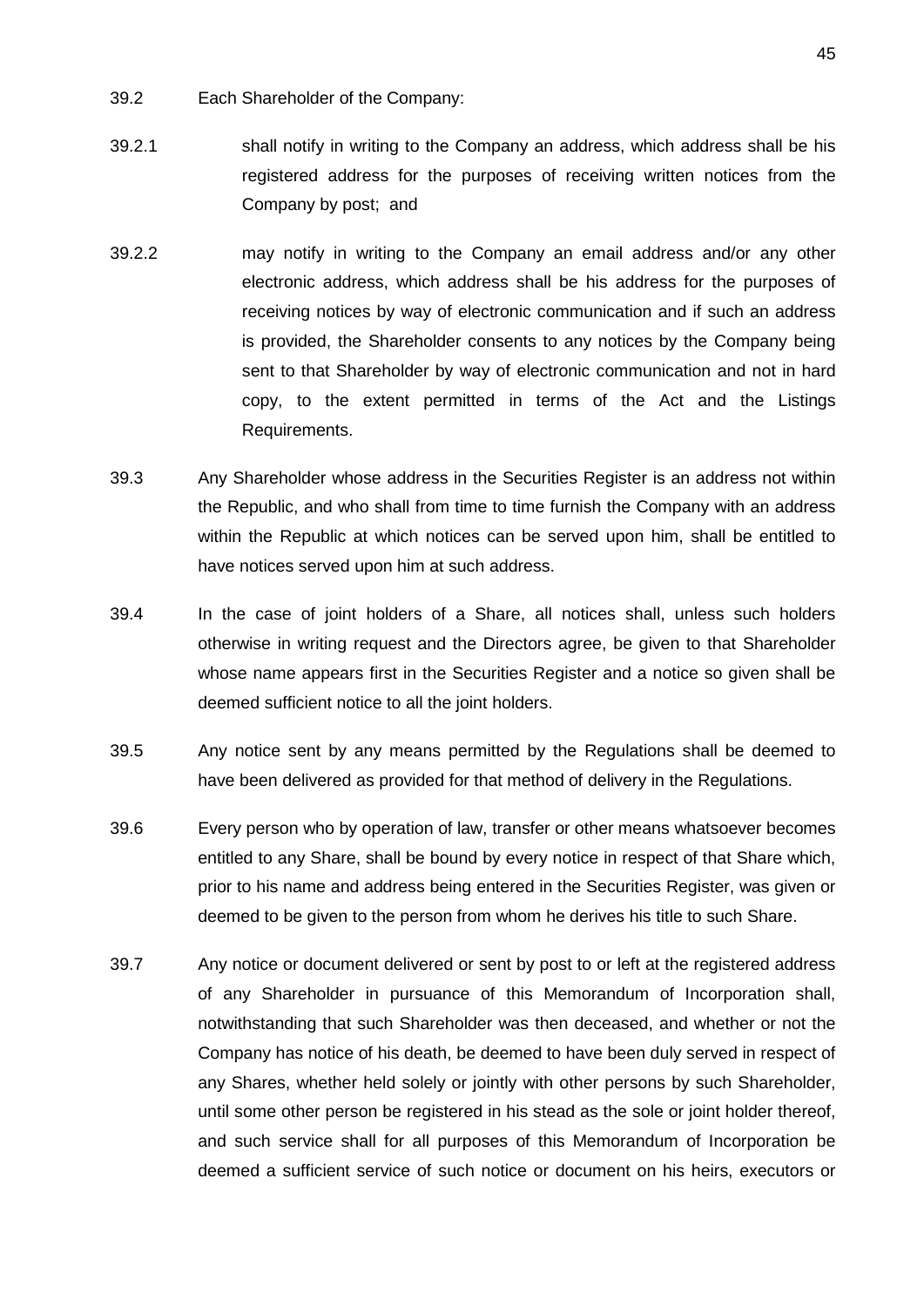- 39.2 Each Shareholder of the Company:
- 39.2.1 shall notify in writing to the Company an address, which address shall be his registered address for the purposes of receiving written notices from the Company by post; and
- <span id="page-44-0"></span>39.2.2 may notify in writing to the Company an email address and/or any other electronic address, which address shall be his address for the purposes of receiving notices by way of electronic communication and if such an address is provided, the Shareholder consents to any notices by the Company being sent to that Shareholder by way of electronic communication and not in hard copy, to the extent permitted in terms of the Act and the Listings Requirements.
- 39.3 Any Shareholder whose address in the Securities Register is an address not within the Republic, and who shall from time to time furnish the Company with an address within the Republic at which notices can be served upon him, shall be entitled to have notices served upon him at such address.
- 39.4 In the case of joint holders of a Share, all notices shall, unless such holders otherwise in writing request and the Directors agree, be given to that Shareholder whose name appears first in the Securities Register and a notice so given shall be deemed sufficient notice to all the joint holders.
- 39.5 Any notice sent by any means permitted by the Regulations shall be deemed to have been delivered as provided for that method of delivery in the Regulations.
- 39.6 Every person who by operation of law, transfer or other means whatsoever becomes entitled to any Share, shall be bound by every notice in respect of that Share which, prior to his name and address being entered in the Securities Register, was given or deemed to be given to the person from whom he derives his title to such Share.
- 39.7 Any notice or document delivered or sent by post to or left at the registered address of any Shareholder in pursuance of this Memorandum of Incorporation shall, notwithstanding that such Shareholder was then deceased, and whether or not the Company has notice of his death, be deemed to have been duly served in respect of any Shares, whether held solely or jointly with other persons by such Shareholder, until some other person be registered in his stead as the sole or joint holder thereof, and such service shall for all purposes of this Memorandum of Incorporation be deemed a sufficient service of such notice or document on his heirs, executors or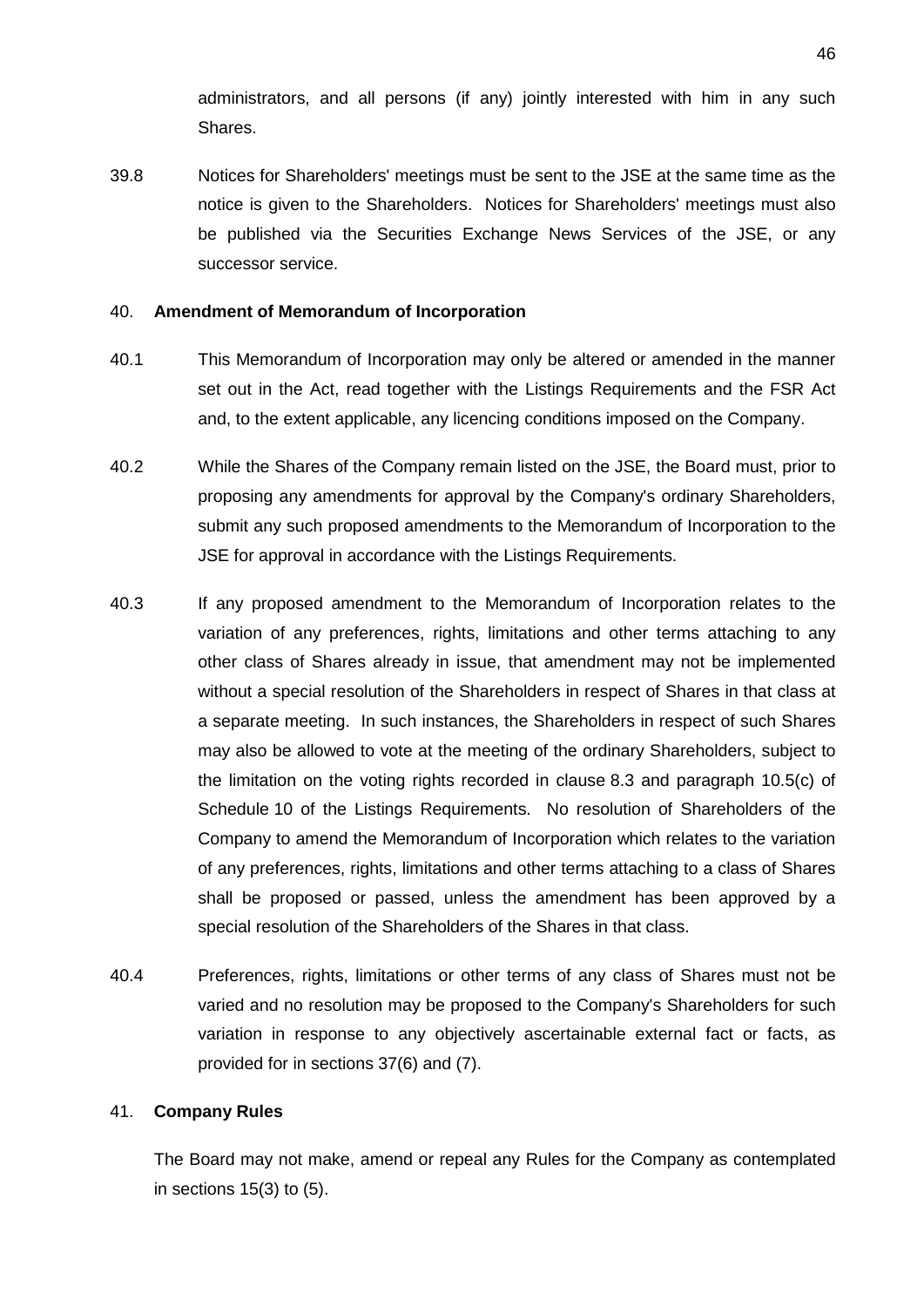administrators, and all persons (if any) jointly interested with him in any such Shares.

39.8 Notices for Shareholders' meetings must be sent to the JSE at the same time as the notice is given to the Shareholders. Notices for Shareholders' meetings must also be published via the Securities Exchange News Services of the JSE, or any successor service.

#### <span id="page-45-0"></span>40. **Amendment of Memorandum of Incorporation**

- 40.1 This Memorandum of Incorporation may only be altered or amended in the manner set out in the Act, read together with the Listings Requirements and the FSR Act and, to the extent applicable, any licencing conditions imposed on the Company.
- 40.2 While the Shares of the Company remain listed on the JSE, the Board must, prior to proposing any amendments for approval by the Company's ordinary Shareholders, submit any such proposed amendments to the Memorandum of Incorporation to the JSE for approval in accordance with the Listings Requirements.
- 40.3 If any proposed amendment to the Memorandum of Incorporation relates to the variation of any preferences, rights, limitations and other terms attaching to any other class of Shares already in issue, that amendment may not be implemented without a special resolution of the Shareholders in respect of Shares in that class at a separate meeting. In such instances, the Shareholders in respect of such Shares may also be allowed to vote at the meeting of the ordinary Shareholders, subject to the limitation on the voting rights recorded in clause [8.3](#page-9-0) and paragraph 10.5(c) of Schedule 10 of the Listings Requirements. No resolution of Shareholders of the Company to amend the Memorandum of Incorporation which relates to the variation of any preferences, rights, limitations and other terms attaching to a class of Shares shall be proposed or passed, unless the amendment has been approved by a special resolution of the Shareholders of the Shares in that class.
- 40.4 Preferences, rights, limitations or other terms of any class of Shares must not be varied and no resolution may be proposed to the Company's Shareholders for such variation in response to any objectively ascertainable external fact or facts, as provided for in sections 37(6) and (7).

# <span id="page-45-1"></span>41. **Company Rules**

The Board may not make, amend or repeal any Rules for the Company as contemplated in sections 15(3) to (5).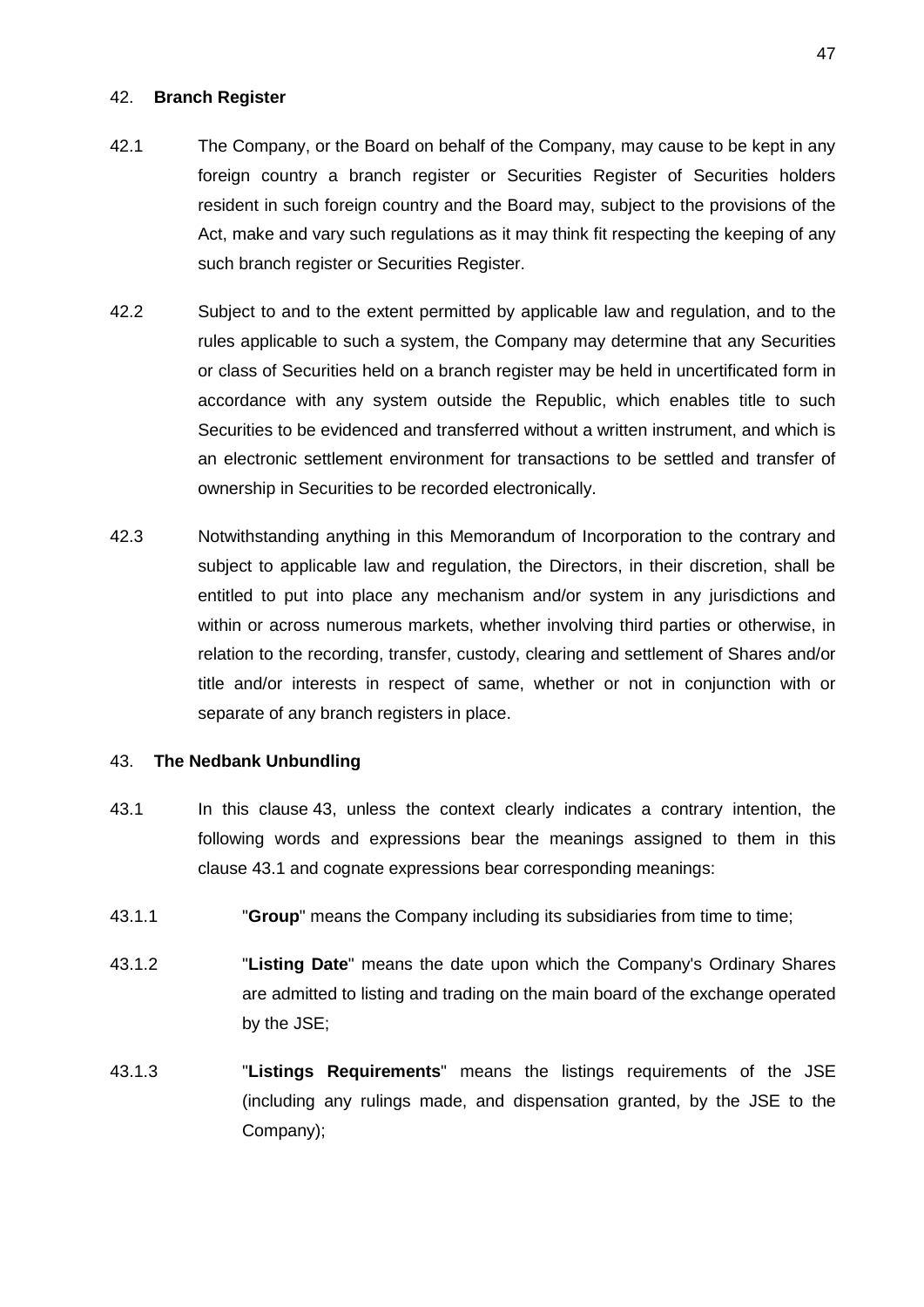#### <span id="page-46-0"></span>42. **Branch Register**

- 42.1 The Company, or the Board on behalf of the Company, may cause to be kept in any foreign country a branch register or Securities Register of Securities holders resident in such foreign country and the Board may, subject to the provisions of the Act, make and vary such regulations as it may think fit respecting the keeping of any such branch register or Securities Register.
- 42.2 Subject to and to the extent permitted by applicable law and regulation, and to the rules applicable to such a system, the Company may determine that any Securities or class of Securities held on a branch register may be held in uncertificated form in accordance with any system outside the Republic, which enables title to such Securities to be evidenced and transferred without a written instrument, and which is an electronic settlement environment for transactions to be settled and transfer of ownership in Securities to be recorded electronically.
- 42.3 Notwithstanding anything in this Memorandum of Incorporation to the contrary and subject to applicable law and regulation, the Directors, in their discretion, shall be entitled to put into place any mechanism and/or system in any jurisdictions and within or across numerous markets, whether involving third parties or otherwise, in relation to the recording, transfer, custody, clearing and settlement of Shares and/or title and/or interests in respect of same, whether or not in conjunction with or separate of any branch registers in place.

#### <span id="page-46-1"></span>43. **The Nedbank Unbundling**

- <span id="page-46-2"></span>43.1 In this clause [43,](#page-46-1) unless the context clearly indicates a contrary intention, the following words and expressions bear the meanings assigned to them in this clause [43.1](#page-46-2) and cognate expressions bear corresponding meanings:
- 43.1.1 "**Group**" means the Company including its subsidiaries from time to time;
- 43.1.2 "**Listing Date**" means the date upon which the Company's Ordinary Shares are admitted to listing and trading on the main board of the exchange operated by the JSE;
- 43.1.3 "**Listings Requirements**" means the listings requirements of the JSE (including any rulings made, and dispensation granted, by the JSE to the Company);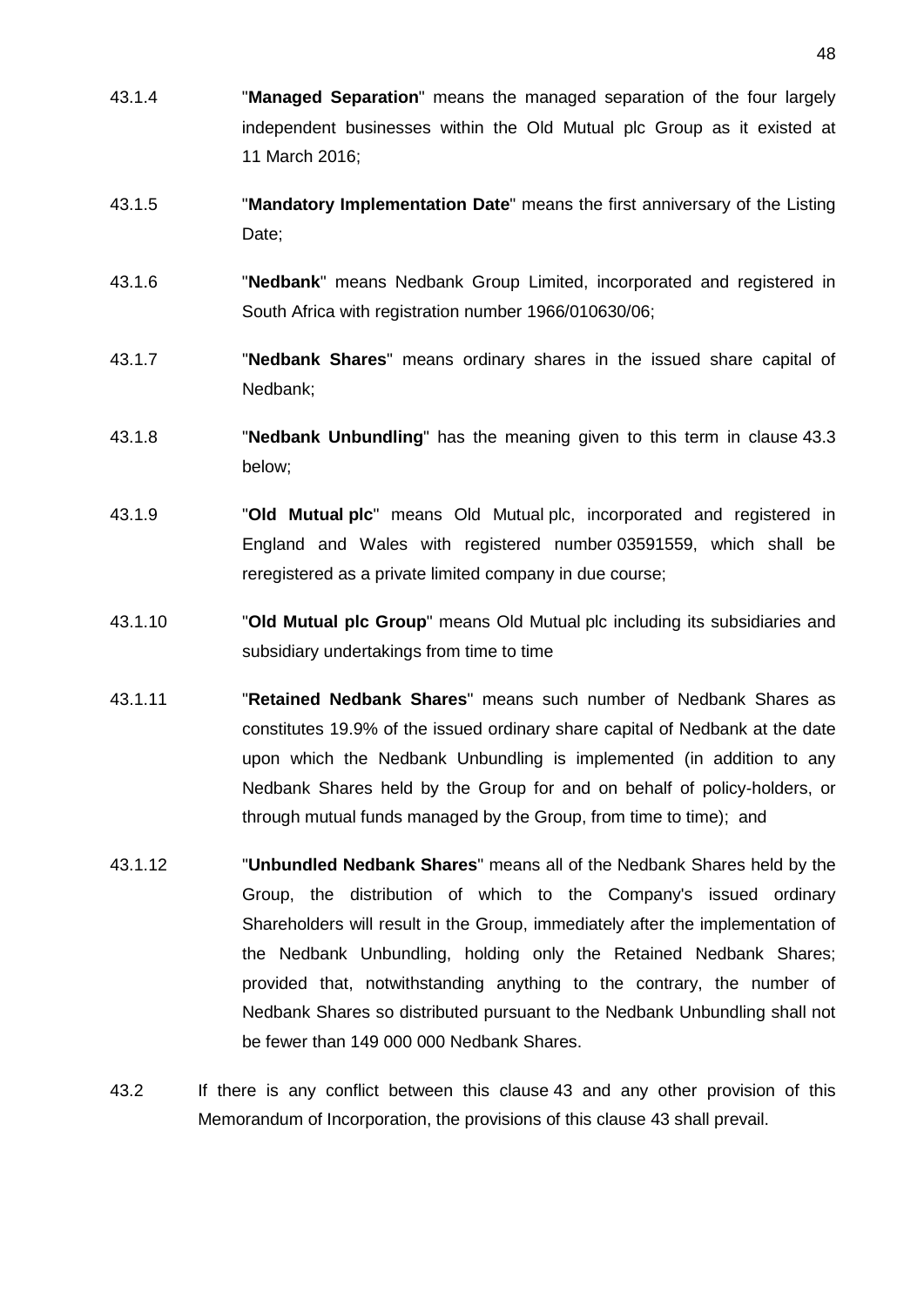- 43.1.4 "**Managed Separation**" means the managed separation of the four largely independent businesses within the Old Mutual plc Group as it existed at 11 March 2016;
- 43.1.5 "**Mandatory Implementation Date**" means the first anniversary of the Listing Date:
- 43.1.6 "**Nedbank**" means Nedbank Group Limited, incorporated and registered in South Africa with registration number 1966/010630/06;
- 43.1.7 "**Nedbank Shares**" means ordinary shares in the issued share capital of Nedbank;
- 43.1.8 "**Nedbank Unbundling**" has the meaning given to this term in clause [43.3](#page-48-0) below;
- 43.1.9 "**Old Mutual plc**" means Old Mutual plc, incorporated and registered in England and Wales with registered number 03591559, which shall be reregistered as a private limited company in due course;
- 43.1.10 "**Old Mutual plc Group**" means Old Mutual plc including its subsidiaries and subsidiary undertakings from time to time
- 43.1.11 "**Retained Nedbank Shares**" means such number of Nedbank Shares as constitutes 19.9% of the issued ordinary share capital of Nedbank at the date upon which the Nedbank Unbundling is implemented (in addition to any Nedbank Shares held by the Group for and on behalf of policy-holders, or through mutual funds managed by the Group, from time to time); and
- 43.1.12 "**Unbundled Nedbank Shares**" means all of the Nedbank Shares held by the Group, the distribution of which to the Company's issued ordinary Shareholders will result in the Group, immediately after the implementation of the Nedbank Unbundling, holding only the Retained Nedbank Shares; provided that, notwithstanding anything to the contrary, the number of Nedbank Shares so distributed pursuant to the Nedbank Unbundling shall not be fewer than 149 000 000 Nedbank Shares.
- 43.2 If there is any conflict between this clause [43](#page-46-1) and any other provision of this Memorandum of Incorporation, the provisions of this clause [43](#page-46-1) shall prevail.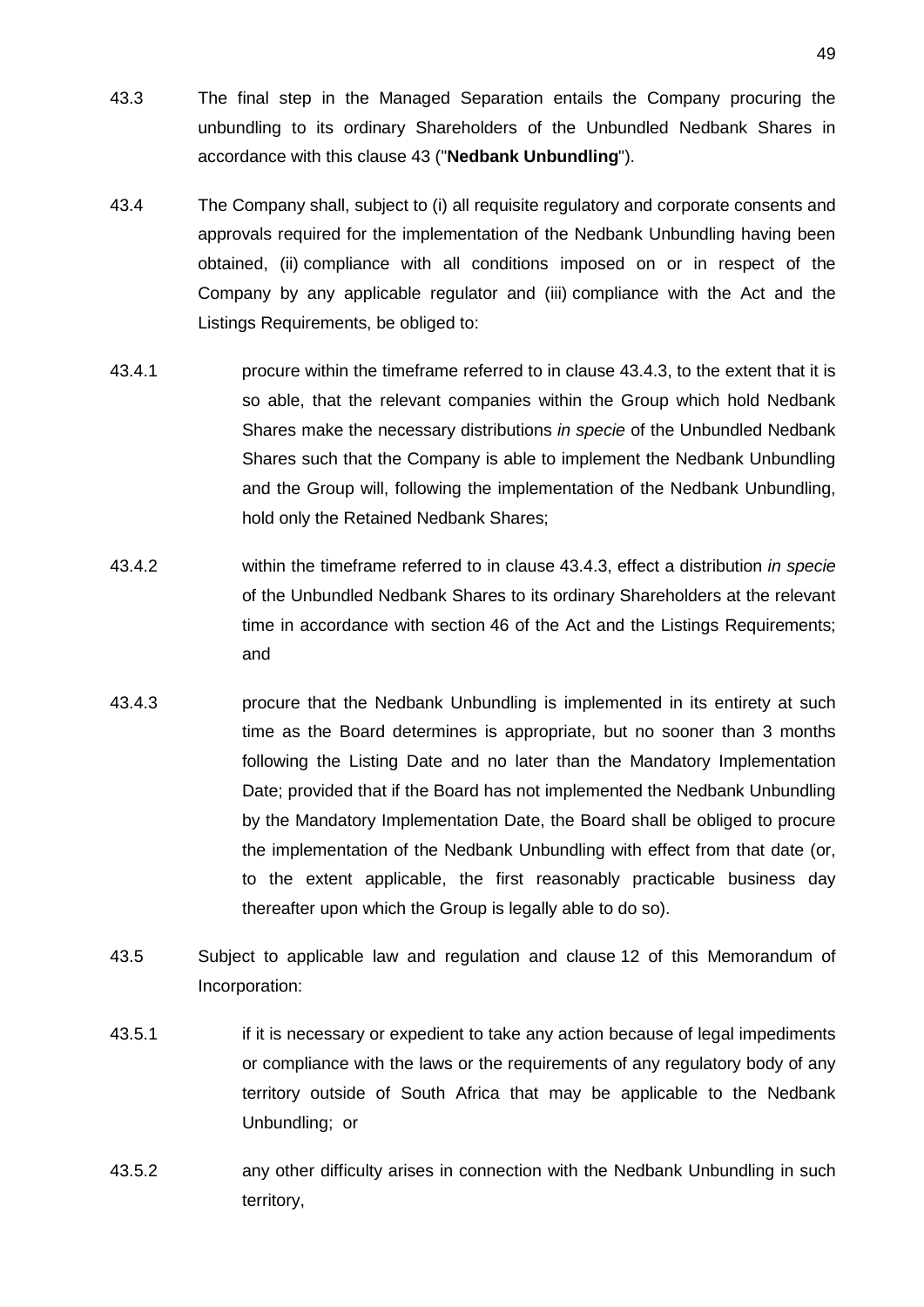- <span id="page-48-0"></span>43.3 The final step in the Managed Separation entails the Company procuring the unbundling to its ordinary Shareholders of the Unbundled Nedbank Shares in accordance with this clause [43](#page-46-1) ("**Nedbank Unbundling**").
- 43.4 The Company shall, subject to (i) all requisite regulatory and corporate consents and approvals required for the implementation of the Nedbank Unbundling having been obtained, (ii) compliance with all conditions imposed on or in respect of the Company by any applicable regulator and (iii) compliance with the Act and the Listings Requirements, be obliged to:
- 43.4.1 procure within the timeframe referred to in clause [43.4.3,](#page-48-1) to the extent that it is so able, that the relevant companies within the Group which hold Nedbank Shares make the necessary distributions *in specie* of the Unbundled Nedbank Shares such that the Company is able to implement the Nedbank Unbundling and the Group will, following the implementation of the Nedbank Unbundling, hold only the Retained Nedbank Shares;
- 43.4.2 within the timeframe referred to in clause [43.4.3,](#page-48-1) effect a distribution *in specie*  of the Unbundled Nedbank Shares to its ordinary Shareholders at the relevant time in accordance with section 46 of the Act and the Listings Requirements; and
- <span id="page-48-1"></span>43.4.3 procure that the Nedbank Unbundling is implemented in its entirety at such time as the Board determines is appropriate, but no sooner than 3 months following the Listing Date and no later than the Mandatory Implementation Date; provided that if the Board has not implemented the Nedbank Unbundling by the Mandatory Implementation Date, the Board shall be obliged to procure the implementation of the Nedbank Unbundling with effect from that date (or, to the extent applicable, the first reasonably practicable business day thereafter upon which the Group is legally able to do so).
- 43.5 Subject to applicable law and regulation and clause [12](#page-15-1) of this Memorandum of Incorporation:
- 43.5.1 if it is necessary or expedient to take any action because of legal impediments or compliance with the laws or the requirements of any regulatory body of any territory outside of South Africa that may be applicable to the Nedbank Unbundling; or
- 43.5.2 any other difficulty arises in connection with the Nedbank Unbundling in such territory,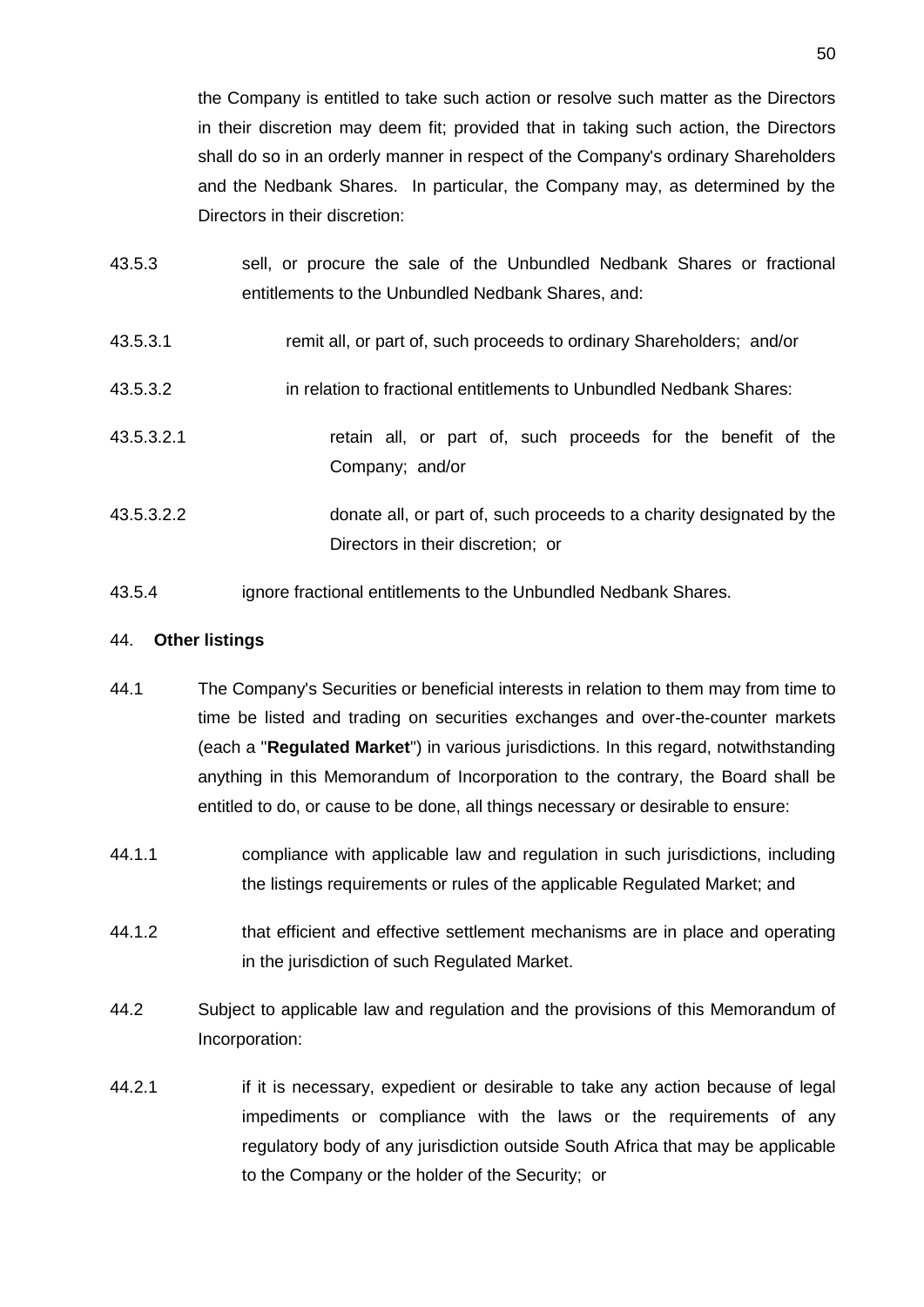the Company is entitled to take such action or resolve such matter as the Directors in their discretion may deem fit; provided that in taking such action, the Directors shall do so in an orderly manner in respect of the Company's ordinary Shareholders and the Nedbank Shares. In particular, the Company may, as determined by the Directors in their discretion:

- 43.5.3 sell, or procure the sale of the Unbundled Nedbank Shares or fractional entitlements to the Unbundled Nedbank Shares, and:
- 43.5.3.1 remit all, or part of, such proceeds to ordinary Shareholders; and/or
- 43.5.3.2 in relation to fractional entitlements to Unbundled Nedbank Shares:
- 43.5.3.2.1 retain all, or part of, such proceeds for the benefit of the Company; and/or
- 43.5.3.2.2 donate all, or part of, such proceeds to a charity designated by the Directors in their discretion; or
- 43.5.4 ignore fractional entitlements to the Unbundled Nedbank Shares.

#### <span id="page-49-0"></span>44. **Other listings**

- 44.1 The Company's Securities or beneficial interests in relation to them may from time to time be listed and trading on securities exchanges and over-the-counter markets (each a "**Regulated Market**") in various jurisdictions. In this regard, notwithstanding anything in this Memorandum of Incorporation to the contrary, the Board shall be entitled to do, or cause to be done, all things necessary or desirable to ensure:
- 44.1.1 compliance with applicable law and regulation in such jurisdictions, including the listings requirements or rules of the applicable Regulated Market; and
- 44.1.2 that efficient and effective settlement mechanisms are in place and operating in the jurisdiction of such Regulated Market.
- 44.2 Subject to applicable law and regulation and the provisions of this Memorandum of Incorporation:
- 44.2.1 if it is necessary, expedient or desirable to take any action because of legal impediments or compliance with the laws or the requirements of any regulatory body of any jurisdiction outside South Africa that may be applicable to the Company or the holder of the Security; or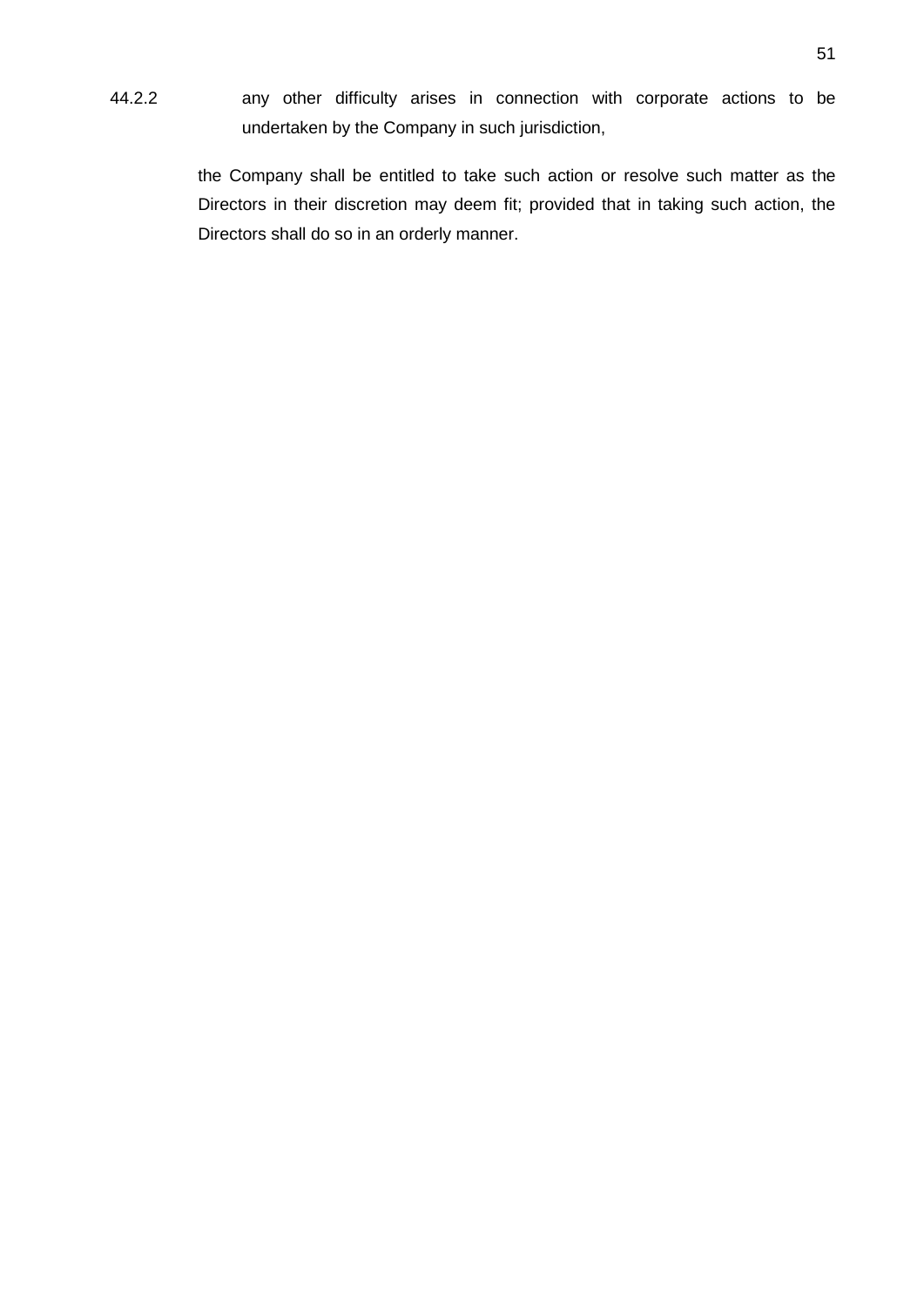44.2.2 any other difficulty arises in connection with corporate actions to be undertaken by the Company in such jurisdiction,

> the Company shall be entitled to take such action or resolve such matter as the Directors in their discretion may deem fit; provided that in taking such action, the Directors shall do so in an orderly manner.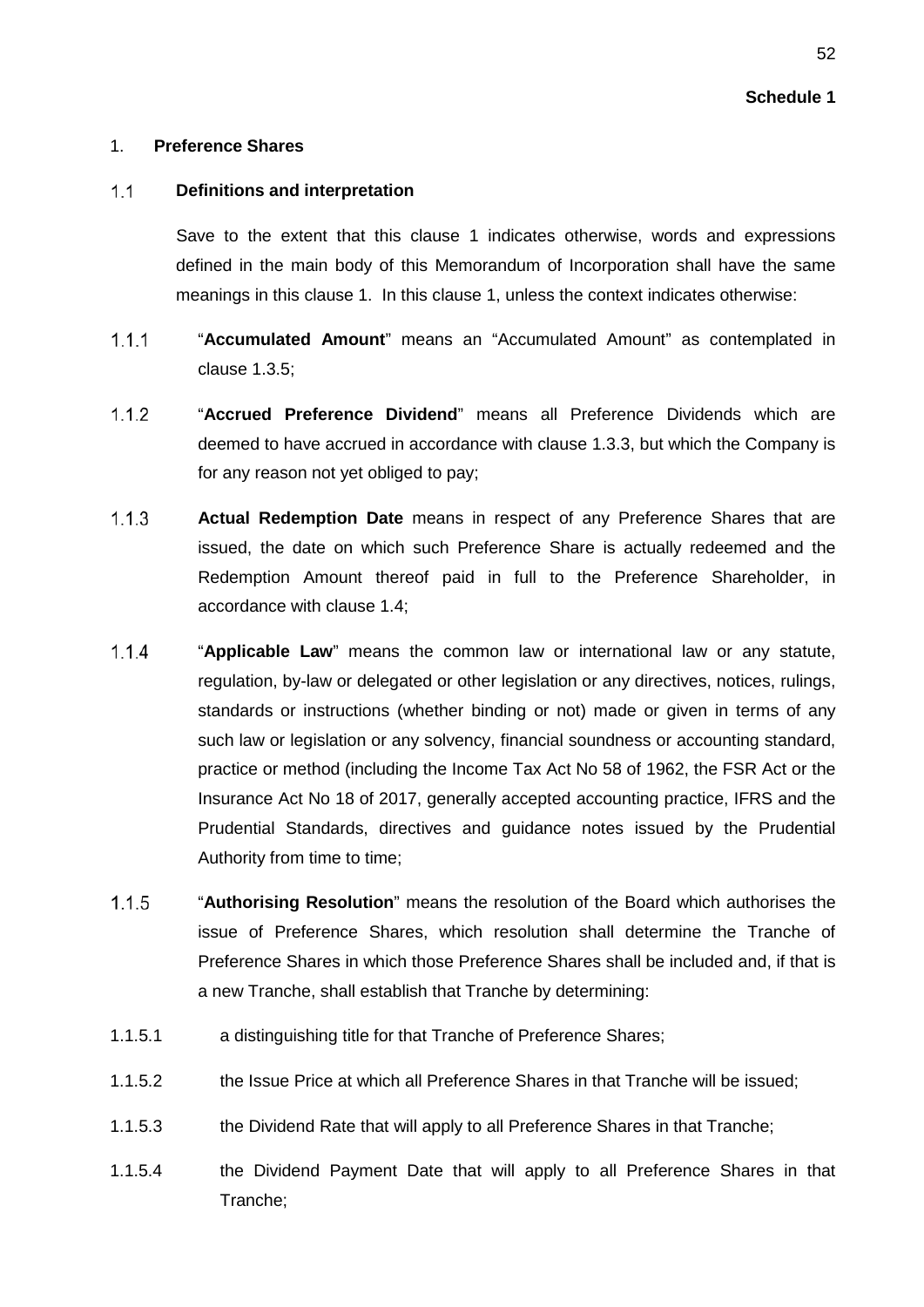#### 1. **Preference Shares**

#### $1.1$ **Definitions and interpretation**

Save to the extent that this clause 1 indicates otherwise, words and expressions defined in the main body of this Memorandum of Incorporation shall have the same meanings in this clause 1. In this clause 1, unless the context indicates otherwise:

- $1.1.1$ "**Accumulated Amount**" means an "Accumulated Amount" as contemplated in clause 1.3.5;
- $1.1.2$ "**Accrued Preference Dividend**" means all Preference Dividends which are deemed to have accrued in accordance with clause 1.3.3, but which the Company is for any reason not yet obliged to pay;
- $1.1.3$ **Actual Redemption Date** means in respect of any Preference Shares that are issued, the date on which such Preference Share is actually redeemed and the Redemption Amount thereof paid in full to the Preference Shareholder, in accordance with clause 1.4;
- $1.1.4$ "**Applicable Law**" means the common law or international law or any statute, regulation, by-law or delegated or other legislation or any directives, notices, rulings, standards or instructions (whether binding or not) made or given in terms of any such law or legislation or any solvency, financial soundness or accounting standard, practice or method (including the Income Tax Act No 58 of 1962, the FSR Act or the Insurance Act No 18 of 2017, generally accepted accounting practice, IFRS and the Prudential Standards, directives and guidance notes issued by the Prudential Authority from time to time;
- "**Authorising Resolution**" means the resolution of the Board which authorises the  $1.1.5$ issue of Preference Shares, which resolution shall determine the Tranche of Preference Shares in which those Preference Shares shall be included and, if that is a new Tranche, shall establish that Tranche by determining:
- 1.1.5.1 a distinguishing title for that Tranche of Preference Shares;
- 1.1.5.2 the Issue Price at which all Preference Shares in that Tranche will be issued;
- 1.1.5.3 the Dividend Rate that will apply to all Preference Shares in that Tranche;
- 1.1.5.4 the Dividend Payment Date that will apply to all Preference Shares in that Tranche;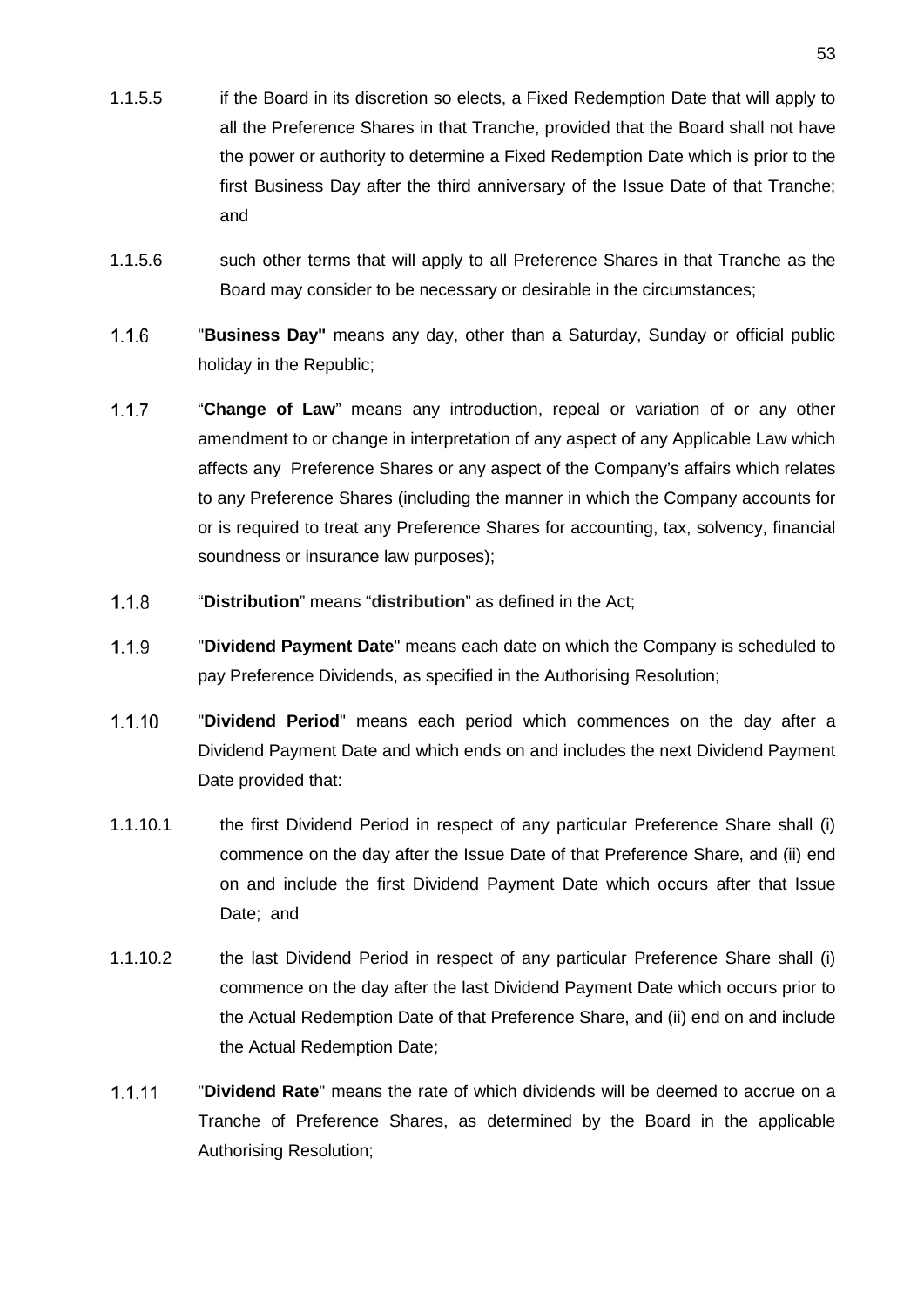- 1.1.5.5 if the Board in its discretion so elects, a Fixed Redemption Date that will apply to all the Preference Shares in that Tranche, provided that the Board shall not have the power or authority to determine a Fixed Redemption Date which is prior to the first Business Day after the third anniversary of the Issue Date of that Tranche; and
- 1.1.5.6 such other terms that will apply to all Preference Shares in that Tranche as the Board may consider to be necessary or desirable in the circumstances;
- $1.1.6$ "**Business Day"** means any day, other than a Saturday, Sunday or official public holiday in the Republic;
- $1.1.7$ "**Change of Law**" means any introduction, repeal or variation of or any other amendment to or change in interpretation of any aspect of any Applicable Law which affects any Preference Shares or any aspect of the Company's affairs which relates to any Preference Shares (including the manner in which the Company accounts for or is required to treat any Preference Shares for accounting, tax, solvency, financial soundness or insurance law purposes);
- $1.1.8$ "**Distribution**" means "**distribution**" as defined in the Act;
- $1.1.9$ "**Dividend Payment Date**" means each date on which the Company is scheduled to pay Preference Dividends, as specified in the Authorising Resolution;
- $1.1.10$ "**Dividend Period**" means each period which commences on the day after a Dividend Payment Date and which ends on and includes the next Dividend Payment Date provided that:
- 1.1.10.1 the first Dividend Period in respect of any particular Preference Share shall (i) commence on the day after the Issue Date of that Preference Share, and (ii) end on and include the first Dividend Payment Date which occurs after that Issue Date; and
- 1.1.10.2 the last Dividend Period in respect of any particular Preference Share shall (i) commence on the day after the last Dividend Payment Date which occurs prior to the Actual Redemption Date of that Preference Share, and (ii) end on and include the Actual Redemption Date;
- $1.1.11$ "**Dividend Rate**" means the rate of which dividends will be deemed to accrue on a Tranche of Preference Shares, as determined by the Board in the applicable Authorising Resolution;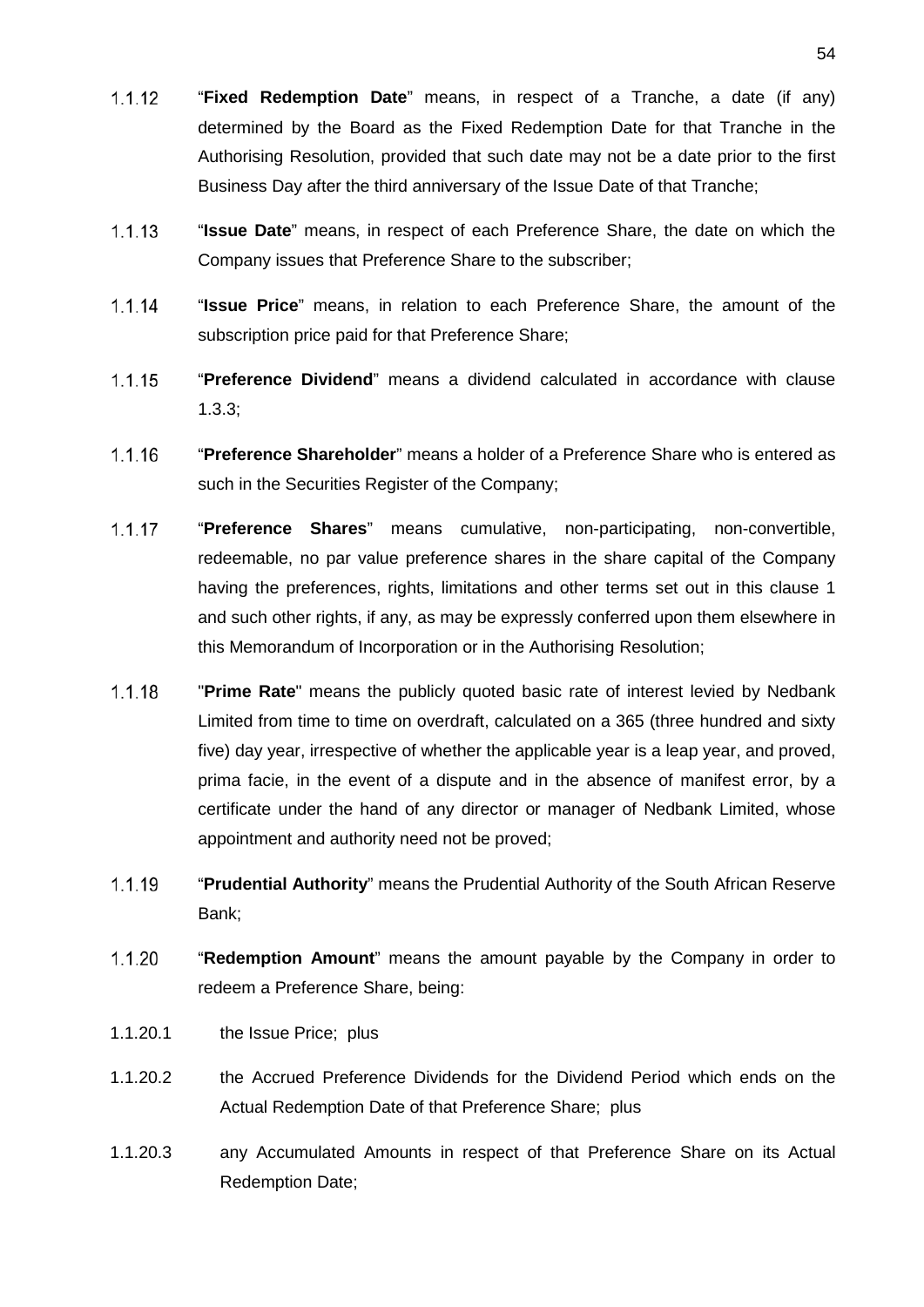- "**Fixed Redemption Date**" means, in respect of a Tranche, a date (if any)  $1.1.12$ determined by the Board as the Fixed Redemption Date for that Tranche in the Authorising Resolution, provided that such date may not be a date prior to the first Business Day after the third anniversary of the Issue Date of that Tranche;
- $1.1.13$ "**Issue Date**" means, in respect of each Preference Share, the date on which the Company issues that Preference Share to the subscriber;
- $1.1.14$ "**Issue Price**" means, in relation to each Preference Share, the amount of the subscription price paid for that Preference Share;
- $1.1.15$ "**Preference Dividend**" means a dividend calculated in accordance with clause 1.3.3;
- 1.1.16 "**Preference Shareholder**" means a holder of a Preference Share who is entered as such in the Securities Register of the Company;
- $1.1.17$ "**Preference Shares**" means cumulative, non-participating, non-convertible, redeemable, no par value preference shares in the share capital of the Company having the preferences, rights, limitations and other terms set out in this clause 1 and such other rights, if any, as may be expressly conferred upon them elsewhere in this Memorandum of Incorporation or in the Authorising Resolution;
- $1.1.18$ "**Prime Rate**" means the publicly quoted basic rate of interest levied by Nedbank Limited from time to time on overdraft, calculated on a 365 (three hundred and sixty five) day year, irrespective of whether the applicable year is a leap year, and proved, prima facie, in the event of a dispute and in the absence of manifest error, by a certificate under the hand of any director or manager of Nedbank Limited, whose appointment and authority need not be proved;
- $1.1.19$ "**Prudential Authority**" means the Prudential Authority of the South African Reserve Bank;
- $1.1.20$ "**Redemption Amount**" means the amount payable by the Company in order to redeem a Preference Share, being:
- 1.1.20.1 the Issue Price; plus
- 1.1.20.2 the Accrued Preference Dividends for the Dividend Period which ends on the Actual Redemption Date of that Preference Share; plus
- 1.1.20.3 any Accumulated Amounts in respect of that Preference Share on its Actual Redemption Date;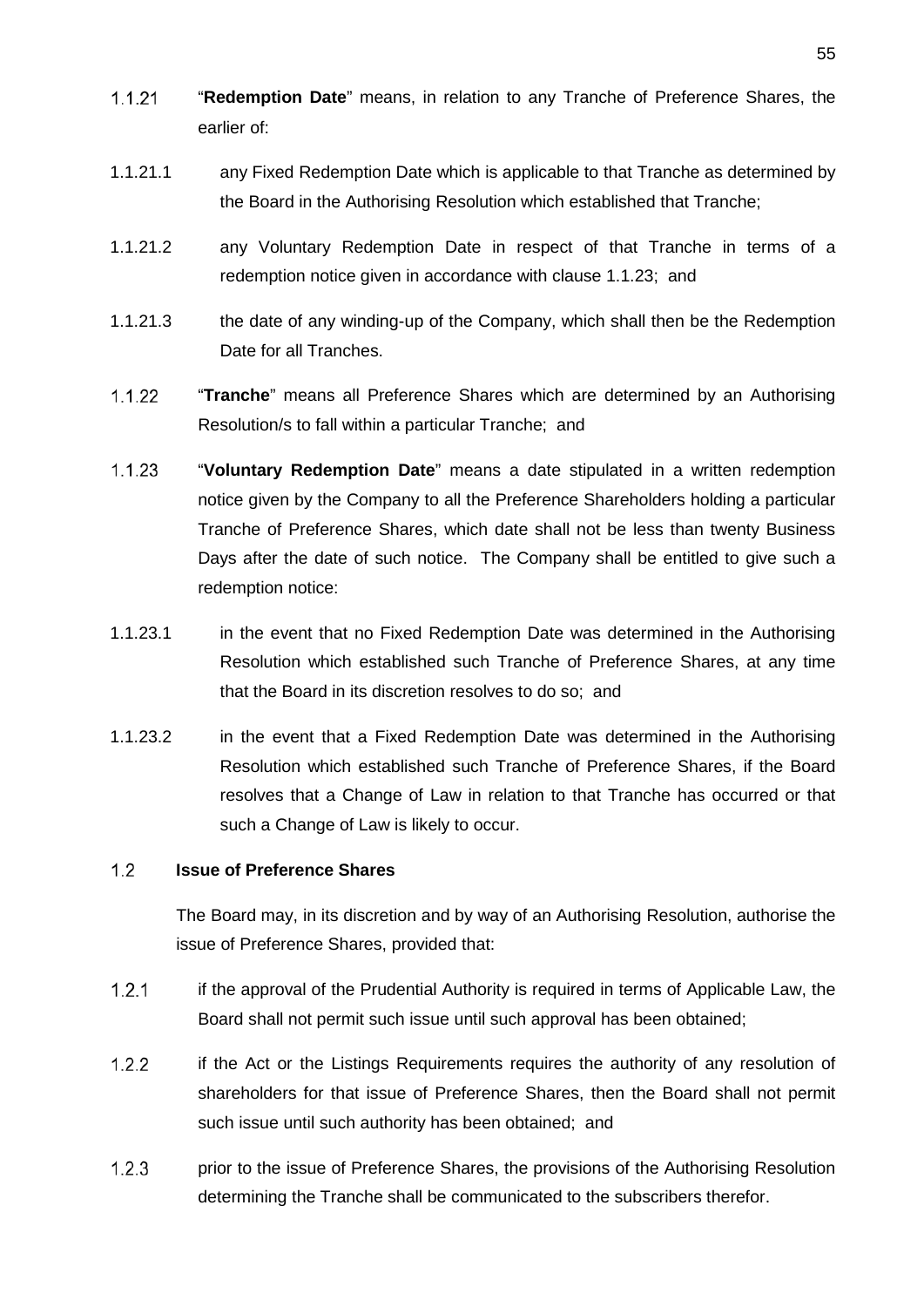- $1.1.21$ "**Redemption Date**" means, in relation to any Tranche of Preference Shares, the earlier of:
- 1.1.21.1 any Fixed Redemption Date which is applicable to that Tranche as determined by the Board in the Authorising Resolution which established that Tranche;
- 1.1.21.2 any Voluntary Redemption Date in respect of that Tranche in terms of a redemption notice given in accordance with clause 1.1.23; and
- 1.1.21.3 the date of any winding-up of the Company, which shall then be the Redemption Date for all Tranches.
- $1.1.22$ "**Tranche**" means all Preference Shares which are determined by an Authorising Resolution/s to fall within a particular Tranche; and
- $1.1.23$ "**Voluntary Redemption Date**" means a date stipulated in a written redemption notice given by the Company to all the Preference Shareholders holding a particular Tranche of Preference Shares, which date shall not be less than twenty Business Days after the date of such notice. The Company shall be entitled to give such a redemption notice:
- 1.1.23.1 in the event that no Fixed Redemption Date was determined in the Authorising Resolution which established such Tranche of Preference Shares, at any time that the Board in its discretion resolves to do so; and
- 1.1.23.2 in the event that a Fixed Redemption Date was determined in the Authorising Resolution which established such Tranche of Preference Shares, if the Board resolves that a Change of Law in relation to that Tranche has occurred or that such a Change of Law is likely to occur.

#### $1.2$ **Issue of Preference Shares**

The Board may, in its discretion and by way of an Authorising Resolution, authorise the issue of Preference Shares, provided that:

- $1.2.1$ if the approval of the Prudential Authority is required in terms of Applicable Law, the Board shall not permit such issue until such approval has been obtained;
- 122 if the Act or the Listings Requirements requires the authority of any resolution of shareholders for that issue of Preference Shares, then the Board shall not permit such issue until such authority has been obtained; and
- $1.2.3$ prior to the issue of Preference Shares, the provisions of the Authorising Resolution determining the Tranche shall be communicated to the subscribers therefor.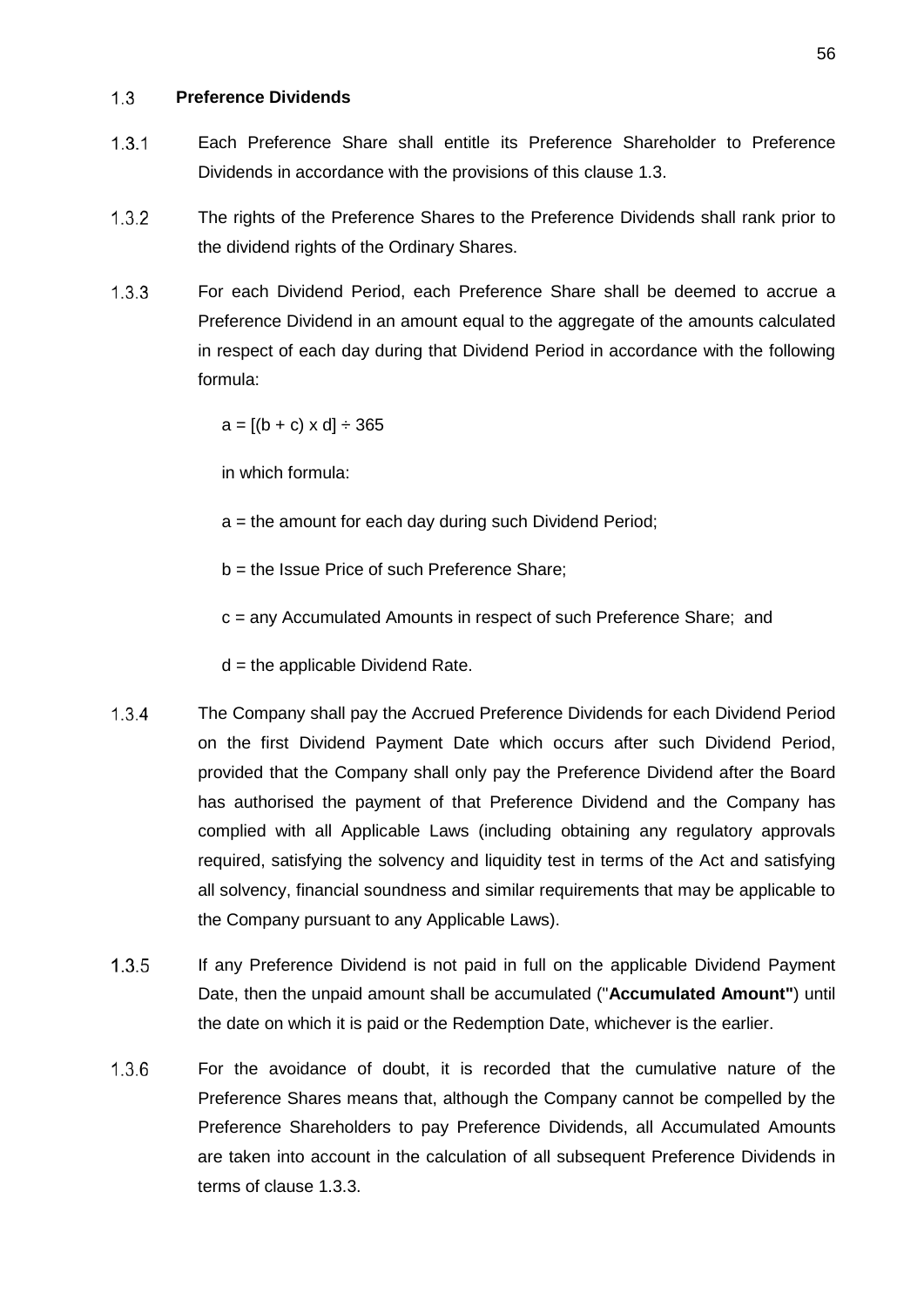#### $1.3$ **Preference Dividends**

- $1.3.1$ Each Preference Share shall entitle its Preference Shareholder to Preference Dividends in accordance with the provisions of this clause 1.3.
- $1.3.2$ The rights of the Preference Shares to the Preference Dividends shall rank prior to the dividend rights of the Ordinary Shares.
- $1.3.3$ For each Dividend Period, each Preference Share shall be deemed to accrue a Preference Dividend in an amount equal to the aggregate of the amounts calculated in respect of each day during that Dividend Period in accordance with the following formula:

 $a = [(b + c) \times d] \div 365$ 

in which formula:

a = the amount for each day during such Dividend Period;

b = the Issue Price of such Preference Share;

c = any Accumulated Amounts in respect of such Preference Share; and

 $d =$  the applicable Dividend Rate.

- $1.3.4$ The Company shall pay the Accrued Preference Dividends for each Dividend Period on the first Dividend Payment Date which occurs after such Dividend Period, provided that the Company shall only pay the Preference Dividend after the Board has authorised the payment of that Preference Dividend and the Company has complied with all Applicable Laws (including obtaining any regulatory approvals required, satisfying the solvency and liquidity test in terms of the Act and satisfying all solvency, financial soundness and similar requirements that may be applicable to the Company pursuant to any Applicable Laws).
- $1.3.5$ If any Preference Dividend is not paid in full on the applicable Dividend Payment Date, then the unpaid amount shall be accumulated ("**Accumulated Amount"**) until the date on which it is paid or the Redemption Date, whichever is the earlier.
- $1.3.6$ For the avoidance of doubt, it is recorded that the cumulative nature of the Preference Shares means that, although the Company cannot be compelled by the Preference Shareholders to pay Preference Dividends, all Accumulated Amounts are taken into account in the calculation of all subsequent Preference Dividends in terms of clause 1.3.3.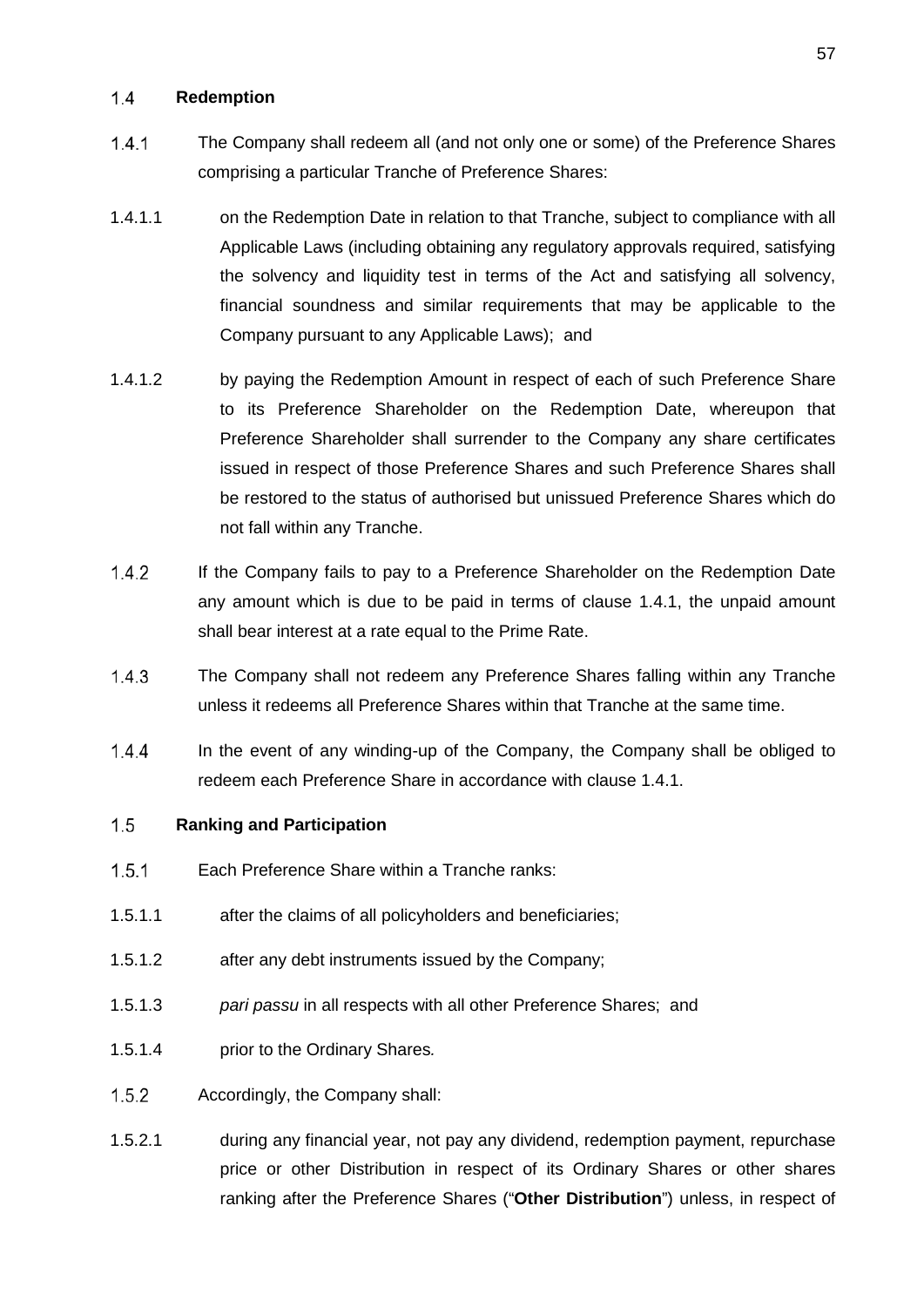#### **Redemption**  $1.4$

- $1.4.1$ The Company shall redeem all (and not only one or some) of the Preference Shares comprising a particular Tranche of Preference Shares:
- 1.4.1.1 on the Redemption Date in relation to that Tranche, subject to compliance with all Applicable Laws (including obtaining any regulatory approvals required, satisfying the solvency and liquidity test in terms of the Act and satisfying all solvency, financial soundness and similar requirements that may be applicable to the Company pursuant to any Applicable Laws); and
- 1.4.1.2 by paying the Redemption Amount in respect of each of such Preference Share to its Preference Shareholder on the Redemption Date, whereupon that Preference Shareholder shall surrender to the Company any share certificates issued in respect of those Preference Shares and such Preference Shares shall be restored to the status of authorised but unissued Preference Shares which do not fall within any Tranche.
- $1.4.2$ If the Company fails to pay to a Preference Shareholder on the Redemption Date any amount which is due to be paid in terms of clause 1.4.1, the unpaid amount shall bear interest at a rate equal to the Prime Rate.
- $1.4.3$ The Company shall not redeem any Preference Shares falling within any Tranche unless it redeems all Preference Shares within that Tranche at the same time.
- $1.4.4$ In the event of any winding-up of the Company, the Company shall be obliged to redeem each Preference Share in accordance with clause 1.4.1.

#### $1.5$ **Ranking and Participation**

- $1.5.1$ Each Preference Share within a Tranche ranks:
- 1.5.1.1 after the claims of all policyholders and beneficiaries;
- 1.5.1.2 after any debt instruments issued by the Company;
- 1.5.1.3 *pari passu* in all respects with all other Preference Shares; and
- 1.5.1.4 prior to the Ordinary Shares*.*
- $1.5.2$ Accordingly, the Company shall:
- 1.5.2.1 during any financial year, not pay any dividend, redemption payment, repurchase price or other Distribution in respect of its Ordinary Shares or other shares ranking after the Preference Shares ("**Other Distribution**") unless, in respect of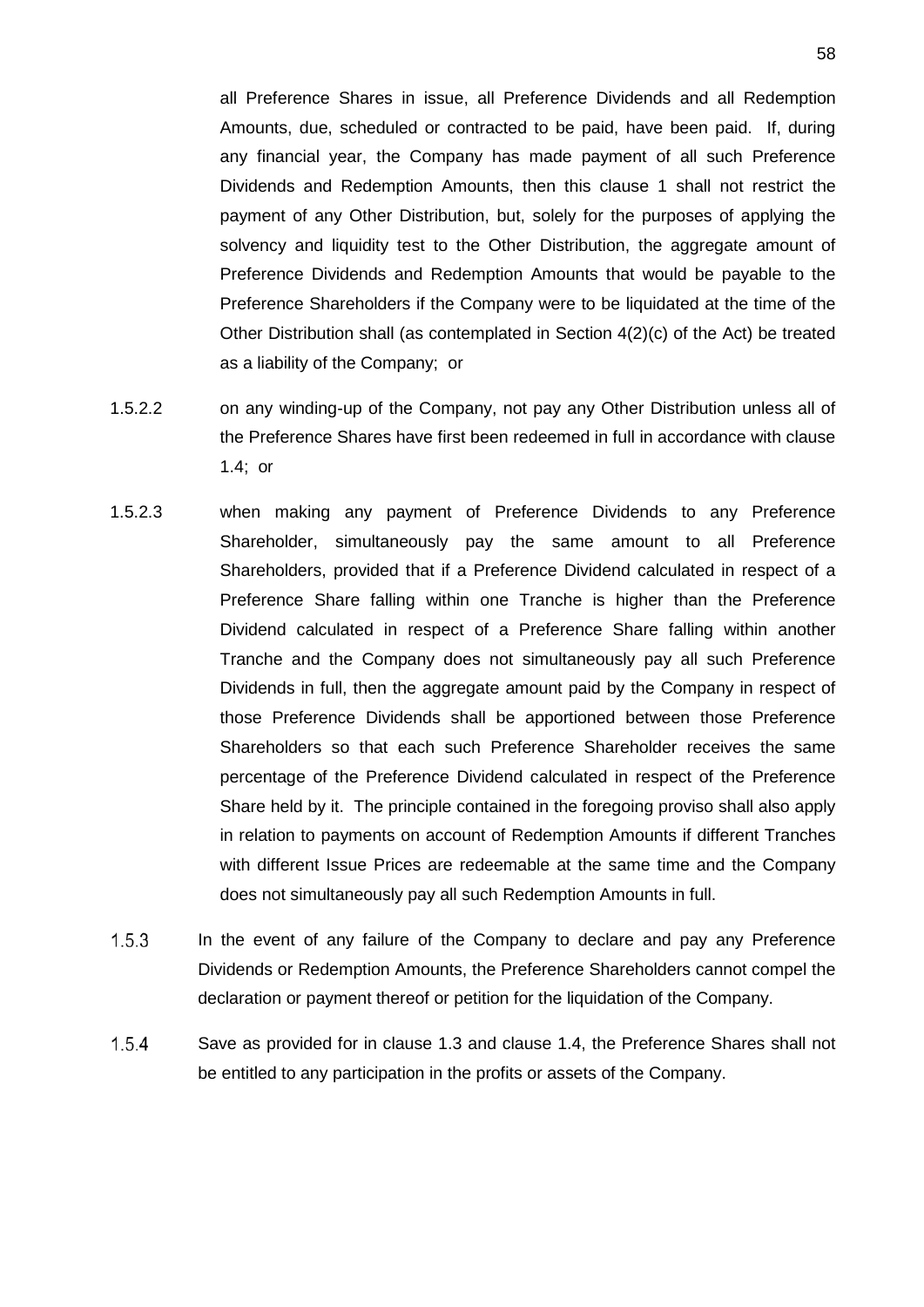all Preference Shares in issue, all Preference Dividends and all Redemption Amounts, due, scheduled or contracted to be paid, have been paid. If, during any financial year, the Company has made payment of all such Preference Dividends and Redemption Amounts, then this clause 1 shall not restrict the payment of any Other Distribution, but, solely for the purposes of applying the solvency and liquidity test to the Other Distribution, the aggregate amount of Preference Dividends and Redemption Amounts that would be payable to the Preference Shareholders if the Company were to be liquidated at the time of the Other Distribution shall (as contemplated in Section 4(2)(c) of the Act) be treated as a liability of the Company; or

- 1.5.2.2 on any winding-up of the Company, not pay any Other Distribution unless all of the Preference Shares have first been redeemed in full in accordance with clause 1.4; or
- 1.5.2.3 when making any payment of Preference Dividends to any Preference Shareholder, simultaneously pay the same amount to all Preference Shareholders, provided that if a Preference Dividend calculated in respect of a Preference Share falling within one Tranche is higher than the Preference Dividend calculated in respect of a Preference Share falling within another Tranche and the Company does not simultaneously pay all such Preference Dividends in full, then the aggregate amount paid by the Company in respect of those Preference Dividends shall be apportioned between those Preference Shareholders so that each such Preference Shareholder receives the same percentage of the Preference Dividend calculated in respect of the Preference Share held by it. The principle contained in the foregoing proviso shall also apply in relation to payments on account of Redemption Amounts if different Tranches with different Issue Prices are redeemable at the same time and the Company does not simultaneously pay all such Redemption Amounts in full.
- $1.5.3$ In the event of any failure of the Company to declare and pay any Preference Dividends or Redemption Amounts, the Preference Shareholders cannot compel the declaration or payment thereof or petition for the liquidation of the Company.
- $1.5.4$ Save as provided for in clause 1.3 and clause 1.4, the Preference Shares shall not be entitled to any participation in the profits or assets of the Company.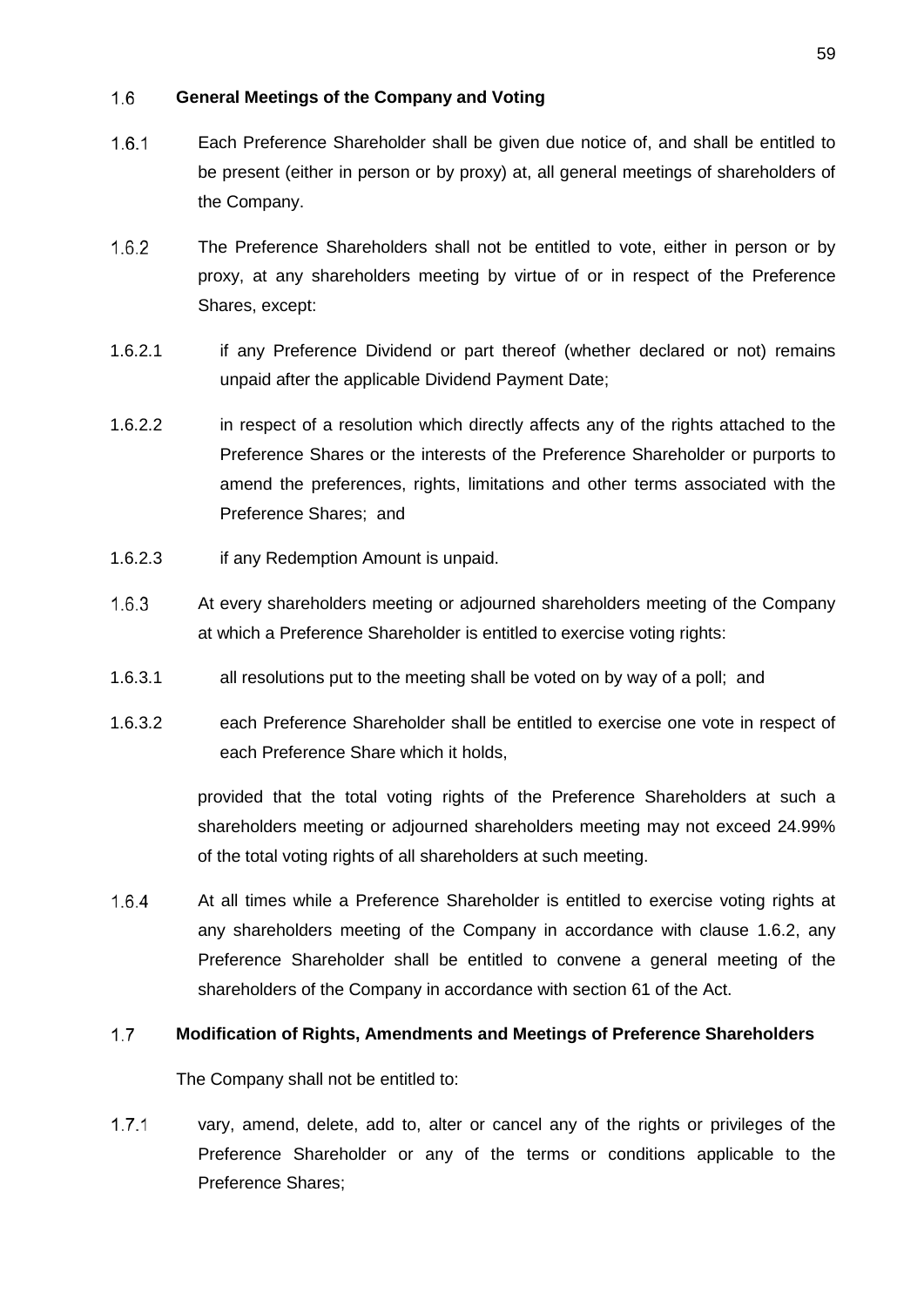#### $1.6$ **General Meetings of the Company and Voting**

- $1.6.1$ Each Preference Shareholder shall be given due notice of, and shall be entitled to be present (either in person or by proxy) at, all general meetings of shareholders of the Company.
- $1.6.2$ The Preference Shareholders shall not be entitled to vote, either in person or by proxy, at any shareholders meeting by virtue of or in respect of the Preference Shares, except:
- 1.6.2.1 if any Preference Dividend or part thereof (whether declared or not) remains unpaid after the applicable Dividend Payment Date;
- 1.6.2.2 in respect of a resolution which directly affects any of the rights attached to the Preference Shares or the interests of the Preference Shareholder or purports to amend the preferences, rights, limitations and other terms associated with the Preference Shares; and
- 1.6.2.3 if any Redemption Amount is unpaid.
- $1.6.3$ At every shareholders meeting or adjourned shareholders meeting of the Company at which a Preference Shareholder is entitled to exercise voting rights:
- 1.6.3.1 all resolutions put to the meeting shall be voted on by way of a poll; and
- 1.6.3.2 each Preference Shareholder shall be entitled to exercise one vote in respect of each Preference Share which it holds,

provided that the total voting rights of the Preference Shareholders at such a shareholders meeting or adjourned shareholders meeting may not exceed 24.99% of the total voting rights of all shareholders at such meeting.

 $1.6.4$ At all times while a Preference Shareholder is entitled to exercise voting rights at any shareholders meeting of the Company in accordance with clause 1.6.2, any Preference Shareholder shall be entitled to convene a general meeting of the shareholders of the Company in accordance with section 61 of the Act.

#### $1.7$ **Modification of Rights, Amendments and Meetings of Preference Shareholders**

The Company shall not be entitled to:

 $1.7.1$ vary, amend, delete, add to, alter or cancel any of the rights or privileges of the Preference Shareholder or any of the terms or conditions applicable to the Preference Shares;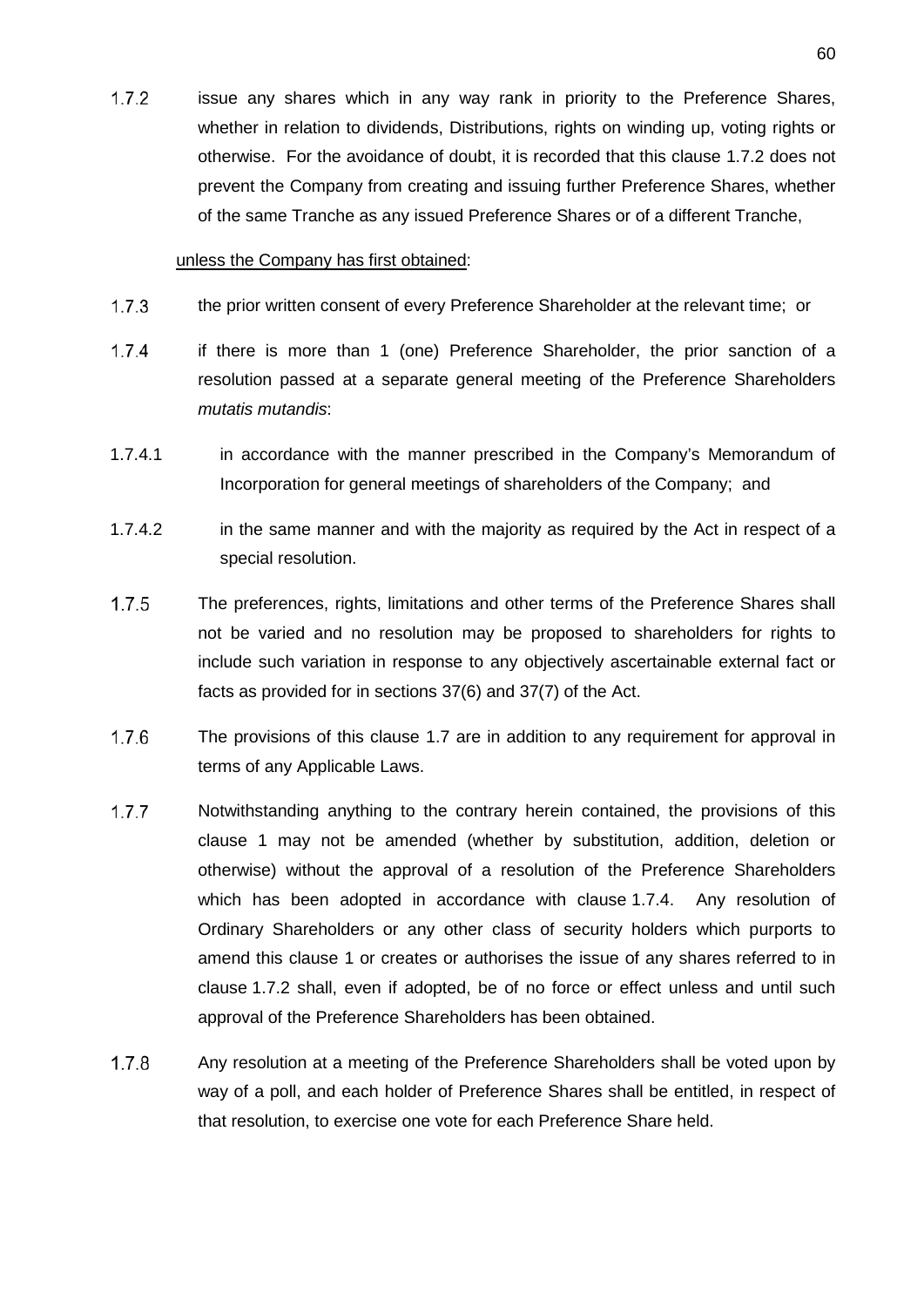$1.7.2$ issue any shares which in any way rank in priority to the Preference Shares, whether in relation to dividends, Distributions, rights on winding up, voting rights or otherwise. For the avoidance of doubt, it is recorded that this clause 1.7.2 does not prevent the Company from creating and issuing further Preference Shares, whether of the same Tranche as any issued Preference Shares or of a different Tranche,

#### unless the Company has first obtained:

- $1.7.3$ the prior written consent of every Preference Shareholder at the relevant time; or
- $1.7.4$ if there is more than 1 (one) Preference Shareholder, the prior sanction of a resolution passed at a separate general meeting of the Preference Shareholders *mutatis mutandis*:
- 1.7.4.1 in accordance with the manner prescribed in the Company's Memorandum of Incorporation for general meetings of shareholders of the Company; and
- 1.7.4.2 in the same manner and with the majority as required by the Act in respect of a special resolution.
- $1.7.5$ The preferences, rights, limitations and other terms of the Preference Shares shall not be varied and no resolution may be proposed to shareholders for rights to include such variation in response to any objectively ascertainable external fact or facts as provided for in sections 37(6) and 37(7) of the Act.
- $1.7.6$ The provisions of this clause 1.7 are in addition to any requirement for approval in terms of any Applicable Laws.
- $1.7.7$ Notwithstanding anything to the contrary herein contained, the provisions of this clause 1 may not be amended (whether by substitution, addition, deletion or otherwise) without the approval of a resolution of the Preference Shareholders which has been adopted in accordance with clause 1.7.4. Any resolution of Ordinary Shareholders or any other class of security holders which purports to amend this clause 1 or creates or authorises the issue of any shares referred to in clause 1.7.2 shall, even if adopted, be of no force or effect unless and until such approval of the Preference Shareholders has been obtained.
- $1.7.8$ Any resolution at a meeting of the Preference Shareholders shall be voted upon by way of a poll, and each holder of Preference Shares shall be entitled, in respect of that resolution, to exercise one vote for each Preference Share held.